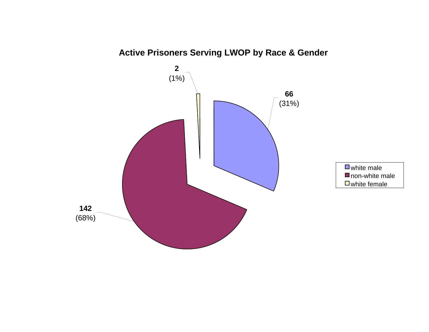

**Active Prisoners Serving LWOP by Race & Gender**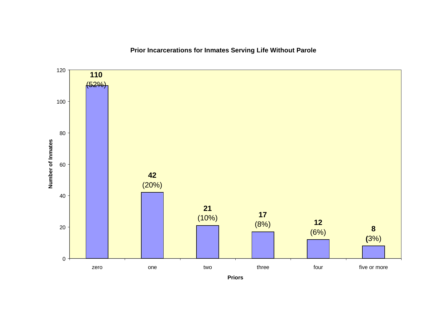**Prior Incarcerations for Inmates Serving Life Without Parole**



**Priors**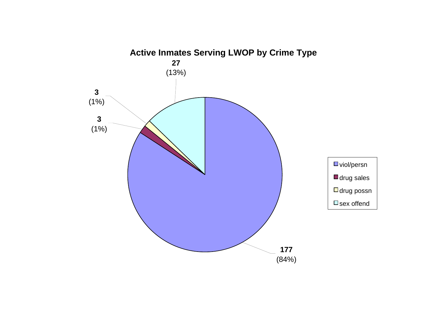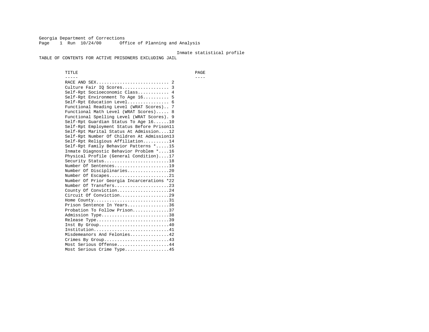Georgia Department of Corrections Page 1 Run 10/24/00 Office of Planning and Analysis

#### Inmate statistical profile

TABLE OF CONTENTS FOR ACTIVE PRISONERS EXCLUDING JAIL

 TITLE PAGE ----- ---- RACE AND SEX............................ 2 Culture Fair IQ Scores.................. 3 Self-Rpt Socioeconomic Class............ 4 Self-Rpt Environment To Age 16.......... 5 Self-Rpt Education Level................ 6 Functional Reading Level (WRAT Scores).. 7 Functional Math Level (WRAT Scores)..... 8 Functional Spelling Level (WRAT Scores). 9 Self-Rpt Guardian Status To Age 16......10 Self-Rpt Employment Status Before Prison11 Self-Rpt Marital Status At Admission....12 Self-Rpt Number Of Children At Admission13 Self-Rpt Religious Affiliation..........14 Self-Rpt Family Behavior Patterns \*.....15 Inmate Diagnostic Behavior Problem \*....16 Physical Profile (General Condition)....17 Security Status...........................18 Number Of Sentences.....................19 Number Of Disciplinaries................20 Number Of Escapes........................21 Number Of Prior Georgia Incarcerations \*22 Number Of Transfers.....................23 County Of Conviction....................24 Circuit Of Conviction...................29 Home County.............................31 Prison Sentence In Years................36 Probation To Follow Prison..............37Admission Type.............................38 Release Type...............................39 Inst By Group.............................40 Institution.............................41 Misdemeanors And Felonies...............42 Crimes By Group.........................43 Most Serious Offense....................44 Most Serious Crime Type.................45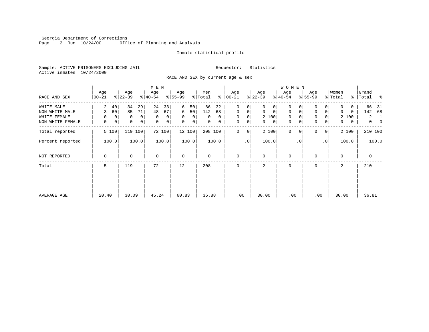Georgia Department of Corrections<br>Page 2 Run 10/24/00 Offi Office of Planning and Analysis

### Inmate statistical profile

Sample: ACTIVE PRISONERS EXCLUDING JAIL **Requestor:** Statistics Active inmates 10/24/2000

RACE AND SEX by current age & sex

|                  |                      |                            | M E N            |                               |                |                            |                             | <b>WOMEN</b>               |                               |                   |                               |
|------------------|----------------------|----------------------------|------------------|-------------------------------|----------------|----------------------------|-----------------------------|----------------------------|-------------------------------|-------------------|-------------------------------|
| RACE AND SEX     | Age<br>00-21         | Age<br>$ 22-39 $           | Age<br>$8 40-54$ | Age<br>$ 55-99$               | Men<br>% Total | Age<br>$8   00 - 21$       | Age<br>$ 22-39 $            | Age<br>$ 40-54 $           | Age<br>$8 55-99$              | Women<br>% Total  | Grand<br>ႜ<br>%   Total       |
| WHITE MALE       | 2<br>40              | 34<br>29                   | 24<br>33         | 6<br>50                       | 66<br>32       | 0<br>0                     | 0<br>0                      | 0                          |                               | O                 | 66<br>- 31                    |
| NON WHITE MALE   | 60<br>3              | 85<br>71                   | 48<br>67         | 50 <br>6                      | 142<br>68      | $\mathbf 0$<br>0           | $\mathbf 0$<br>$\mathbf{0}$ | $\mathbf 0$<br>$\mathbf 0$ | $\mathbf 0$<br>$\overline{0}$ | $\Omega$<br>0     | 142<br>68                     |
| WHITE FEMALE     | $\Omega$<br>$\Omega$ | $\Omega$<br>$\Omega$       | $\mathbf 0$<br>0 | $\mathbf 0$<br>$\overline{0}$ | $\Omega$<br>0  | $\mathbf 0$<br>$\mathbf 0$ | 2 100                       | $\mathbf{0}$<br>$\Omega$   | $\mathbf 0$<br>$\Omega$       | 2 100             | $\overline{a}$<br>1           |
| NON WHITE FEMALE | 0<br>0               | $\mathbf 0$<br>$\mathbf 0$ | 0<br>0           | $\mathbf 0$<br> 0             | 0<br>0         | $\mathbf 0$<br>0           | 0<br>$\mathbf{0}$           | $\mathbf 0$<br>$\mathbf 0$ | $\mathbf 0$<br>$\overline{0}$ | $\mathbf{0}$<br>0 | $\overline{0}$<br>$\mathbf 0$ |
| Total reported   | 5 100                | 119<br>100                 | 72 100           | 12 100                        | 208 100        | $\mathbf 0$<br>0           | 2 100                       | $\mathbf{0}$<br>0          | $\Omega$<br> 0                | 2 100             | 210 100                       |
| Percent reported | 100.0                | 100.0                      | 100.0            | 100.0                         | 100.0          | $\cdot$ 0                  | 100.0                       | $\cdot$ 0                  | .0 <sup>1</sup>               | 100.0             | 100.0                         |
| NOT REPORTED     | 0                    | $\mathbf 0$                | $\mathbf 0$      | $\mathbf 0$                   | 0              | $\mathbf 0$                | $\mathbf 0$                 | $\mathbf 0$                | $\Omega$                      | $\Omega$          | 0                             |
| Total            | 5                    | 119                        | 72               | 12                            | 208            | $\Omega$                   | 2                           | 0                          | $\Omega$                      | $\overline{a}$    | 210                           |
|                  |                      |                            |                  |                               |                |                            |                             |                            |                               |                   |                               |
|                  |                      |                            |                  |                               |                |                            |                             |                            |                               |                   |                               |
| AVERAGE AGE      | 20.40                | 30.09                      | 45.24            | 60.83                         | 36.88          | .00                        | 30.00                       | .00                        | .00                           | 30.00             | 36.81                         |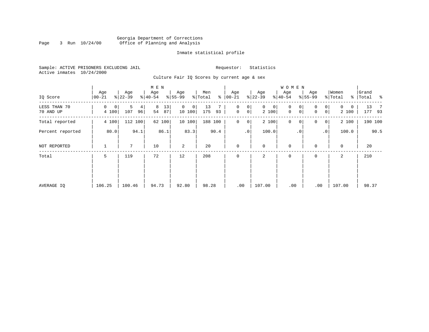# Georgia Department of Corrections Page 3 Run  $10/24/00$  Office of Planning and Analysis

### Inmate statistical profile

Sample: ACTIVE PRISONERS EXCLUDING JAIL **Requestor:** Statistics Active inmates 10/24/2000

Culture Fair IQ Scores by current age & sex

|                           |                  |                     | M E N               |                        |                      |                                     |                            | <b>WOMEN</b>     |                                                  |                            |                                |
|---------------------------|------------------|---------------------|---------------------|------------------------|----------------------|-------------------------------------|----------------------------|------------------|--------------------------------------------------|----------------------------|--------------------------------|
| IQ Score                  | Age<br>$00 - 21$ | Age<br>$ 22-39 $    | Age<br>$8 40-54$    | Age<br>$8 55-99$       | Men<br>% Total<br>နွ | Age<br>$ 00 - 21 $                  | Age<br>$ 22-39$            | Age<br>$8 40-54$ | Age<br>$8 55-99$                                 | Women<br>% Total           | Grand<br>% Total %             |
| LESS THAN 70<br>70 AND UP | 0<br>0<br>4 100  | 5<br>4<br>107<br>96 | 8<br>13<br>54<br>87 | $\Omega$<br>0<br>10100 | 13<br>175<br>93      | 0<br>0<br>$\mathsf{O}\xspace$<br> 0 | $\mathbf{0}$<br>0<br>2 100 | 0<br>0<br>0<br>0 | $\overline{0}$<br>$\Omega$<br> 0 <br>$\mathbf 0$ | $\mathbf{0}$<br>0<br>2 100 | 13<br>$\overline{7}$<br>177 93 |
| Total reported            | 4 100            | 112 100             | 62 100              | 10 100                 | 188 100              | $\mathbf 0$<br>$\overline{0}$       | 2 100                      | $\mathbf 0$<br>0 | 0<br> 0                                          | 2 100                      | 190 100                        |
| Percent reported          | 80.0             | 94.1                | 86.1                | 83.3                   | 90.4                 | .0                                  | 100.0                      | $\cdot$ 0        | $\cdot$ 0                                        | 100.0                      | 90.5                           |
| NOT REPORTED              | 1                | 7                   | 10                  | 2                      | 20                   | $\mathbf 0$                         | $\mathbf 0$                | $\mathbf 0$      | $\Omega$                                         | $\mathbf 0$                | 20                             |
| Total                     | 5                | 119                 | 72                  | 12                     | 208                  | $\mathbf 0$                         | 2                          | $\mathbf 0$      | 0                                                | 2                          | 210                            |
|                           |                  |                     |                     |                        |                      |                                     |                            |                  |                                                  |                            |                                |
|                           |                  |                     |                     |                        |                      |                                     |                            |                  |                                                  |                            |                                |
| AVERAGE IQ                | 106.25           | 100.46              | 94.73               | 92.80                  | 98.28                | .00                                 | 107.00                     | .00              | .00                                              | 107.00                     | 98.37                          |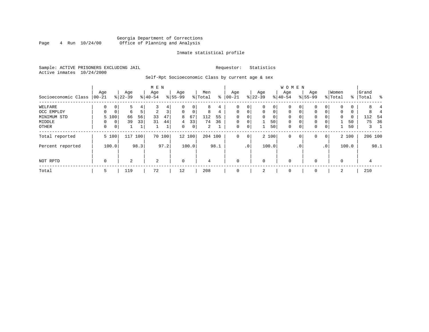# Georgia Department of Corrections<br>4 Run 10/24/00 Office of Planning and Analysis Page 4 Run  $10/24/00$  Office of Planning and Analysis

#### Inmate statistical profile

Sample: ACTIVE PRISONERS EXCLUDING JAIL **Requestor:** Statistics Active inmates 10/24/2000

Self-Rpt Socioeconomic Class by current age & sex

|                     |                 |                |                  | M E N |                 |                |                  |        |                |      |                  |                 |                  | W O M E N   |                  |             |                 |                 |                  |       |                    |         |
|---------------------|-----------------|----------------|------------------|-------|-----------------|----------------|------------------|--------|----------------|------|------------------|-----------------|------------------|-------------|------------------|-------------|-----------------|-----------------|------------------|-------|--------------------|---------|
| Socioeconomic Class | Age<br>$ 00-21$ |                | Age<br>$ 22-39 $ |       | Age<br>$ 40-54$ |                | Age<br>$8 55-99$ |        | Men<br>% Total | ႜ    | Age<br>$00 - 21$ |                 | Age<br>$ 22-39 $ |             | Age<br>$ 40-54 $ |             | Age<br>$ 55-99$ |                 | Women<br>% Total |       | Grand<br>%   Total | ႜ       |
|                     |                 |                |                  |       |                 |                |                  |        |                |      |                  |                 |                  |             |                  |             |                 |                 |                  |       |                    |         |
| WELFARE             | 0               | 0              | ל                |       | 3               | 4              |                  | 0      | 8              | 4    | 0                | 0               | $\mathbf 0$      | 0           | 0                | 0           | $\Omega$        |                 |                  | 0     | 8.                 |         |
| OCC EMPLOY          | 0               | $\mathbf{0}$   | 6                | 5     | $\overline{a}$  | 3 <sub>1</sub> | $\mathbf 0$      | 0      | 8              | 4    | $\mathbf 0$      | $\mathbf 0$     | $\mathbf{0}$     | $\mathbf 0$ | $\mathbf 0$      | $\mathbf 0$ | 0               | 0               | $\mathbf{0}$     | 0     | 8                  |         |
| MINIMUM STD         |                 | 5 100          | 66               | 56    | 33              | 47             | 8                | 67     | 112            | 55   | $\Omega$         |                 | 0                | 0           | 0                | 0           | 0               |                 | 0                | 0     | 112                | - 54    |
| MIDDLE              |                 | 0 <sup>1</sup> | 39               | 33    | 31              | 44             | $4\overline{ }$  | 33     | 74             | 36   | $\mathbf 0$      | $\mathbf 0$     |                  | 50          | $\mathbf 0$      | $\mathbf 0$ | 0               |                 |                  | 50    | 75                 | 36      |
| OTHER               | 0               | 0 <sup>1</sup> |                  |       |                 | ᅩ              | 0                | 0      | $\overline{2}$ |      | $\mathbf 0$      | 0               | 1                | 50          | $\mathbf 0$      | 0           | 0               | 0               |                  | 50    | 3                  |         |
| Total reported      |                 | 5 100          | 117              | 100   |                 | 70 100         |                  | 12 100 | 204 100        |      | $\mathbf 0$      | $\mathbf 0$     |                  | 2 100       | $\mathbf 0$      | 0           | 0               | 0 <sup>1</sup>  |                  | 2 100 |                    | 206 100 |
| Percent reported    |                 | 100.0          |                  | 98.3  |                 | 97.2           |                  | 100.0  |                | 98.1 |                  | .0 <sup>1</sup> |                  | 100.0       |                  | . 0         |                 | .0 <sup>1</sup> |                  | 100.0 |                    | 98.1    |
| NOT RPTD            | 0               |                | 2                |       | 2               |                | $\mathbf 0$      |        | 4              |      | $\mathbf{0}$     |                 | $\mathbf 0$      |             | $\mathbf 0$      |             |                 |                 | $\Omega$         |       | 4                  |         |
|                     |                 |                |                  |       |                 |                |                  |        |                |      |                  |                 |                  |             |                  |             |                 |                 |                  |       |                    |         |
| Total               | 5               |                | 119              |       | 72              |                | 12               |        | 208            |      | $\mathbf{0}$     |                 | 2                |             | 0                |             | 0               |                 | 2                |       | 210                |         |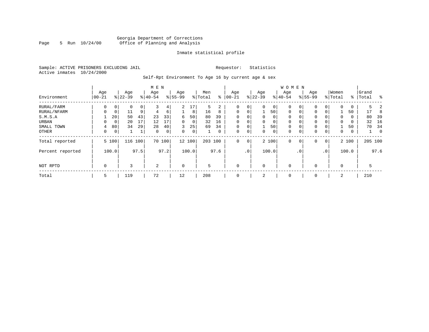# Georgia Department of Corrections Page 5 Run  $10/24/00$  Office of Planning and Analysis

#### Inmate statistical profile

Sample: ACTIVE PRISONERS EXCLUDING JAIL **Requestor:** Statistics Active inmates 10/24/2000

Self-Rpt Environment To Age 16 by current age & sex

|                  |                 |             |                  |      | M E N            |        |                  |                |                |      |                  |                |                 |                | <b>WOMEN</b>    |             |                    |          |                  |       |                |                |
|------------------|-----------------|-------------|------------------|------|------------------|--------|------------------|----------------|----------------|------|------------------|----------------|-----------------|----------------|-----------------|-------------|--------------------|----------|------------------|-------|----------------|----------------|
| Environment      | Age<br>$ 00-21$ |             | Age<br>$8 22-39$ |      | Age<br>$8 40-54$ |        | Age<br>$8 55-99$ |                | Men<br>% Total | ႜ    | Age<br>$00 - 21$ |                | Age<br>$ 22-39$ |                | Age<br>$ 40-54$ |             | Age<br>$8155 - 99$ |          | Women<br>% Total | ႜ     | Grand<br>Total | န္             |
| RURAL/FARM       | 0               | 0           | $\Omega$         | 0    | 3                | 4      | $\overline{a}$   | 17             | 5              | 2    | $\Omega$         | $\overline{0}$ | 0               | $\circ$        | 0               |             | $\mathbf{0}$       | 0        | $\Omega$         | 0     | 5              |                |
| RURAL/NFARM      | 0               | 0           | 11               | 9    | 4                | 6      |                  | 8              | 16             | 8    | $\mathbf 0$      | $\overline{0}$ |                 | 50             | $\mathbf 0$     | 0           | $\mathbf{0}$       | 0        |                  | 50    | 17             | 8              |
| S.M.S.A          |                 | 20          | 50               | 43   | 23               | 33     | 6                | 50             | 80             | 39   | $\Omega$         | 0              | $\Omega$        | $\overline{0}$ | 0               |             | $\mathbf 0$        | 0        | 0                | 0     | 80             | 39             |
| URBAN            | 0               | $\mathbf 0$ | 20               | 17   | 12               | 17     | $\Omega$         | $\overline{0}$ | 32             | 16   | $\Omega$         | 0              |                 | 0 <sup>1</sup> | 0               |             | 0                  | $\Omega$ | $\Omega$         | 0     | 32             | 16             |
| SMALL TOWN       | 4               | 80          | 34               | 29   | 28               | 40     | 3                | 25             | 69             | 34   | $\Omega$         | 0              |                 | 50             | $\mathbf 0$     |             | 0                  | $\Omega$ |                  | 50    | 70             | 34             |
| OTHER            | 0               | 0           |                  |      | $\Omega$         | 0      | $\Omega$         | $\overline{0}$ |                | 0    | 0                | $\overline{0}$ | $\Omega$        | $\overline{0}$ | 0               | $\Omega$    | $\mathbf{0}$       | 0        | $\Omega$         | 0     |                | $\overline{0}$ |
| Total reported   |                 | 5 100       | 116              | 100  |                  | 70 100 |                  | 12 100         | 203 100        |      | $\mathbf{0}$     | 0 <sup>1</sup> |                 | 2 100          | $\Omega$        | $\mathbf 0$ | $\mathbf 0$        | 0        |                  | 2 100 |                | 205 100        |
| Percent reported |                 | 100.0       |                  | 97.5 |                  | 97.2   |                  | 100.0          |                | 97.6 |                  | .0'            |                 | 100.0          |                 | $\cdot$ 0   |                    | .0'      |                  | 100.0 |                | 97.6           |
| NOT RPTD         | $\mathbf 0$     |             | 3                |      | 2                |        | $\mathbf 0$      |                | 5              |      | $\Omega$         |                | $\Omega$        |                | $\mathbf 0$     |             | $\mathbf 0$        |          | $\Omega$         |       | 5              |                |
| Total            | 5               |             | 119              |      | 72               |        | 12               |                | 208            |      | 0                |                | 2               |                | 0               |             | 0                  |          | 2                |       | 210            |                |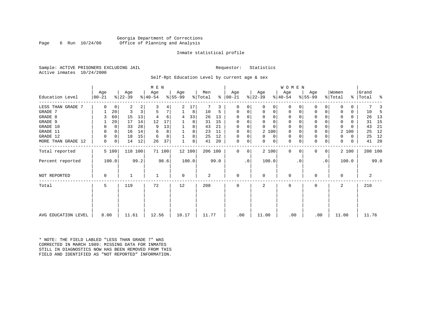### Georgia Department of Corrections Page 6 Run 10/24/00 Office of Planning and Analysis

#### Inmate statistical profile

Sample: ACTIVE PRISONERS EXCLUDING JAIL **Requestor:** Statistics Active inmates 10/24/2000

Self-Rpt Education Level by current age & sex

|                     |                 |       |                  |         | M E N            |        |                 |       |                |      |                 |           |                  |          | WOMEN            |             |                  |              |                  |       |                    |         |
|---------------------|-----------------|-------|------------------|---------|------------------|--------|-----------------|-------|----------------|------|-----------------|-----------|------------------|----------|------------------|-------------|------------------|--------------|------------------|-------|--------------------|---------|
| Education Level     | Age<br>$ 00-21$ |       | Age<br>$ 22-39 $ |         | Age<br>$ 40-54 $ |        | Age<br>$ 55-99$ |       | Men<br>% Total | ⊱    | Age<br>$ 00-21$ |           | Age<br>$ 22-39 $ |          | Age<br>$ 40-54 $ |             | Age<br>$8 55-99$ |              | Women<br>% Total |       | Grand<br>%   Total | နွ      |
| LESS THAN GRADE 7   | $\Omega$        | 0     | 2                | 2       |                  | 4      | 2               | 17    |                | 3    | 0               | 0         | $\Omega$         | 0        | 0                | O           | 0                | 0            |                  | 0     |                    |         |
| GRADE 7             |                 | 20    | 3                | 3       |                  | 7      |                 | 8     | 10             | 5    | $\Omega$        | 0         | 0                | 0        | $\mathbf 0$      | $\Omega$    | $\Omega$         |              |                  | 0     | 10                 | .5      |
| GRADE 8             |                 | 60    | 15               | 13      |                  | 6      | 4               | 33    | 26             | 13   | $\Omega$        |           | $\Omega$         | 0        | 0                | O           | $\Omega$         |              | <sup>0</sup>     | 0     | 26                 | 13      |
| GRADE 9             |                 | 20    | 17               | 14      | 12               | 17     |                 | 8     | 31             | 15   |                 |           | $\Omega$         | $\Omega$ | 0                |             | 0                |              | 0                | 0     | 31                 | 15      |
| GRADE 10            | 0               | 0     | 33               | 28      | 9                | 13     |                 | 8     | 43             | 21   | $\Omega$        | 0         | $\Omega$         | $\Omega$ | 0                | $\Omega$    | 0                |              | 0                | U     | 43                 | 21      |
| GRADE 11            | $\Omega$        | 0     | 16               | 14      | 6                | 8      |                 | 8     | 23             | 11   | $\Omega$        |           | 2 100            |          | 0                |             | 0                |              | 2                | 100   | 25                 | 12      |
| GRADE 12            | 0               | 0     | 18               | 15      | 6                | 8      |                 | 8     | 25             | 12   | $\Omega$        | 0         | $\Omega$         | 0        | 0                | $\Omega$    | 0                |              | 0                | 0     | 25                 | 12      |
| MORE THAN GRADE 12  | 0               | 0     | 14               | 12      | 26               | 37     |                 | 8     | 41             | 20   | 0               | 0         | 0                | 0        | $\mathbf 0$      | $\mathbf 0$ | $\mathbf 0$      | 0            | 0                | 0     | 41                 | 20      |
| Total reported      |                 | 5 100 |                  | 118 100 |                  | 71 100 | 12 100          |       | 206 100        |      | $\Omega$        | 0         | 2 100            |          | $\mathbf{0}$     | $\Omega$    | $\Omega$         | $\mathbf{0}$ |                  | 2 100 |                    | 208 100 |
| Percent reported    |                 | 100.0 |                  | 99.2    |                  | 98.6   |                 | 100.0 |                | 99.0 |                 | $\cdot$ 0 | 100.0            |          |                  | . 0         |                  | $\cdot$ 0    |                  | 100.0 |                    | 99.0    |
| NOT REPORTED        | 0               |       |                  |         |                  |        | $\mathbf 0$     |       | 2              |      | $\mathbf 0$     |           | 0                |          | $\mathbf 0$      |             | 0                |              | 0                |       |                    | 2       |
| Total               | 5               |       | 119              |         | 72               |        | 12              |       | 208            |      | $\Omega$        |           | $\mathbf{2}$     |          | 0                |             | $\Omega$         |              |                  |       | 210                |         |
|                     |                 |       |                  |         |                  |        |                 |       |                |      |                 |           |                  |          |                  |             |                  |              |                  |       |                    |         |
| AVG EDUCATION LEVEL | 8.00            |       | 11.61            |         | 12.56            |        | 10.17           |       | 11.77          |      | .00             |           | 11.00            |          | .00              |             | .00              |              | 11.00            |       |                    | 11.76   |

\* NOTE: THE FIELD LABLED "LESS THAN GRADE 7" WAS CORRECTED IN MARCH 1989: MISSING DATA FOR INMATES STILL IN DIAGNOSTICS NOW HAS BEEN REMOVED FROM THIS FIELD AND IDENTIFIED AS "NOT REPORTED" INFORMATION.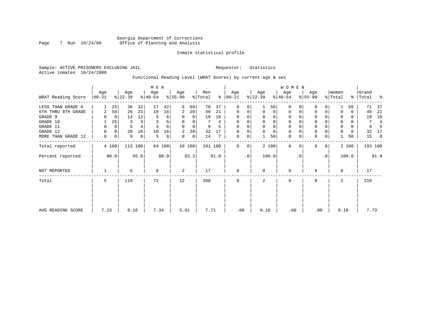# Georgia Department of Corrections Page 7 Run 10/24/00 Office of Planning and Analysis

### Inmate statistical profile

Sample: ACTIVE PRISONERS EXCLUDING JAIL **Requestor:** Statistics Active inmates 10/24/2000

Functional Reading Level (WRAT Scores) by current age & sex

|                    |                 |       |                  |         | M E N            |        |                  |        |                |      |                      |           |                  |                | <b>WOMEN</b>     |           |                  |             |                  |       |                |      |
|--------------------|-----------------|-------|------------------|---------|------------------|--------|------------------|--------|----------------|------|----------------------|-----------|------------------|----------------|------------------|-----------|------------------|-------------|------------------|-------|----------------|------|
| WRAT Reading Score | Age<br>$ 00-21$ |       | Age<br>$ 22-39 $ |         | Age<br>$ 40-54 $ |        | Age<br>$8 55-99$ |        | Men<br>% Total |      | Age<br>$8   00 - 21$ |           | Age<br>$ 22-39 $ |                | Age<br>$ 40-54 $ |           | Age<br>$ 55-99 $ |             | Women<br>% Total | ွေ    | Grand<br>Total | ႜ    |
| LESS THAN GRADE 6  |                 | 25    | 36               | 32      | 27               | 42     | 6                | 60     | 70             | 37   | $\mathbf 0$          | 0         |                  | 50             | $\Omega$         |           | $\mathbf{0}$     | 0           |                  | 50    | 71             | 37   |
| 6TH THRU 8TH GRADE | 2               | 50    | 26               | 23      | 10               | 16     | 2                | 20     | 40             | 21   | 0                    | 0         | $\mathbf 0$      | $\overline{0}$ | 0                |           | 0                | 0           |                  | 0     | 40             | 21   |
| GRADE 9            |                 | 0     | 14               | 12      | 5                | 8      | 0                | 0      | 19             | 10   | 0                    |           |                  |                |                  |           | 0                |             |                  | 0     | 19             | 10   |
| GRADE 10           |                 | 25    | 3                |         |                  | 5      | 0                | 0      |                | 4    | 0                    | 0         |                  | 0              | 0                |           | 0                |             | 0                | 0     | 7              | 4    |
| GRADE 11           | 0               | 0     | 5                |         |                  | 6      | $\Omega$         | 0      | 9              |      | $\Omega$             |           |                  |                |                  |           | $\mathbf 0$      |             | 0                | 0     | 9              |      |
| GRADE 12           | 0               | 0     | 20               | 18      | 10               | 16     | 2                | 20     | 32             | 17   | $\Omega$             | 0         |                  | $\Omega$       | 0                |           | $\mathbf 0$      |             | 0                | 0     | 32             | 17   |
| MORE THAN GRADE 12 | 0               | 0     | 9                | 8       | 5                | 8      | 0                | 0      | 14             | 7    | 0                    | 0         |                  | 50             | 0                |           | $\mathbf 0$      | 0           |                  | 50    | 15             | -8   |
| Total reported     |                 | 4 100 |                  | 113 100 |                  | 64 100 |                  | 10 100 | 191 100        |      | $\Omega$             | 0         |                  | 2 100          | $\mathbf 0$      | $\Omega$  | $\mathbf{0}$     | $\mathbf 0$ |                  | 2 100 | 193 100        |      |
| Percent reported   |                 | 80.0  |                  | 95.0    |                  | 88.9   |                  | 83.3   |                | 91.8 |                      | $\cdot$ 0 |                  | 100.0          |                  | $\cdot$ 0 |                  | $\cdot$ 0   |                  | 100.0 |                | 91.9 |
| NOT REPORTED       |                 |       | 6                |         | 8                |        | 2                |        | 17             |      | $\mathbf 0$          |           | $\Omega$         |                | $\mathbf 0$      |           | 0                |             | $\Omega$         |       | 17             |      |
| Total              | 5               |       | 119              |         | 72               |        | 12               |        | 208            |      | $\mathbf 0$          |           | 2                |                | 0                |           | 0                |             | 2                |       | 210            |      |
|                    |                 |       |                  |         |                  |        |                  |        |                |      |                      |           |                  |                |                  |           |                  |             |                  |       |                |      |
| AVG READING SCORE  | 7.23            |       | 8.10             |         | 7.34             |        | 5.91             |        | 7.71           |      | .00                  |           | 9.10             |                | .00              |           |                  | .00         | 9.10             |       | 7.73           |      |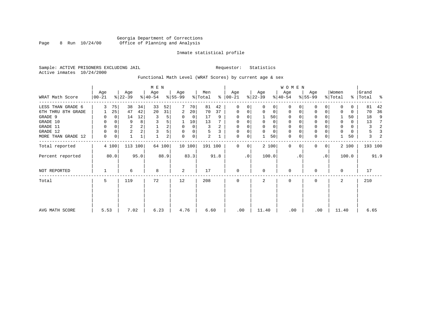# Georgia Department of Corrections Page 8 Run 10/24/00 Office of Planning and Analysis

#### Inmate statistical profile

Sample: ACTIVE PRISONERS EXCLUDING JAIL **Requestor:** Statistics Active inmates 10/24/2000

Functional Math Level (WRAT Scores) by current age & sex

|                    |                   |          |                  |         | M E N            |                |                  |             |                            |      |                 |             |                  |       | W O M E N        |          |                  |           |                  |       |                    |               |
|--------------------|-------------------|----------|------------------|---------|------------------|----------------|------------------|-------------|----------------------------|------|-----------------|-------------|------------------|-------|------------------|----------|------------------|-----------|------------------|-------|--------------------|---------------|
| WRAT Math Score    | Age<br>$ 00 - 21$ |          | Age<br>$ 22-39 $ |         | Age<br>$ 40-54 $ |                | Age<br>$ 55-99 $ |             | Men<br>$\frac{1}{2}$ Total | ွေ   | Age<br>$ 00-21$ |             | Age<br>$ 22-39 $ |       | Age<br>$ 40-54 $ |          | Age<br>$8 55-99$ |           | Women<br>% Total |       | Grand<br>%   Total | $\frac{1}{6}$ |
| LESS THAN GRADE 6  | 3                 | 75       | 38               | 34      | 33               | 52             | 7                | 70          | 81                         | 42   | 0               | $\Omega$    | $\Omega$         | 0     | $\Omega$         | $\Omega$ | 0                | $\Omega$  | U                | 0     | 81                 | 42            |
| 6TH THRU 8TH GRADE |                   | 25       | 47               | 42      | 20               | 31             | 2                | 20          | 70                         | 37   | 0               | 0           | $\mathbf 0$      | 0     | 0                | 0        | 0                | 0         |                  | 0     | 70                 | 36            |
| GRADE 9            |                   |          | 14               | 12      | 3                | 5              | 0                | 0           | 17                         | 9    | 0               |             |                  | 50    | 0                |          | $\Omega$         |           |                  | 50    | 18                 | 9             |
| GRADE 10           | 0                 |          | 9                | 8       | 3                | 5              | 1                | 10          | 13                         |      | 0               |             | 0                | 0     | 0                |          | 0                |           | $\mathbf 0$      | 0     | 13                 | 7             |
| GRADE 11           | 0                 |          | $\overline{2}$   |         |                  | 2              | 0                | $\mathbf 0$ | 3                          | 2    | 0               |             |                  | 0     | 0                |          | $\Omega$         |           |                  | 0     | 3                  | 2             |
| GRADE 12           | $\Omega$          | $\Omega$ | $\overline{2}$   |         | 3                |                | 0                | 0           | 5                          | 3    | 0               | 0           | 0                | 0     | 0                | $\Omega$ | 0                |           | $\Omega$         | 0     | 5                  | 3             |
| MORE THAN GRADE 12 | 0                 | 0        |                  | 1       |                  | $\overline{a}$ | 0                | $\mathbf 0$ | 2                          |      | 0               | 0           |                  | 50    | $\mathbf 0$      | 0        | $\mathbf 0$      | 0         |                  | 50    | 3                  | 2             |
| Total reported     |                   | 4 100    |                  | 113 100 |                  | 64 100         |                  | 10 100      | 191 100                    |      | $\mathbf{0}$    | $\mathbf 0$ |                  | 2 100 | $\mathbf 0$      | $\Omega$ | $\Omega$         | 0         |                  | 2 100 | 193 100            |               |
| Percent reported   |                   | 80.0     |                  | 95.0    |                  | 88.9           |                  | 83.3        |                            | 91.8 |                 | $\cdot$ 0   |                  | 100.0 |                  | . 0      |                  | $\cdot$ 0 |                  | 100.0 |                    | 91.9          |
| NOT REPORTED       |                   |          | 6                |         | 8                |                | 2                |             | 17                         |      | $\mathbf{0}$    |             | $\Omega$         |       | 0                |          | 0                |           | $\Omega$         |       | 17                 |               |
| Total              | 5                 |          | 119              |         | 72               |                | 12               |             | 208                        |      | $\mathbf{0}$    |             | 2                |       | 0                |          | 0                |           | $\overline{a}$   |       | 210                |               |
|                    |                   |          |                  |         |                  |                |                  |             |                            |      |                 |             |                  |       |                  |          |                  |           |                  |       |                    |               |
| AVG MATH SCORE     | 5.53              |          | 7.02             |         | 6.23             |                | 4.76             |             | 6.60                       |      | .00             |             | 11.40            |       | .00              |          |                  | .00       | 11.40            |       | 6.65               |               |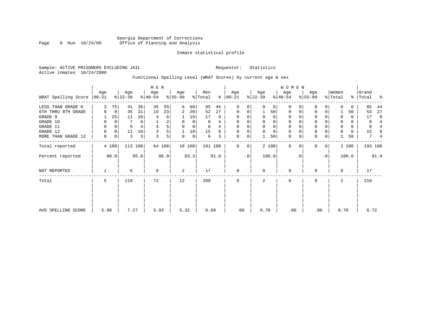# Georgia Department of Corrections Page 9 Run  $10/24/00$  Office of Planning and Analysis

### Inmate statistical profile

Sample: ACTIVE PRISONERS EXCLUDING JAIL **Requestor:** Statistics Active inmates 10/24/2000

# Functional Spelling Level (WRAT Scores) by current age & sex

| WRAT Spelling Score | Age<br>  00-21 |       | Age<br>$ 22-39 $ |         | M E N<br>Age<br>$ 40-54 $ |        | Age<br>$ 55-99 $ |             | Men<br>% Total |      | Age<br>$8   00-21$ |             | Age<br>$ 22-39 $ |             | <b>WOMEN</b><br>Age<br>$ 40-54 $ |          | Age<br>$8 55-99$ |                 | Women<br>% Total |       | Grand<br>%   Total | နွ             |
|---------------------|----------------|-------|------------------|---------|---------------------------|--------|------------------|-------------|----------------|------|--------------------|-------------|------------------|-------------|----------------------------------|----------|------------------|-----------------|------------------|-------|--------------------|----------------|
|                     |                |       |                  |         |                           |        |                  |             |                |      |                    |             |                  |             |                                  |          |                  |                 |                  |       |                    |                |
| LESS THAN GRADE 6   | 3              | 75    | 41               | 36      | 35                        | 55     | 6                | 60          | 85             | 45   | 0                  | 0           | $\Omega$         | $\Omega$    | $\Omega$                         | $\Omega$ | $\Omega$         | 0               | <sup>0</sup>     | 0     | 85<br>53           | 44<br>27       |
| 6TH THRU 8TH GRADE  | 0              | 0     | 35               | 31      | 15                        | 23     | 2                | 20          | 52             | 27   | 0                  | 0           |                  | 50          | 0                                | $\Omega$ | 0                | $\Omega$        |                  | 50    |                    |                |
| GRADE 9             |                | 25    | 11               | 10      | 4                         | 6      |                  | 10          | 17             | 9    | $\Omega$           | 0           | $\Omega$         | $\Omega$    | $\Omega$                         |          | 0                |                 | O                | 0     | 17                 | 9              |
| GRADE 10            | 0              | 0     |                  | 6       |                           | 2      | $\Omega$         | 0           | 8              | 4    | $\mathbf 0$        | 0           | $\Omega$         | $\mathbf 0$ | $\mathbf 0$                      |          | $\mathbf 0$      |                 |                  | 0     | 8                  | 4              |
| GRADE 11            | 0              | 0     | 5                |         |                           | 5      | $\Omega$         | 0           | 8              |      | $\Omega$           |             |                  | $\mathbf 0$ | $\mathbf 0$                      |          | $\Omega$         |                 | $\Omega$         | 0     | 8                  |                |
| GRADE 12            | 0              | 0     | 11               | 10      |                           | 5      |                  | 10          | 15             | 8    | $\mathbf{0}$       | 0           | $\Omega$         | $\mathbf 0$ | $\mathbf 0$                      |          | $\mathbf 0$      |                 |                  | 0     | 15                 | -8             |
| MORE THAN GRADE 12  | 0              | 0     | 3                | 3       | 3                         | 5      | 0                | $\mathbf 0$ | 6              | 3    | $\mathbf 0$        | $\mathbf 0$ |                  | 50          | $\mathbf 0$                      | 0        | $\mathbf 0$      | 0               |                  | 50    | 7                  | $\overline{4}$ |
| Total reported      |                | 4 100 |                  | 113 100 |                           | 64 100 |                  | 10 100      | 191 100        |      | $\Omega$           | 0           |                  | 2 100       | $\Omega$                         | $\Omega$ | <sup>0</sup>     | $\overline{0}$  |                  | 2 100 | 193 100            |                |
| Percent reported    |                | 80.0  |                  | 95.0    |                           | 88.9   |                  | 83.3        |                | 91.8 |                    | $\cdot$ 0   |                  | 100.0       |                                  | . 0      |                  | .0 <sup>1</sup> |                  | 100.0 |                    | 91.9           |
| NOT REPORTED        |                |       | 6                |         | 8                         |        | 2                |             | 17             |      | $\mathbf{0}$       |             | $\Omega$         |             | $\mathbf 0$                      |          | <sup>0</sup>     |                 | $\Omega$         |       | 17                 |                |
| Total               | 5              |       | 119              |         | 72                        |        | 12               |             | 208            |      | $\mathbf 0$        |             | 2                |             | $\mathbf 0$                      |          | 0                |                 | 2                |       | 210                |                |
|                     |                |       |                  |         |                           |        |                  |             |                |      |                    |             |                  |             |                                  |          |                  |                 |                  |       |                    |                |
| AVG SPELLING SCORE  | 5.98           |       | 7.27             |         | 5.93                      |        | 5.32             |             | 6.69           |      | .00                |             | 9.70             |             | .00                              |          | .00              |                 | 9.70             |       | 6.72               |                |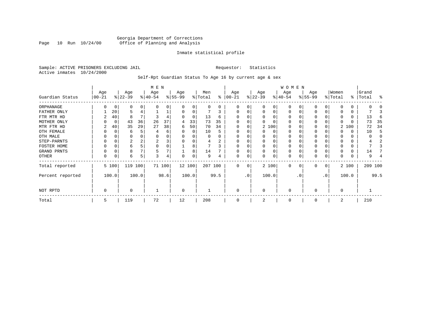# Georgia Department of Corrections Page 10 Run 10/24/00 Office of Planning and Analysis

#### Inmate statistical profile

Sample: ACTIVE PRISONERS EXCLUDING JAIL **Requestor:** Statistics Active inmates 10/24/2000

Self-Rpt Guardian Status To Age 16 by current age & sex

|                  | M E N            |       |                  |          |                  |        |                 |          |                |      |                   |     |                 |          | W O M E N        |          |                  |    |                  |       |                    |         |
|------------------|------------------|-------|------------------|----------|------------------|--------|-----------------|----------|----------------|------|-------------------|-----|-----------------|----------|------------------|----------|------------------|----|------------------|-------|--------------------|---------|
| Guardian Status  | Age<br>$00 - 21$ |       | Age<br>$ 22-39 $ |          | Age<br>$ 40-54 $ |        | Age<br>$ 55-99$ |          | Men<br>% Total | ႜ    | Age<br>$ 00 - 21$ |     | Age<br>$ 22-39$ |          | Age<br>$ 40-54 $ |          | Age<br>$ 55-99 $ |    | Women<br>% Total |       | Grand<br>%   Total | ႜ       |
|                  |                  |       |                  |          |                  |        |                 |          |                |      |                   |     |                 |          |                  |          |                  |    |                  |       |                    |         |
| ORPHANAGE        | U                | 0     | 0                | $\Omega$ |                  | 0      |                 | 0        | $\Omega$       | 0    | $\Omega$          | 0   |                 | 0        | 0                |          |                  |    |                  |       |                    |         |
| FATHER ONLY      |                  | 20    | 5                |          |                  |        |                 | $\Omega$ |                |      | 0                 | 0   | O               | $\Omega$ | $\Omega$         |          | <sup>0</sup>     |    |                  | 0     |                    |         |
| FTR MTR HD       | 2                | 40    | 8                |          |                  |        |                 | $\Omega$ | 13             | 6    |                   |     | O               |          | O                |          | O                |    |                  |       | 13                 | F       |
| MOTHER ONLY      |                  | 0     | 43               | 36       | 26               | 37     | 4               | 33       | 73             | 35   |                   |     |                 |          | O                |          | $\Omega$         |    |                  |       | 73                 | 35      |
| MTR FTR HD       | 2                | 40    | 35               | 29       | 27               | 38     | 6               | 50       | 70             | 34   | $\Omega$          | 0   |                 | 2 100    | $\Omega$         |          | 0                |    |                  | 2 100 | 72                 | 34      |
| OTH FEMALE       |                  |       | 6                |          |                  | 6      |                 | $\Omega$ | 10             |      |                   |     |                 | 0        | 0                |          | 0                |    |                  |       | 10                 | 5       |
| OTH MALE         |                  |       | 0                |          |                  | 0      |                 |          | 0              |      | $\Omega$          |     |                 |          | 0                |          |                  |    |                  |       |                    |         |
| STEP-PARNTS      | 0                | C     | 2                |          | 2                | 3      |                 | $\Omega$ | 4              | 2    | $\Omega$          |     |                 | $\Omega$ | 0                |          | 0                |    |                  |       |                    |         |
| FOSTER HOME      |                  |       | 6                |          | $\Omega$         | 0      |                 | 8        |                |      | $\Omega$          |     |                 |          | 0                |          |                  |    |                  |       |                    |         |
| GRAND PRNTS      | 0                | C     | 8                |          | 5                |        |                 | 8        | 14             |      | $\mathbf 0$       | 0   |                 | $\Omega$ | 0                |          | 0                |    |                  |       | 14                 |         |
| OTHER            | 0                | C     | 6                | 5        | 3                | 4      | $\Omega$        | 0        | 9              | 4    | $\mathbf 0$       | 0   |                 | 0        | 0                |          | $\Omega$         | 0  |                  |       | 9                  |         |
| Total reported   |                  | 5 100 | 119 100          |          |                  | 71 100 |                 | 12 100   | 207 100        |      | $\Omega$          | 0   |                 | 2 100    | $\Omega$         | $\Omega$ | $\Omega$         | 0  |                  | 2 100 |                    | 209 100 |
| Percent reported |                  | 100.0 |                  | 100.0    |                  | 98.6   |                 | 100.0    |                | 99.5 |                   | .0' |                 | 100.0    |                  | . 0      |                  | .0 |                  | 100.0 |                    | 99.5    |
| NOT RPTD         | 0                |       | $\Omega$         |          |                  |        | $\Omega$        |          |                |      | $\Omega$          |     | $\Omega$        |          | $\Omega$         |          | $\Omega$         |    | $\Omega$         |       |                    |         |
| Total            | 5                |       | 119              |          | 72               |        | 12              |          | 208            |      | $\Omega$          |     |                 |          | 0                |          | $\Omega$         |    | 2                |       | 210                |         |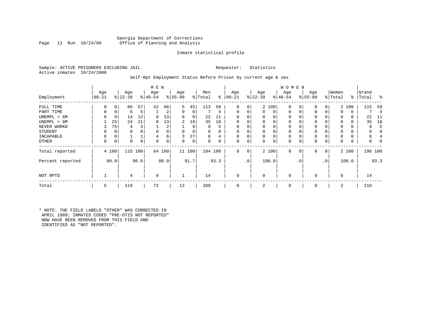### Georgia Department of Corrections<br>Page 11 Run 10/24/00 Office of Planning and Analysis Office of Planning and Analysis

### Inmate statistical profile

Sample: ACTIVE PRISONERS EXCLUDING JAIL **Requestor:** Statistics Active inmates 10/24/2000

#### Self-Rpt Employment Status Before Prison by current age & sex

|                  |                 |       |                  |      | M E N           |        |                 |        |                |      |                 |                |                  |          | W O M E N        |             |                 |              |                  |       |                    |      |
|------------------|-----------------|-------|------------------|------|-----------------|--------|-----------------|--------|----------------|------|-----------------|----------------|------------------|----------|------------------|-------------|-----------------|--------------|------------------|-------|--------------------|------|
| Employment       | Age<br>$ 00-21$ |       | Age<br>$ 22-39 $ |      | Age<br>$ 40-54$ |        | Age<br>$ 55-99$ |        | Men<br>% Total | ွေ   | Age<br>$ 00-21$ |                | Age<br>$ 22-39 $ |          | Age<br>$ 40-54 $ |             | Age<br>$ 55-99$ |              | Women<br>% Total |       | Grand<br>%   Total | ႜ    |
|                  |                 |       |                  |      |                 |        |                 |        |                |      |                 |                |                  |          |                  |             |                 |              |                  |       |                    |      |
| FULL TIME        | 0               | 0     | 66               | 57   | 42              | 66     | 5               | 45     | 113            | 58   | $\Omega$        | 0              |                  | 2 100    | $\mathbf 0$      | 0           | 0               | 0            |                  | 2 100 | 115                | 59   |
| PART TIME        | 0               | 0     | 6                | 5    |                 | 2      | 0               | 0      |                | 4    | $\Omega$        | 0              | $\mathbf{0}$     | 0        | $\mathbf 0$      | $\mathbf 0$ | $\Omega$        | $\Omega$     | $\Omega$         | 0     |                    | 4    |
| UNEMPL < 6M      | 0               | 0     | 14               | 12   | 8               | 13     | 0               | 0      | 22             |      |                 |                | 0                | 0        | $\mathbf 0$      | $\Omega$    | 0               |              | $\Omega$         | 0     | 22                 | -11  |
| UNEMPL > 6M      |                 | 25    | 24               | 21   | 8               | 13     | 2               | 18     | 35             | 18   |                 |                | $\Omega$         | $\Omega$ | $\mathbf 0$      | $\Omega$    | $\Omega$        |              | $\Omega$         | 0     | 35                 | 18   |
| NEVER WORKD      | 3               | 75    | 4                | 3    |                 | 2      |                 | 9      | 9              | 5    | $\Omega$        |                | 0                | 0        | $\mathbf 0$      | C           | $\Omega$        |              | $\Omega$         | 0     | 9                  | Е    |
| <b>STUDENT</b>   | 0               | 0     | 0                | 0    | $\Omega$        |        | 0               | 0      | 0              | 0    | $\Omega$        |                | $\mathbf 0$      | $\Omega$ | $\mathbf 0$      | $\Omega$    | 0               |              | $\Omega$         | 0     |                    |      |
| INCAPABLE        | $\Omega$        | 0     |                  |      | 4               | 6      | 3               | 27     | 8              | 4    |                 |                | 0                | 0        | 0                |             | 0               |              |                  |       | 8                  |      |
| <b>OTHER</b>     | 0               | 0     | 0                | 0    | O               | 0      | 0               | 0      | 0              | 0    | $\Omega$        | 0              | 0                | 0        | 0                | 0           | 0               | 0            | $\Omega$         | 0     | 0                  |      |
| Total reported   |                 | 4 100 | 115              | 100  |                 | 64 100 |                 | 11 100 | 194 100        |      | $\Omega$        | 0 <sup>1</sup> |                  | 2 100    | $\mathbf{0}$     | $\mathbf 0$ | 0               | $\mathbf{0}$ |                  | 2 100 | 196 100            |      |
| Percent reported |                 | 80.0  |                  | 96.6 |                 | 88.9   |                 | 91.7   |                | 93.3 |                 | .0'            |                  | 100.0    |                  | . 0         |                 | $\cdot$ 0    |                  | 100.0 |                    | 93.3 |
| NOT RPTD         |                 |       | 4                |      | 8               |        |                 |        | 14             |      | $\Omega$        |                | $\mathbf 0$      |          | $\mathbf{0}$     |             | $\Omega$        |              | $\Omega$         |       | 14                 |      |
| Total            | 5               |       | 119              |      | 72              |        | 12              |        | 208            |      |                 |                | 2                |          | $\mathbf 0$      |             | $\Omega$        |              | 2                |       | 210                |      |

\* NOTE: THE FIELD LABELD "OTHER" WAS CORRECTED IN APRIL 1989; INMATES CODED "PRE-OTIS NOT REPORTED" NOW HAVE BEEN REMOVED FROM THIS FIELD AND IDENTIFIED AS "NOT REPORTED".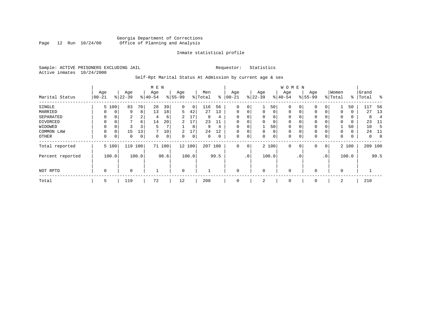# Georgia Department of Corrections Page 12 Run 10/24/00 Office of Planning and Analysis

### Inmate statistical profile

Sample: ACTIVE PRISONERS EXCLUDING JAIL **Requestor:** Statistics Active inmates 10/24/2000

# Self-Rpt Marital Status At Admission by current age & sex

|                  | M E N     |       |           |                |              |        |                |        |         |      |          |                 |              |       | <b>WOMEN</b> |             |           |              |          |       |           |                |
|------------------|-----------|-------|-----------|----------------|--------------|--------|----------------|--------|---------|------|----------|-----------------|--------------|-------|--------------|-------------|-----------|--------------|----------|-------|-----------|----------------|
|                  | Age       |       | Age       |                | Age          |        | Age            |        | Men     |      | Age      |                 | Age          |       | Age          |             | Age       |              | Women    |       | Grand     |                |
| Marital Status   | $00 - 21$ |       | $ 22-39 $ |                | $ 40-54$     |        | $8 55-99$      |        | % Total | ⊱    | $ 00-21$ |                 | $ 22-39 $    |       | $ 40-54 $    |             | $8 55-99$ |              | % Total  |       | %   Total | $^{\circ}$     |
| SINGLE           |           | 5 100 | 83        | 70             | 28           | 39     | 0              | 0      | 116     | 56   | 0        | 0               | 1            | 50    | $\mathbf 0$  | 0           | 0         | 0            |          | 50    | 117       | 56             |
| MARRIED          | $\Omega$  | 0     | 9         | 8              | 13           | 18     | 5              | 42     | 27      | 13   | 0        | 0               | 0            | 0     | $\mathbf 0$  | 0           | 0         | $\Omega$     | 0        | 0     | 27        | 13             |
| SEPARATED        | $\Omega$  | 0     | 2         | $\overline{2}$ | 4            | 6      | $\overline{2}$ | 17     | 8       | 4    | $\Omega$ |                 | $\mathbf{0}$ | 0     | $\mathbf 0$  | $\Omega$    | $\Omega$  |              | 0        | 0     | 8         | $\overline{4}$ |
| DIVORCED         | 0         | 0     | 7         | 6              | 14           | 20     | 2              | 17     | 23      | 11   | 0        | 0               | 0            | 0     | 0            | 0           | 0         |              | $\Omega$ | 0     | 23        | -11            |
| WIDOWED          | $\Omega$  | 0     |           |                | 5            |        |                | 8      | 9       | 4    | $\Omega$ | 0               |              | 50    | $\mathbf 0$  | $\Omega$    | 0         |              |          | 50    | 10        | -5             |
| COMMON LAW       | $\Omega$  | 0     | 15        | 13             | $\mathbf{r}$ | 10     | 2              | 17     | 24      | 12   | $\Omega$ |                 | $\mathbf{0}$ | 0     | $\mathbf 0$  | $\Omega$    | $\Omega$  |              | $\Omega$ | 0     | 24        | 11             |
| OTHER            | 0         | 0     | 0         | 0              | $\Omega$     | 0      | 0              | 0      | 0       | 0    | 0        | 0               | 0            | 0     | $\mathbf 0$  | 0           | 0         | 0            | 0        | 0     | 0         | $\overline{0}$ |
| Total reported   |           | 5 100 | 119       | 100            |              | 71 100 |                | 12 100 | 207     | 100  | 0        | 0               |              | 2 100 | $\mathbf 0$  | $\mathbf 0$ | 0         | $\mathbf{0}$ |          | 2 100 | 209 100   |                |
| Percent reported |           | 100.0 |           | 100.0          |              | 98.6   |                | 100.0  |         | 99.5 |          | .0 <sup>1</sup> |              | 100.0 |              | . 0         |           | $\cdot$ 0    |          | 100.0 |           | 99.5           |
| NOT RPTD         | 0         |       | $\Omega$  |                |              |        | $\mathbf 0$    |        |         |      | $\Omega$ |                 | 0            |       | $\mathbf 0$  |             | $\Omega$  |              | $\Omega$ |       |           |                |
| Total            | 5         |       | 119       |                | 72           |        | 12             |        | 208     |      | 0        |                 | 2            |       | 0            |             | 0         |              | 2        |       | 210       |                |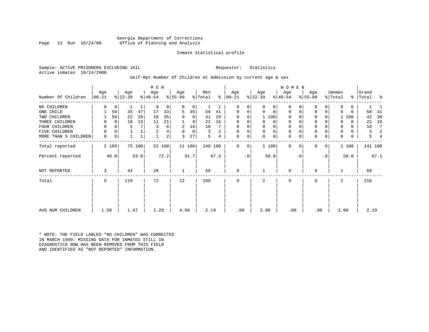Georgia Department of Corrections<br>Page 13 Run 10/24/00 Office of Planning and Analysis Office of Planning and Analysis

#### Inmate statistical profile

Sample: ACTIVE PRISONERS EXCLUDING JAIL **Requestor:** Statistics Active inmates 10/24/2000

# Self-Rpt Number Of Children At Admission by current age & sex

|                      |                   |             |                 |        | M E N            |                         |                  |        |                |      |                 |           |                  |             | WOMEN           |           |                  |     |                  |          |                |                |
|----------------------|-------------------|-------------|-----------------|--------|------------------|-------------------------|------------------|--------|----------------|------|-----------------|-----------|------------------|-------------|-----------------|-----------|------------------|-----|------------------|----------|----------------|----------------|
| Number Of Children   | Age<br>$ 00 - 21$ |             | Age<br>$ 22-39$ |        | Age<br>$ 40-54 $ |                         | Age<br>$8 55-99$ |        | Men<br>% Total | %    | Age<br>$ 00-21$ |           | Age<br>$ 22-39 $ |             | Age<br>$ 40-54$ |           | Age<br>$ 55-99 $ |     | Women<br>% Total | ႜၟ       | Grand<br>Total | န္             |
| NO CHILDREN          | 0                 | 0           |                 |        | $\mathbf 0$      | 0                       | 0                | 0      | 1              |      | 0               | 0         | 0                | 0           | 0               |           | 0                | 0   | 0                | $\Omega$ |                |                |
| ONE CHILD            |                   | 50          | 35              | 47     | 17               | 33                      | 5                | 45     | 58             | 41   | 0               | 0         | $\Omega$         | $\mathbf 0$ | 0               | $\Omega$  | $\mathbf 0$      | 0   | $\Omega$         | $\Omega$ | 58             | 41             |
| TWO CHILDREN         |                   | 50          | 22              | 29     | 18               | 35                      | $\Omega$         | 0      | 41             | 29   | $\Omega$        | 0         |                  | 1 100       | $\Omega$        |           | $\mathbf 0$      | 0   |                  | 1 100    | 42             | 30             |
| THREE CHILDREN       | 0                 | $\Omega$    | 10              | 13     | 11               | 21                      |                  | 9      | 22             | 16   | $\Omega$        | 0         | $\Omega$         | 0           | 0               |           | $\mathbf 0$      | O   | O                | $\Omega$ | 22             | 16             |
| FOUR CHILDREN        | 0                 | $\Omega$    | 5               |        |                  | 6                       | 2                | 18     | 10             |      | $\Omega$        | 0         |                  | $\mathbf 0$ | 0               |           | $\mathbf 0$      |     | 0                | $\Omega$ | 10             |                |
| FIVE CHILDREN        | 0                 | $\mathbf 0$ |                 |        | 2                | 4                       | $\Omega$         | 0      | 3              | 2    | 0               | 0         | $\mathbf 0$      | $\mathbf 0$ | 0               |           | $\mathsf 0$      | 0   | 0                | $\Omega$ | 3              | $\mathfrak{D}$ |
| MORE THAN 5 CHILDREN | 0                 | 0           |                 |        |                  | $\overline{\mathbf{c}}$ | 3                | 27     | 5              | 4    | 0               | 0         | $\Omega$         | 0           | $\mathbf 0$     | 0         | $\mathbf 0$      | 0   | $\mathbf 0$      | 0        | 5              |                |
| Total reported       |                   | 2 100       |                 | 75 100 |                  | 52 100                  |                  | 11 100 | 140 100        |      | $\Omega$        | 0         |                  | 1 100       | $\Omega$        | $\Omega$  | $\Omega$         | 0   |                  | 1 100    |                | 141 100        |
| Percent reported     |                   | 40.0        |                 | 63.0   |                  | 72.2                    |                  | 91.7   |                | 67.3 |                 | $\cdot$ 0 |                  | 50.0        |                 | $\cdot$ 0 |                  | .0' |                  | 50.0     |                | 67.1           |
| NOT REPORTED         | 3                 |             | 44              |        | 20               |                         |                  |        | 68             |      | $\mathbf 0$     |           |                  |             | 0               |           | $\mathbf 0$      |     |                  |          | 69             |                |
| Total                | 5                 |             | 119             |        | 72               |                         | 12               |        | 208            |      | $\Omega$        |           | 2                |             | $\mathbf 0$     |           | $\mathbf 0$      |     | 2                |          | 210            |                |
| AVG NUM CHILDREN     | 1.50              |             | 1.87            |        | 2.29             |                         | 4.09             |        | 2.19           |      | .00             |           | 2.00             |             | .00             |           | .00              |     | 2.00             |          | 2.19           |                |

\* NOTE: THE FIELD LABLED "NO CHILDREN" WAS CORRECTED IN MARCH 1989: MISSING DATA FOR INMATES STILL IN DIAGNOSTICS NOW HAS BEEN REMOVED FROM THIS FIELD AND IDENTIFIED AS "NOT REPORTED" INFORMATION.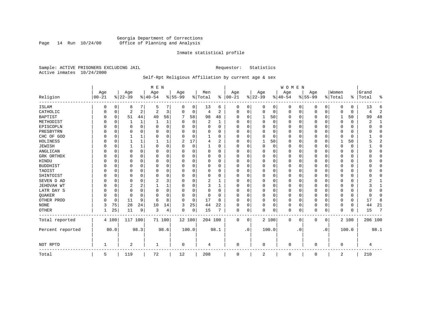# Georgia Department of Corrections<br>Page 14 Run 10/24/00 Office of Planning and Analysis Page 14 Run 10/24/00 Office of Planning and Analysis

#### Inmate statistical profile

Sample: ACTIVE PRISONERS EXCLUDING JAIL **Requestor:** Statistics Active inmates 10/24/2000

# Self-Rpt Religious Affiliation by current age & sex

|                  |           |             |          |              | M E N          |          |           |          |          |                |          |           |              |       | WOMEN    |           |          |             |          |          |              |                |
|------------------|-----------|-------------|----------|--------------|----------------|----------|-----------|----------|----------|----------------|----------|-----------|--------------|-------|----------|-----------|----------|-------------|----------|----------|--------------|----------------|
|                  | Age       |             | Age      |              | Age            |          | Age       |          | Men      |                | Age      |           | Age          |       | Age      |           | Age      |             | Women    |          | Grand        |                |
| Religion         | $00 - 21$ |             | $ 22-39$ |              | $ 40-54$       |          | $8 55-99$ |          | % Total  | ⊱              | $ 00-21$ |           | $ 22-39$     |       | $ 40-54$ |           | $ 55-99$ |             | % Total  | ႜ        | Total        | ႜ              |
| <b>ISLAM</b>     | 0         | 0           | 8        | 7            | .5             | 7        | 0         | 0        | 13       | 6              | 0        | 0         | 0            | 0     | 0        | 0         | 0        | 0           | 0        | $\Omega$ | 13           | 6              |
| CATHOLIC         | O         | 0           | 2        | 2            | $\overline{2}$ | 3        | $\Omega$  | 0        | 4        | $\overline{2}$ | $\Omega$ | 0         | $\mathbf 0$  | 0     | 0        | 0         | 0        | $\mathbf 0$ | $\Omega$ | 0        | 4            | 2              |
| <b>BAPTIST</b>   |           | 0           | 51       | 44           | 40             | 56       | 7         | 58       | 98       | 48             | $\Omega$ | 0         | 1            | 50    | $\Omega$ | 0         | 0        | 0           |          | 50       | 99           | 48             |
| METHODIST        |           | 0           |          | 1            | -1             |          |           | 0        | 2        | 1              | 0        | $\Omega$  | $\Omega$     | 0     | 0        | 0         | C        | $\Omega$    | $\Omega$ | $\Omega$ | 2            | $\mathbf{1}$   |
| EPISCOPLN        |           | $\Omega$    | 0        | $\Omega$     | 0              | 0        | 0         | 0        | $\Omega$ | O              | $\Omega$ | ∩         | $\Omega$     | 0     | 0        | 0         | 0        | $\Omega$    | $\Omega$ | 0        | U            | $\mathbf 0$    |
| PRESBYTRN        |           | $\Omega$    | U        | <sup>0</sup> | $\Omega$       | $\Omega$ | U         | $\Omega$ | $\Omega$ | O              | O        | $\Omega$  | <sup>0</sup> | 0     | O        | $\Omega$  | 0        | $\Omega$    | $\Omega$ | $\Omega$ | O            | $\Omega$       |
| CHC OF GOD       |           | $\Omega$    |          | 1            | $\Omega$       | $\Omega$ | U         | $\Omega$ |          | U              | $\Omega$ | ∩         | $\Omega$     | 0     | $\Omega$ | $\Omega$  | $\Omega$ | $\Omega$    | $\Omega$ | $\Omega$ |              | $\Omega$       |
| HOLINESS         |           | $\mathbf 0$ |          | 1            |                |          | 2         | 17       | 4        | $\overline{c}$ | $\Omega$ |           | 1            | 50    | $\Omega$ | $\Omega$  | 0        | $\Omega$    |          | 50       |              | $\overline{2}$ |
| <b>JEWISH</b>    |           | 0           |          | 1            | $\Omega$       | 0        | 0         | 0        |          | 0              | $\Omega$ | $\Omega$  | $\Omega$     | 0     | $\Omega$ | 0         | 0        | 0           | $\Omega$ | 0        |              | $\mathbf 0$    |
| ANGLICAN         |           | $\mathbf 0$ | 0        | $\Omega$     | 0              | $\Omega$ | U         | 0        | $\Omega$ | $\Omega$       | $\Omega$ | $\Omega$  | $\Omega$     | 0     | $\Omega$ | 0         | 0        | 0           | $\Omega$ | $\Omega$ |              | 0              |
| GRK ORTHDX       |           | $\Omega$    | 0        | $\Omega$     | $\Omega$       | $\Omega$ | U         | 0        | $\Omega$ | $\Omega$       | $\Omega$ | $\Omega$  | $\Omega$     | 0     | $\Omega$ | $\Omega$  | 0        | $\Omega$    | $\Omega$ | $\Omega$ |              | $\Omega$       |
| HINDU            |           | 0           | 0        | 0            | 0              | 0        | U         | 0        | $\Omega$ | 0              | $\Omega$ | $\Omega$  | 0            | 0     | $\Omega$ | $\Omega$  | 0        | 0           | $\Omega$ | 0        |              | 0              |
| <b>BUDDHIST</b>  |           | $\Omega$    |          | $\Omega$     | $\Omega$       | $\Omega$ |           | O        | $\Omega$ | O              | O        | $\Omega$  | $\Omega$     | 0     | 0        | 0         | 0        | $\Omega$    | $\Omega$ | $\Omega$ |              | $\Omega$       |
| TAOIST           |           | O           | 0        | 0            | $\Omega$       | 0        | U         | O        | $\Omega$ | O              | $\Omega$ | $\Omega$  | $\Omega$     | 0     | 0        | $\Omega$  | 0        | $\Omega$    | $\Omega$ | $\Omega$ |              | $\Omega$       |
| SHINTOIST        |           | $\Omega$    | U        | $\Omega$     | $\Omega$       | $\Omega$ | U         | O        | $\Omega$ | O              | ∩        | $\Omega$  | $\Omega$     | 0     | $\Omega$ | $\Omega$  | 0        | $\Omega$    | $\Omega$ | $\Omega$ |              | $\Omega$       |
| SEVEN D AD       |           | 0           | 0        | 0            | 2              | 3        | U         | 0        | 2        |                | $\Omega$ | $\Omega$  | $\Omega$     | 0     | $\Omega$ | $\Omega$  | 0        | $\Omega$    | $\Omega$ | 0        |              |                |
| JEHOVAH WT       |           | $\mathbf 0$ | 2        | 2            |                |          | U         | 0        | 3        |                | $\Omega$ |           | $\Omega$     | 0     | $\Omega$ | $\Omega$  | 0        | 0           | $\Omega$ | 0        |              |                |
| LATR DAY S       |           | 0           | 0        | $\Omega$     | 0              | $\Omega$ | 0         | 0        | 0        | 0              | $\Omega$ | $\Omega$  | $\Omega$     | 0     | $\Omega$ | 0         | 0        | 0           | $\Omega$ | 0        | U            | 0              |
| QUAKER           |           | 0           | 0        | $\Omega$     | $\Omega$       | $\Omega$ | U         | 0        | 0        | $\Omega$       | $\Omega$ | $\Omega$  | 0            | 0     | $\Omega$ | 0         | 0        | 0           | $\Omega$ | 0        | <sup>0</sup> | $\Omega$       |
| OTHER PROD       | ∩         | 0           | 11       | 9            | 6              | 8        | $\Omega$  | 0        | 17       | 8              | $\Omega$ | $\Omega$  | $\Omega$     | 0     | $\Omega$ | 0         | 0        | $\Omega$    | $\Omega$ | $\Omega$ | 17           | 8              |
| <b>NONE</b>      | 3         | 75          | 28       | 24           | 10             | 14       | 3         | 25       | 44       | 22             | $\Omega$ | $\Omega$  | 0            | 0     | $\Omega$ | 0         | 0        | $\Omega$    | $\Omega$ | $\Omega$ | 44           | 21             |
| OTHER            |           | 25          | 11       | 9            | 3              | 4        | 0         | 0        | 15       |                | 0        | 0         | $\Omega$     | 0     | 0        | 0         | 0        | 0           | $\Omega$ | $\Omega$ | 15           | 7              |
| Total reported   |           | 4 100       | 117 100  |              |                | 71 100   | 12 100    |          | 204 100  |                | $\Omega$ | 0         |              | 2 100 | $\Omega$ | 0         | 0        | 0           |          | 2 100    | 206 100      |                |
| Percent reported |           | 80.0        |          | 98.3         |                | 98.6     | 100.0     |          |          | 98.1           |          | $\cdot$ 0 |              | 100.0 |          | $\cdot$ 0 |          | $\cdot$ 0   |          | 100.0    |              | 98.1           |
| NOT RPTD         |           |             | 2        |              |                |          | $\Omega$  |          | 4        |                | $\Omega$ |           | 0            |       | $\Omega$ |           | O        |             | $\Omega$ |          | 4            |                |
| Total            | 5         |             | 119      |              | 72             |          | 12        |          | 208      |                | 0        |           | 2            |       | 0        |           | 0        |             | 2        |          | 210          |                |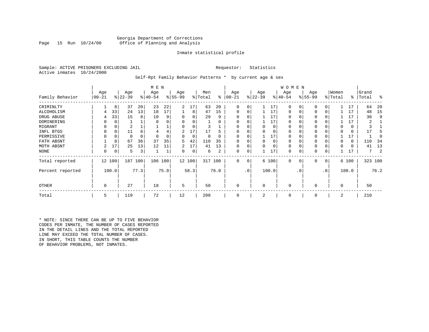### Georgia Department of Corrections<br>Page 15 Run 10/24/00 Office of Planning and Analysis Office of Planning and Analysis

#### Inmate statistical profile

Sample: ACTIVE PRISONERS EXCLUDING JAIL **Requestor:** Statistics Active inmates 10/24/2000

#### Self-Rpt Family Behavior Patterns \* by current age & sex

|                  |          |       |           |      | M E N     |      |           |        |         |      |              |           |           |       | W O M E N   |             |             |           |             |               |         |      |
|------------------|----------|-------|-----------|------|-----------|------|-----------|--------|---------|------|--------------|-----------|-----------|-------|-------------|-------------|-------------|-----------|-------------|---------------|---------|------|
|                  | Age      |       | Age       |      | Age       |      | Age       |        | Men     |      | Age          |           | Age       |       | Age         |             | Age         |           | Women       |               | Grand   |      |
| Family Behavior  | $ 00-21$ |       | $ 22-39 $ |      | $ 40-54 $ |      | $8 55-99$ |        | % Total | ៖    | $00 - 21$    |           | $ 22-39 $ |       | $ 40-54 $   |             | $8155 - 99$ |           | % Total     | $\frac{1}{6}$ | Total   | ႜ    |
| CRIMINLTY        |          | 8     | 37        | 20   | 23        | 22   | 2         | 17     | 63      | 20   | $\Omega$     |           |           | 17    | 0           | 0           | 0           |           |             | 17            | 64      | 20   |
| ALCOHOLISM       | 4        | 33    | 24        | 13   | 18        | 17   |           | 8      | 47      | 15   | 0            | 0         |           | 17    | 0           | 0           | 0           | 0         |             | 17            | 48      | 15   |
| DRUG ABUSE       | 4        | 33    | 15        | 8    | 10        |      |           |        | 29      | 9    |              |           |           | 17    | $\Omega$    |             | 0           |           |             | 17            | 30      | 9    |
| DOMINERING       | 0        | 0     |           |      |           |      |           |        |         |      |              |           |           | 17    | $\Omega$    |             |             |           |             | 17            | 2       |      |
| MIGRANT          | 0        | 0     | 2         |      |           |      |           |        |         |      |              |           |           | 0     |             |             |             |           |             | 0             |         |      |
| INFL BTGS        | 0        | 0     | 11        | 6    |           |      | 2         | 17     | 17      |      |              |           |           |       |             |             | 0           |           |             | 0             |         |      |
| PERMISSIVE       | 0        | 0     | 0         | 0    | $\Omega$  |      | 0         | 0      | 0       |      | $\Omega$     |           |           | 17    |             |             | 0           |           |             | 17            |         |      |
| FATH ABSNT       |          | 8     | 67        | 36   | 37        | 35   | 5         | 42     | 110     | 35   | <sup>0</sup> |           | $\Omega$  | 0     |             | $\Omega$    | 0           |           | n           | 0             | 110     | 34   |
| MOTH ABSNT       |          | 17    | 25        | 13   | 12        | 11   | 2         | 17     | 41      | 13   | $\Omega$     |           | $\Omega$  | 0     | 0           | $\Omega$    | 0           |           | $\Omega$    | 0             | 41      | 13   |
| NONE             | 0        | 0     | 5         | 3    |           |      | 0         | 0      | 6       | 2    | 0            | 0         |           | 17    | 0           |             | 0           | 0         |             |               |         | 2    |
| Total reported   | 12 100   |       | 187       | 100  | 106       | 100  |           | 12 100 | 317 100 |      | $\Omega$     | 0         |           | 6 100 | $\mathbf 0$ | $\mathbf 0$ | 0           | 0         |             | 6 100         | 323 100 |      |
| Percent reported |          | 100.0 |           | 77.3 |           | 75.0 |           | 58.3   |         | 76.0 |              | $\cdot$ 0 |           | 100.0 |             | . 0         |             | $\cdot$ 0 |             | 100.0         |         | 76.2 |
| <b>OTHER</b>     | 0        |       | 27        |      | 18        |      | 5         |        | 50      |      | $\Omega$     |           | $\Omega$  |       | $\Omega$    |             | 0           |           | $\mathbf 0$ |               | 50      |      |
| Total            | 5        |       | 119       |      | 72        |      | 12        |        | 208     |      | $\Omega$     |           | 2         |       | 0           |             | 0           |           | 2           |               | 210     |      |

\* NOTE: SINCE THERE CAN BE UP TO FIVE BEHAVIOR CODES PER INMATE, THE NUMBER OF CASES REPORTED IN THE DETAIL LINES AND THE TOTAL REPORTED LINE MAY EXCEED THE TOTAL NUMBER OF CASES. IN SHORT, THIS TABLE COUNTS THE NUMBER OF BEHAVIOR PROBLEMS, NOT INMATES.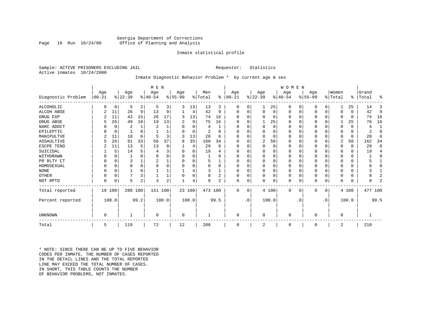#### Georgia Department of Corrections<br>Page 16 Run 10/24/00 Office of Planning and Analysis Office of Planning and Analysis

#### Inmate statistical profile

Sample: ACTIVE PRISONERS EXCLUDING JAIL **Requestor:** Statistics Active inmates 10/24/2000

# Inmate Diagnostic Behavior Problem \* by current age & sex

|                    |              |          |           |                | M E N          |       |          |          |         |                |           |           |              |          | <b>WOMEN</b> |           |           |             |          |              |           |                |
|--------------------|--------------|----------|-----------|----------------|----------------|-------|----------|----------|---------|----------------|-----------|-----------|--------------|----------|--------------|-----------|-----------|-------------|----------|--------------|-----------|----------------|
|                    | Age          |          | Age       |                | Age            |       | Age      |          | Men     |                | Age       |           | Age          |          | Age          |           | Age       |             | Women    |              | Grand     |                |
| Diagnostic Problem | $ 00 - 21$   |          | $ 22-39 $ |                | $8 40-54$      |       | $ 55-99$ |          | % Total | ွေ             | $ 00-21 $ |           | $ 22-39 $    |          | $ 40-54 $    |           | $ 55-99 $ |             | % Total  |              | %   Total | ႜ              |
| ALCOHOLIC          | <sup>0</sup> | 0        | 5         | 2              | 5              | 3     | 3        | 13       | 13      | 3              | 0         | 0         | $\mathbf{1}$ | 25       | 0            | 0         | 0         | 0           |          | 25           | 14        | 3              |
| <b>ALCOH ABSE</b>  |              | 11       | 26        | 9              | 13             | 9     |          | 4        | 42      | 9              | 0         | 0         | $\mathbf 0$  | 0        | 0            | 0         | 0         | $\mathbf 0$ | $\Omega$ | $\Omega$     | 42        | 9              |
| DRUG EXP           |              | 11       | 43        | 15             | 26             | 17    | 3        | 13       | 74      | 16             |           |           | $\Omega$     | 0        | $\Omega$     | 0         | 0         | $\Omega$    | $\Omega$ | $\Omega$     | 74        | 16             |
| DRUG ABSE          | 5            | 26       | 49        | 18             | 19             | 13    | 2        | 9        | 75      | 16             | U         |           |              | 25       | $\Omega$     | 0         | 0         | $\Omega$    |          | 25           | 76        | 16             |
| NARC ADDCT         |              | $\Omega$ | 2         | $\mathbf{1}$   | $\overline{2}$ |       | O        | $\Omega$ | 4       |                | U         |           | $\Omega$     | $\Omega$ | $\Omega$     | $\Omega$  | U         | $\Omega$    | $\Omega$ | $\Omega$     | 4         | $\mathbf{1}$   |
| EPILEPTIC          |              | 0        |           | $\Omega$       |                |       | U        | $\Omega$ | 2       | $\Omega$       | U         |           | $\Omega$     | O        | $\Omega$     | $\Omega$  | U         | $\Omega$    | $\Omega$ | $\Omega$     | 2         | $\Omega$       |
| MANIPULTVE         |              | 11       | 18        | 6              |                |       | 3        | 13       | 28      | 6              |           |           | $\Omega$     | 0        | $\Omega$     | $\Omega$  | 0         | $\Omega$    | $\Omega$ | $\Omega$     | 28        | 6              |
| ASSAULTIVE         |              | 26       | 91        | 33             | 56             | 37    | 8        | 35       | 160     | 34             | U         |           | 2            | 50       | $\Omega$     | 0         | 0         | 0           | 2        | 50           | 162       | 34             |
| ESCPE TEND         |              | 11       | 13        | 5              | 13             | 9     |          | 4        | 29      | 6              | U         |           | $\Omega$     | 0        | $\Omega$     | $\Omega$  |           | O           | $\Omega$ | $\Omega$     | 29        | 6              |
| SUICIDAL           |              | 5        | 14        |                |                |       |          | $\Omega$ | 19      |                | ∩         |           | $\Omega$     | O        | $\Omega$     | $\Omega$  |           | O           | ∩        | $\Omega$     | 19        | 4              |
| WITHDRAWN          |              | $\Omega$ |           |                |                |       |          | U        |         |                |           |           | $\Omega$     | O        | O            | $\Omega$  |           | O           |          | U            |           | $\Omega$       |
| PR RLTY CT         |              | $\Omega$ | 3         |                |                |       |          | U        | 5       |                | $\Omega$  |           | $\Omega$     | 0        | $\Omega$     | $\Omega$  |           | $\Omega$    | ∩        | $\Omega$     |           |                |
| HOMOSEXUAL         |              | $\Omega$ | 0         | $\Omega$       |                |       |          | U        | 0       | $\Omega$       | ∩         |           | $\Omega$     | $\Omega$ | $\Omega$     | $\Omega$  | 0         | $\Omega$    |          | U            |           | $\cap$         |
| <b>NONE</b>        |              | $\Omega$ |           | $\Omega$       |                |       |          |          |         |                | ∩         |           | $\Omega$     | O        | $\Omega$     | $\Omega$  | ი         | $\Omega$    |          | U            |           |                |
| OTHER              |              | $\Omega$ |           | 3              |                |       |          | 0        | 8       | $\overline{2}$ | $\Omega$  |           | $\Omega$     | O        | 0            | $\Omega$  | 0         | $\Omega$    | $\Omega$ | U            |           | 2              |
| NOT RPTD           | $\Omega$     | 0        | 5         | $\overline{a}$ | 3              | 2     |          | 4        | 9       | 2              | $\Omega$  | 0         | $\mathbf 0$  | 0        | 0            | 0         | U         | 0           | $\Omega$ | <sup>0</sup> | 9         | $\overline{2}$ |
| Total reported     | 19 100       |          | 280 100   |                | 151 100        |       |          | 23 100   | 473 100 |                | $\Omega$  | $\Omega$  |              | 4 100    | $\Omega$     | 0         | 0         | 0           |          | 4 100        | 477 100   |                |
| Percent reported   |              | 100.0    |           | 99.2           |                | 100.0 |          | 100.0    |         | 99.5           |           | $\cdot$ 0 |              | 100.0    |              | $\cdot$ 0 |           | $\cdot$ 0   |          | 100.0        |           | 99.5           |
|                    |              |          |           |                |                |       |          |          |         |                |           |           |              |          |              |           |           |             |          |              |           |                |
| <b>UNKNOWN</b>     | $\Omega$     |          |           |                | $\Omega$       |       | 0        |          |         |                | $\Omega$  |           | $\mathbf 0$  |          | $\Omega$     |           | 0         |             | $\Omega$ |              |           |                |
| Total              | 5            |          | 119       |                | 72             |       | 12       |          | 208     |                | $\Omega$  |           | 2            |          | 0            |           | 0         |             | 2        |              | 210       |                |

\* NOTE: SINCE THERE CAN BE UP TO FIVE BEHAVIOR CODES PER INMATE, THE NUMBER OF CASES REPORTED IN THE DETAIL LINES AND THE TOTAL REPORTED LINE MAY EXCEED THE TOTAL NUMBER OF CASES.IN SHORT, THIS TABLE COUNTS THE NUMBER OF BEHAVIOR PROBLEMS, NOT INMATES.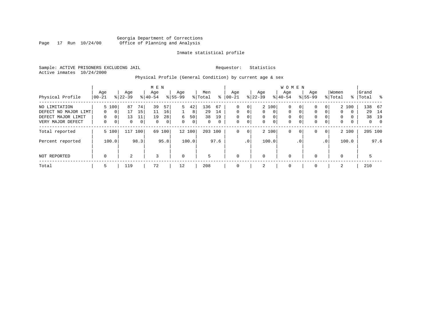# Georgia Department of Corrections Page 17 Run 10/24/00 Office of Planning and Analysis

### Inmate statistical profile

Sample: ACTIVE PRISONERS EXCLUDING JAIL **Requestor:** Statistics Active inmates 10/24/2000

# Physical Profile (General Condition) by current age & sex

|                      |                |              |                  |                | M E N            |      |                  |        |                |             |                  |                 |                  |             | <b>WOMEN</b>     |             |                    |                 |                  |          |                    |                |
|----------------------|----------------|--------------|------------------|----------------|------------------|------|------------------|--------|----------------|-------------|------------------|-----------------|------------------|-------------|------------------|-------------|--------------------|-----------------|------------------|----------|--------------------|----------------|
| Physical Profile     | Age<br>  00-21 |              | Age<br>$8 22-39$ |                | Age<br>$8 40-54$ |      | Age<br>$8 55-99$ |        | Men<br>% Total | ႜ           | Age<br>$00 - 21$ |                 | Age<br>$ 22-39 $ |             | Age<br>$8 40-54$ |             | Age<br>$8155 - 99$ |                 | Women<br>% Total |          | Grand<br>%   Total | း - မွ         |
|                      |                |              |                  |                |                  |      |                  |        |                |             |                  |                 |                  |             |                  |             |                    |                 |                  |          |                    |                |
| NO LIMITATION        |                | 5 100        | 87               | 74 l           | 39               | 57   | 5                | 42     | 136            | 67          | $\Omega$         | 0               |                  | 2 100       | 0                | 0           | 0                  | 0               |                  | 2 100    | 138                | 67             |
| DEFECT NO MAJOR LIMT | $\Omega$       | $\mathbf{0}$ | 17               | 15             | 11               | 16   |                  | 8      | 29             | 14          | $\Omega$         | $\Omega$        | $\mathbf{0}$     | $\mathbf 0$ | $\mathbf 0$      | $\mathbf 0$ | $\Omega$           | 0               | $\Omega$         | $\Omega$ | 29                 | 14             |
| DEFECT MAJOR LIMIT   | 0              | 0            | 13               | 11             | 19               | 28   | 6                | 50     | 38             | 19          | 0                | 0               | $\mathbf{0}$     | 0           | 0                | $\Omega$    | 0                  | 0               | $\mathbf{0}$     | 0        | 38                 | 19             |
| VERY MAJOR DEFECT    | 0              | $\mathbf{0}$ | 0                | 0 <sup>1</sup> | $\Omega$         | 0    | $\Omega$         | 0      | 0              | $\mathbf 0$ | 0                | 0               | $\mathbf{0}$     | 0           | $\mathbf 0$      | $\mathbf 0$ | 0                  | 0               | $\mathbf{0}$     | 0        | 0                  | $\overline{0}$ |
| Total reported       |                | 5 100        | 117              | 100            | 69               | 100  |                  | 12 100 | 203 100        |             | 0                | $\mathbf{0}$    |                  | 2 100       | 0                | 0           | 0                  | $\overline{0}$  |                  | 2 100    |                    | 205 100        |
| Percent reported     |                | 100.0        |                  | 98.3           |                  | 95.8 |                  | 100.0  |                | 97.6        |                  | .0 <sup>1</sup> |                  | 100.0       |                  | . 0         |                    | .0 <sup>1</sup> |                  | 100.0    |                    | 97.6           |
| NOT REPORTED         | $\mathbf 0$    |              | 2                |                | 3                |      | $\mathbf 0$      |        | 5              |             | $\mathbf 0$      |                 | 0                |             | $\mathbf 0$      |             | $\Omega$           |                 | 0                |          | 5                  |                |
| Total                | 5              |              | 119              |                | 72               |      | 12               |        | 208            |             | 0                |                 | 2                |             | 0                |             | $\Omega$           |                 | 2                |          | 210                |                |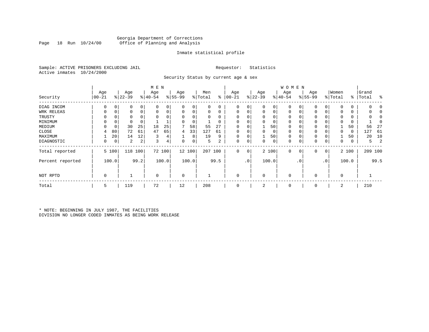# Georgia Department of Corrections Office of Planning and Analysis

#### Inmate statistical profile

Sample: ACTIVE PRISONERS EXCLUDING JAIL **Requestor:** Statistics Active inmates 10/24/2000

Security Status by current age & sex

|                  |           |          |           |          | M E N       |          |             |        |         |          |           |                 |             |       | W O M E N   |     |             |                |             |       |       |                |
|------------------|-----------|----------|-----------|----------|-------------|----------|-------------|--------|---------|----------|-----------|-----------------|-------------|-------|-------------|-----|-------------|----------------|-------------|-------|-------|----------------|
|                  | Age       |          | Age       |          | Age         |          | Age         |        | Men     |          | Age       |                 | Age         |       | Age         |     | Age         |                | Women       |       | Grand |                |
| Security         | $00 - 21$ |          | $ 22-39 $ |          | $ 40-54$    |          | $ 55-99 $   |        | % Total | ៖        | $00 - 21$ |                 | $ 22-39 $   |       | $ 40-54 $   |     | $8155 - 99$ |                | % Total     | ွေ    | Total | ႜ              |
| DIAG INCOM       | $\Omega$  | $\Omega$ | 0         | 0        |             |          | $\Omega$    | 0      | 0       | 0        |           | $\overline{0}$  | $\mathbf 0$ | 0     | 0           |     | 0           | 0              | $\Omega$    | 0     |       |                |
| WRK RELEAS       | 0         | 0        | 0         | 0        |             | 0        | 0           | 0      | 0       | 0        | 0         | 0               | 0           | 0     | 0           | 0   | 0           | 0              |             | 0     |       |                |
| TRUSTY           |           |          | 0         | $\Omega$ |             |          | $\Omega$    | 0      |         | $\Omega$ |           |                 | 0           |       | $\Omega$    |     | 0           |                | $\Omega$    | 0     |       |                |
| MINIMUM          |           | 0        | 0         | 0        |             |          | 0           | 0      |         | 0        |           |                 |             | 0     | 0           |     | 0           |                | $\Omega$    | 0     |       |                |
| MEDIUM           | U         | 0        | 30        | 25       | 18          | 25       |             | 58     | 55      | 27       | U         |                 |             | 50    | 0           |     | 0           |                |             | 50    | 56    | 27             |
| CLOSE            | 4         | 80       | 72        | 61       | 47          | 65       | 4           | 33     | 127     | 61       |           |                 | 0           | 0     | 0           |     | 0           |                | $\Omega$    | 0     | 127   | 61             |
| MAXIMUM          |           | 20       | 14        | 12       | 3           | 4        |             | 8      | 19      | 9        | $\Omega$  |                 |             | 50    | $\mathbf 0$ |     | $\Omega$    |                |             | 50    | 20    | 10             |
| DIAGNOSTIC       | 0         | 0        | 2         | 2        | 3           | $4\vert$ | 0           | 0      | 5       | 2        | 0         | 0               | 0           | 0     | 0           | 0   | 0           | 0              | 0           | 0     | 5     | $\overline{2}$ |
| Total reported   |           | 5 100    | 118       | 100      |             | 72 100   |             | 12 100 |         | 207 100  | 0         | 0               |             | 2 100 | $\mathbf 0$ | 0   | $\mathbf 0$ | $\overline{0}$ |             | 2 100 |       | 209 100        |
| Percent reported |           | 100.0    |           | 99.2     |             | 100.0    |             | 100.0  |         | 99.5     |           | .0 <sup>1</sup> |             | 100.0 |             | . 0 |             | $\cdot$ 0      |             | 100.0 |       | 99.5           |
| NOT RPTD         | 0         |          |           |          | $\mathbf 0$ |          | $\mathbf 0$ |        |         |          | $\Omega$  |                 | $\mathbf 0$ |       | 0           |     | $\Omega$    |                | $\mathbf 0$ |       |       |                |
| Total            | 5         |          | 119       |          | 72          |          | 12          |        | 208     |          | 0         |                 | 2           |       | 0           |     | $\mathbf 0$ |                | 2           |       | 210   |                |

\* NOTE: BEGINNING IN JULY 1987, THE FACILITIES DIVISION NO LONGER CODED INMATES AS BEING WORK RELEASE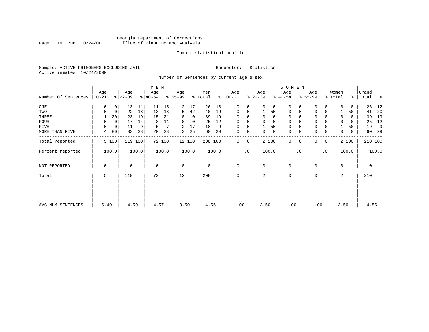# Georgia Department of Corrections Page 19 Run 10/24/00 Office of Planning and Analysis

#### Inmate statistical profile

Sample: ACTIVE PRISONERS EXCLUDING JAIL **Requestor:** Statistics Active inmates 10/24/2000

Number Of Sentences by current age & sex

|                     |                 |             |                  |       | M E N            |        |                  |                |                |       |                      |                |                  |                | W O M E N        |           |                  |           |                              |          |                |         |
|---------------------|-----------------|-------------|------------------|-------|------------------|--------|------------------|----------------|----------------|-------|----------------------|----------------|------------------|----------------|------------------|-----------|------------------|-----------|------------------------------|----------|----------------|---------|
| Number Of Sentences | Age<br>$ 00-21$ |             | Age<br>$ 22-39 $ |       | Age<br>$ 40-54 $ |        | Age<br>$8 55-99$ |                | Men<br>% Total |       | Age<br>$8   00 - 21$ |                | Age<br>$ 22-39 $ |                | Age<br>$ 40-54 $ |           | Age<br>$8 55-99$ |           | Women<br>$\frac{1}{2}$ Total | ႜ        | Grand<br>Total | ႜ       |
| ONE                 | 0               | $\mathbf 0$ | 13               | 11    | 11               | 15     | 2                | 17             | 26             | 13    | $\Omega$             | 0              | $\Omega$         | 0 <sup>1</sup> | $\Omega$         |           | $\mathbf 0$      | 0         | <sup>0</sup>                 | 0        | 26             | 12      |
| TWO                 | $\Omega$        | 0           | 22               | 18    | 13               | 18     | 5                | 42             | 40             | 19    | 0                    | 0              |                  | 50             | 0                |           | 0                | 0         |                              | 50       | 41             | 20      |
| THREE               |                 | 20          | 23               | 19    | 15               | 21     |                  | $\overline{0}$ | 39             | 19    | $\Omega$             |                | $\Omega$         | $\mathbf{0}$   | 0                |           | 0                |           | 0                            | 0        | 39             | 19      |
| FOUR                | $\Omega$        | $\mathbf 0$ | 17               | 14    | 8                | 11     | $\Omega$         | $\overline{0}$ | 25             | 12    | $\Omega$             | 0              |                  | $\mathbf 0$    | $\mathbf 0$      |           | $\mathbf 0$      |           | $\Omega$                     | $\Omega$ | 25             | 12      |
| FIVE                | $\Omega$        | $\mathbf 0$ | 11               | 9     | 5                | 7      | 2                | 17             | 18             | 9     | 0                    | 0              |                  | 50             | 0                |           | $\mathbf 0$      |           |                              | 50       | 19             | 9       |
| MORE THAN FIVE      | 4               | 80          | 33               | 28    | 20               | 28     | 3                | 25             | 60             | 29    | 0                    | $\overline{0}$ | 0                | 0 <sup>1</sup> | 0                |           | $\mathbf 0$      | 0         | 0                            | 0        | 60             | 29      |
| Total reported      |                 | 5 100       | 119              | 100   |                  | 72 100 |                  | 12 100         | 208 100        |       | $\Omega$             | 0              |                  | 2 100          | $\Omega$         |           | $\Omega$         | 0         |                              | 2 100    |                | 210 100 |
| Percent reported    |                 | 100.0       |                  | 100.0 |                  | 100.0  |                  | 100.0          |                | 100.0 |                      | $\cdot$ 0      |                  | 100.0          |                  | $\cdot$ 0 |                  | $\cdot$ 0 |                              | 100.0    |                | 100.0   |
| NOT REPORTED        | 0               |             | 0                |       | $\mathbf 0$      |        | $\mathbf 0$      |                | 0              |       | 0                    |                | $\Omega$         |                | $\mathbf 0$      |           | 0                |           | $\Omega$                     |          | 0              |         |
| Total               | 5               |             | 119              |       | 72               |        | 12               |                | 208            |       | $\Omega$             |                | 2                |                | $\Omega$         |           | $\Omega$         |           | 2                            |          | 210            |         |
|                     |                 |             |                  |       |                  |        |                  |                |                |       |                      |                |                  |                |                  |           |                  |           |                              |          |                |         |
| AVG NUM SENTENCES   | 6.40            |             | 4.59             |       | 4.57             |        | 3.50             |                | 4.56           |       | .00                  |                | 3.50             |                | .00              |           | .00              |           | 3.50                         |          | 4.55           |         |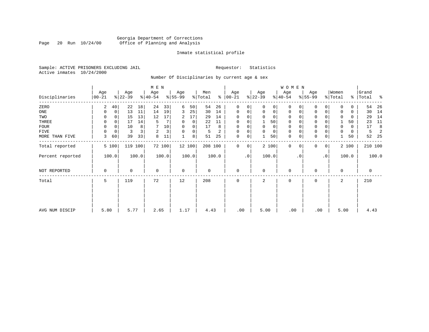# Georgia Department of Corrections<br>Page 20 Run 10/24/00 Office of Planning and Analysis Page 20 Run 10/24/00 Office of Planning and Analysis

### Inmate statistical profile

Sample: ACTIVE PRISONERS EXCLUDING JAIL **Requestor:** Statistics Active inmates 10/24/2000

Number Of Disciplinaries by current age & sex

|                  |                  |          |                  |       | M E N            |        |                 |          |                |       |                  |             |                 |          | WOMEN            |           |                  |                |                  |          |                |         |
|------------------|------------------|----------|------------------|-------|------------------|--------|-----------------|----------|----------------|-------|------------------|-------------|-----------------|----------|------------------|-----------|------------------|----------------|------------------|----------|----------------|---------|
| Disciplinaries   | Age<br>$00 - 21$ |          | Age<br>$ 22-39 $ |       | Age<br>$ 40-54 $ |        | Age<br>$ 55-99$ |          | Men<br>% Total | ి     | Age<br>$00 - 21$ |             | Age<br>$ 22-39$ |          | Age<br>$ 40-54 $ |           | Age<br>$ 55-99 $ |                | Women<br>% Total | ⊱        | Grand<br>Total | ႜ       |
| ZERO             | 2                | 40       | 22               | 18    | 24               | 33     | 6               | 50       | 54             | 26    | $\mathbf 0$      | 0           | $\Omega$        | $\Omega$ | 0                |           | 0                | 0              | $\Omega$         | 0        | 54             | 26      |
| ONE              | 0                | 0        | 13               | 11    | 14               | 19     | 3               | 25       | 30             | 14    | 0                | 0           | $\mathbf 0$     | 0        | 0                | 0         | $\mathbf 0$      | 0              | 0                | 0        | 30             | 14      |
| TWO              | 0                |          | 15               | 13    | 12               | 17     | 2               | 17       | 29             | 14    | 0                |             |                 | 0        | 0                |           | 0                |                | 0                | 0        | 29             | 14      |
| THREE            | 0                |          | 17               | 14    | 5                |        | 0               | 0        | 22             | 11    | 0                |             |                 | 50       | 0                |           | 0                |                |                  | 50       | 23             | 11      |
| FOUR             | $\Omega$         | $\Omega$ | 10               | 8     |                  | 10     | $\Omega$        | $\Omega$ | 17             | 8     | $\Omega$         | $\Omega$    | $\Omega$        | 0        | $\Omega$         |           | $\Omega$         |                | $\Omega$         | $\Omega$ | 17             | 8       |
| FIVE             |                  | 0        | 3                |       | 2                | 3      | $\Omega$        | 0        | 5              | 2     | $\Omega$         | 0           | $\Omega$        | 0        | 0                |           | $\Omega$         |                |                  | 0        | 5.             | 2       |
| MORE THAN FIVE   | 3                | 60       | 39               | 33    | 8                |        |                 | 8        | 51             | 25    | $\mathbf 0$      | 0           |                 | 50       | $\mathbf 0$      |           | $\Omega$         | 0              |                  | 50       | 52             | - 25    |
| Total reported   |                  | 5 100    | 119 100          |       |                  | 72 100 |                 | 12 100   | 208 100        |       | $\mathbf 0$      | $\mathbf 0$ | 2 100           |          | $\mathbf{0}$     | $\Omega$  | 0                | $\overline{0}$ |                  | 2 100    |                | 210 100 |
| Percent reported |                  | 100.0    |                  | 100.0 |                  | 100.0  |                 | 100.0    |                | 100.0 |                  | $\cdot$ 0   | 100.0           |          |                  | $\cdot$ 0 |                  | $\cdot$ 0      |                  | 100.0    |                | 100.0   |
| NOT REPORTED     | 0                |          | 0                |       | 0                |        | 0               |          | 0              |       | 0                |             | 0               |          | 0                |           | $\Omega$         |                | $\mathbf 0$      |          | 0              |         |
| Total            | 5                |          | 119              |       | 72               |        | 12              |          | 208            |       | 0                |             | 2               |          | 0                |           | 0                |                | 2                |          | 210            |         |
|                  |                  |          |                  |       |                  |        |                 |          |                |       |                  |             |                 |          |                  |           |                  |                |                  |          |                |         |
|                  | 5.80             |          | 5.77             |       |                  |        |                 |          |                |       |                  |             |                 |          | .00              |           |                  |                |                  |          | 4.43           |         |
| AVG NUM DISCIP   |                  |          |                  |       | 2.65             |        | 1.17            |          | 4.43           |       | .00              |             | 5.00            |          |                  |           | .00              |                | 5.00             |          |                |         |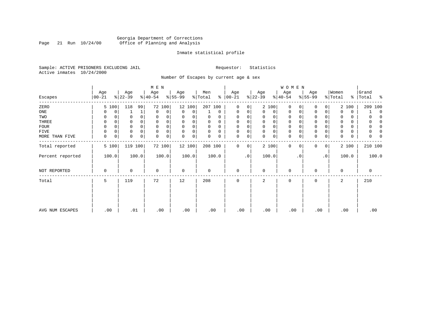# Georgia Department of Corrections<br>Page 21 Run 10/24/00 Office of Planning and Analysis Page 21 Run 10/24/00 Office of Planning and Analysis

#### Inmate statistical profile

Sample: ACTIVE PRISONERS EXCLUDING JAIL **Requestor:** Statistics Active inmates 10/24/2000

Number Of Escapes by current age & sex

|                  |                  |       |                  |          | M E N                        |        |                 |        |                |             |                  |           |                 |             | <b>WOMEN</b>     |           |                  |           |                  |       |                |         |          |
|------------------|------------------|-------|------------------|----------|------------------------------|--------|-----------------|--------|----------------|-------------|------------------|-----------|-----------------|-------------|------------------|-----------|------------------|-----------|------------------|-------|----------------|---------|----------|
| Escapes          | Age<br>$00 - 21$ |       | Age<br>$ 22-39 $ |          | Age<br>$\frac{1}{6}$   40-54 |        | Age<br>$ 55-99$ |        | Men<br>% Total | ៖           | Age<br>$00 - 21$ |           | Age<br>$ 22-39$ |             | Age<br>$ 40-54 $ |           | Age<br>$ 55-99 $ |           | Women<br>% Total | ွေ    | Grand<br>Total |         | ႜ        |
| ZERO             |                  | 5 100 | 118              | 99       |                              | 72 100 |                 | 12 100 | 207 100        |             | $\mathbf{0}$     | 0         |                 | 2 100       | 0                |           | 0                | 0         |                  | 2 100 |                | 209 100 |          |
| ONE              |                  | 0     |                  | 1        | 0                            | 0      | 0               | 0      |                | $\mathbf 0$ | 0                | 0         | $\Omega$        | 0           | 0                | 0         | $\mathbf 0$      | 0         | $\Omega$         | 0     |                |         | $\Omega$ |
| TWO              | 0                |       |                  |          | 0                            | 0      | 0               |        | 0              | 0           | 0                |           | 0               | 0           | 0                |           | U                |           | 0                | 0     |                |         |          |
| THREE            | 0                |       |                  |          | 0                            |        | $\Omega$        | 0      | U              | 0           | 0                |           | 0               | 0           | 0                |           | 0                |           | 0                | 0     |                |         |          |
| <b>FOUR</b>      | $\Omega$         |       |                  |          | $\Omega$                     | 0      | $\Omega$        | 0      | 0              | $\Omega$    | 0                |           | $\Omega$        | $\mathbf 0$ | $\mathbf 0$      |           | $\Omega$         |           | $\Omega$         | 0     |                |         |          |
| FIVE             |                  | 0     |                  | $\Omega$ | $\mathbf 0$                  | 0      | $\Omega$        | 0      | 0              | $\Omega$    | $\Omega$         | 0         | $\Omega$        | $\mathsf 0$ | 0                |           | $\Omega$         |           | 0                | 0     |                |         |          |
| MORE THAN FIVE   | 0                | 0     | 0                | 0        | 0                            | 0      | 0               | 0      | 0              | 0           | 0                | 0         | $\Omega$        | $\mathbf 0$ | $\mathbf 0$      |           | $\Omega$         | 0         | $\Omega$         | 0     |                |         |          |
| Total reported   |                  | 5 100 | 119 100          |          |                              | 72 100 |                 | 12 100 | 208 100        |             | 0                | 0         |                 | 2 100       | $\mathbf{0}$     | $\Omega$  | 0                | $\circ$   |                  | 2 100 |                | 210 100 |          |
| Percent reported |                  | 100.0 |                  | 100.0    |                              | 100.0  |                 | 100.0  |                | 100.0       |                  | $\cdot$ 0 |                 | 100.0       |                  | $\cdot$ 0 |                  | $\cdot$ 0 |                  | 100.0 |                | 100.0   |          |
| NOT REPORTED     | $\Omega$         |       | 0                |          | $\mathbf 0$                  |        | 0               |        | 0              |             | 0                |           | $\Omega$        |             | 0                |           | 0                |           | $\mathbf 0$      |       |                | 0       |          |
| Total            | 5                |       | 119              |          | 72                           |        | 12              |        | 208            |             | 0                |           | 2               |             | 0                |           | 0                |           | 2                |       |                | 210     |          |
|                  |                  |       |                  |          |                              |        |                 |        |                |             |                  |           |                 |             |                  |           |                  |           |                  |       |                |         |          |
| AVG NUM ESCAPES  | .00              |       | .01              |          | .00                          |        | .00             |        | .00            |             | .00              |           | .00             |             | .00              |           | .00              |           |                  | .00   |                | .00     |          |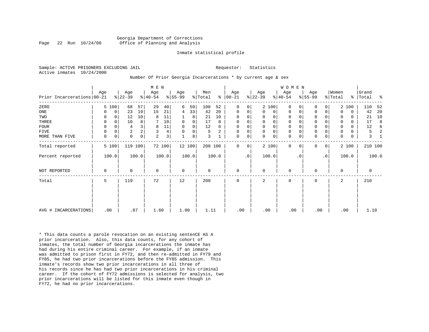#### Georgia Department of Corrections Page 22 Run 10/24/00 Office of Planning and Analysis

#### Inmate statistical profile

Sample: ACTIVE PRISONERS EXCLUDING JAIL **Requestor:** Statistics Active inmates 10/24/2000

#### Number Of Prior Georgia Incarcerations \* by current age & sex

|                            |     |             |                  |       | M E N            |                |                  |             |                |       |                 |           |                  |              | WOMEN           |           |                  |                |                  |             |                |       |
|----------------------------|-----|-------------|------------------|-------|------------------|----------------|------------------|-------------|----------------|-------|-----------------|-----------|------------------|--------------|-----------------|-----------|------------------|----------------|------------------|-------------|----------------|-------|
| Prior Incarcerations 00-21 | Age |             | Age<br>$8 22-39$ |       | Age<br>$ 40-54 $ |                | Age<br>$8 55-99$ |             | Men<br>% Total | န္    | Age<br>$ 00-21$ |           | Age<br>$ 22-39 $ |              | Age<br>$ 40-54$ |           | Age<br>$ 55-99 $ |                | Women<br>% Total | န္          | Grand<br>Total | န္    |
| ZERO                       |     | 5 100       | 68               | 57    | 29               | 40             | 6                | 50          | 108            | 52    | 0               | 0         |                  | 2 100        | $\Omega$        | 0         | $\mathbf 0$      | 0              |                  | 2 100       | 110            | 52    |
| ONE                        | 0   | $\mathbf 0$ | 23               | 19    | 15               | 21             | 4                | 33          | 42             | 20    | 0               | 0         | 0                | 0            | 0               | 0         | $\mathbf 0$      | 0              | $\Omega$         | $\mathbf 0$ | 42             | 20    |
| TWO                        | 0   | $\Omega$    | 12               | 10    | 8                | 11             |                  | 8           | 21             | 10    | 0               | 0         | $\Omega$         | 0            | 0               |           | 0                |                | $\Omega$         | $\Omega$    | 21             | 10    |
| THREE                      | 0   | $\Omega$    | 10               | 8     |                  | 10             | $\mathbf 0$      | $\mathbf 0$ | 17             | 8     | 0               | 0         | $\Omega$         | $\mathsf{O}$ | $\mathbf 0$     |           | $\mathbf 0$      | 0              | $\Omega$         | $\Omega$    | 17             | 8     |
| <b>FOUR</b>                | 0   | $\Omega$    | 4                |       | 8                | $11\,$         | $\mathbf 0$      | $\mathbf 0$ | 12             | 6     | 0               | 0         | $\Omega$         | $\mathsf{O}$ | 0               |           | $\mathbf 0$      |                | 0                | $\Omega$    | 12             | 6     |
| FIVE                       | 0   | 0           | $\overline{2}$   | 2     | 3                | 4              | $\Omega$         | 0           | 5              | 2     | $\mathbf 0$     | 0         | $\mathbf 0$      | $\mathbf 0$  | $\mathbb O$     |           | $\mathsf 0$      | 0              | 0                | 0           | 5              |       |
| MORE THAN FIVE             | 0   | 0           | $\mathbf 0$      | 0     | $\overline{a}$   | 3 <sup>1</sup> |                  | 8           | 3              |       | 0               | 0         | $\Omega$         | $\mathsf{O}$ | 0               | 0         | $\mathbf 0$      | 0              | $\mathbf 0$      | $\mathbf 0$ | 3              |       |
| Total reported             |     | 5 100       | 119              | 100   |                  | 72 100         |                  | 12 100      | 208 100        |       | $\Omega$        | 0         |                  | 2 100        | $\Omega$        | $\Omega$  | 0                | $\overline{0}$ |                  | 2 100       | 210 100        |       |
| Percent reported           |     | 100.0       |                  | 100.0 |                  | 100.0          |                  | 100.0       |                | 100.0 |                 | $\cdot$ 0 |                  | 100.0        |                 | $\cdot$ 0 |                  | $\cdot$ 0      |                  | 100.0       |                | 100.0 |
| NOT REPORTED               | 0   |             | $\Omega$         |       | 0                |                | 0                |             | 0              |       | 0               |           | $\Omega$         |              | 0               |           | $\mathbf 0$      |                | $\Omega$         |             | 0              |       |
| Total                      | 5   |             | 119              |       | 72               |                | 12               |             | 208            |       | 0               |           | 2                |              | $\mathbf 0$     |           | $\mathbf 0$      |                | 2                |             | 210            |       |
|                            |     |             |                  |       |                  |                |                  |             |                |       |                 |           |                  |              |                 |           |                  |                |                  |             |                |       |
| AVG # INCARCERATIONS       |     | .00         | .87              |       | 1.60             |                | 1.00             |             | 1.11           |       | .00             |           | .00              |              | .00             |           | .00              |                | .00              |             | 1.10           |       |

\* This data counts a parole revocation on an existing sentenCE AS A prior incarceration. Also, this data counts, for any cohort of inmates, the total number of Georgia incarcerations the inmate has had during his entire criminal career. For example, if an inmate was admitted to prison first in FY72, and then re-admitted in FY79 and FY85, he had two prior incarcerations before the FY85 admission. This inmate's records show two prior incarcerations in all three of his records since he has had two prior incarcerations in his criminal career. If the cohort of FY72 admissions is selected for analysis, two prior incarcerations will be listed for this inmate even though in FY72, he had no prior incarcerations.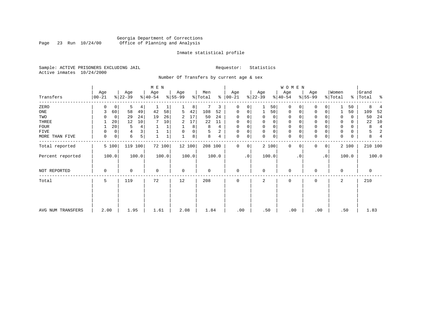# Georgia Department of Corrections<br>Page 23 Run 10/24/00 Office of Planning and Analysis Page 23 Run 10/24/00 Office of Planning and Analysis

#### Inmate statistical profile

Sample: ACTIVE PRISONERS EXCLUDING JAIL **Requestor:** Statistics Active inmates 10/24/2000

Number Of Transfers by current age & sex

|                   |                  |                  | M E N            |                  |                     |                   |                  | <b>WOMEN</b>               |                            |                  |                         |
|-------------------|------------------|------------------|------------------|------------------|---------------------|-------------------|------------------|----------------------------|----------------------------|------------------|-------------------------|
| Transfers         | Age<br>$00 - 21$ | Age<br>$ 22-39 $ | Age<br>$ 40-54 $ | Age<br>$8 55-99$ | Men<br>⊱<br>% Total | Age<br>$ 00 - 21$ | Age<br>$ 22-39 $ | Age<br>$ 40-54 $           | Age<br>$8 55-99$           | Women<br>% Total | Grand<br>%   Total<br>ႜ |
| ZERO              | $\Omega$         | 5<br>0           | $\overline{4}$   | 8                | 3                   | 0<br>0            | 50               | $\mathbf{0}$<br>$\Omega$   | $\Omega$<br>$\Omega$       | 50               | 8                       |
| ONE               | 3                | 58<br>60         | 42<br>49<br>58   | 42<br>5          | 108<br>52           | 0<br>0            | 50<br>1          | $\mathbf{0}$<br>0          | 0<br>0                     | 50               | 109<br>52               |
| TWO               |                  | 29<br>0          | 19<br>24<br>26   | 17<br>2          | 24<br>50            | $\Omega$          | 0<br>0           | 0<br>0                     | 0                          | 0<br>0           | 24<br>50                |
| THREE             |                  | 20<br>12         | 10<br>10         | 17<br>2          | 22<br>11            | $\Omega$          | 0<br>0           | 0<br>0                     | 0                          | 0<br>0           | 10<br>22                |
| <b>FOUR</b>       |                  | 20<br>5          | 4                | 8                | 8<br>4              | $\Omega$          | 0<br>0           | $\mathbf 0$                | $\Omega$                   | 0                | $\overline{4}$<br>8     |
| FIVE              | 0                | 4<br>0           |                  | 0<br>$\Omega$    | 2<br>5              | $\Omega$<br>0     | $\mathbf 0$<br>0 | $\mathbf 0$<br>$\Omega$    | 0                          | 0<br>0           | 2<br>5                  |
| MORE THAN FIVE    | 0                | 0<br>6           | 5 <sup>1</sup>   | 8                | 8<br>4              | 0<br>0            | 0<br>$\Omega$    | $\mathbf 0$<br>$\mathbf 0$ | $\mathbf 0$<br>$\mathbf 0$ | $\Omega$<br>0    | 8<br>$\overline{4}$     |
| Total reported    | 5 100            | 119 100          | 72 100           | 12 100           | 208 100             | $\Omega$<br>0     | 2 100            | $\mathbf 0$<br>$\Omega$    | $\Omega$<br>$\mathbf{0}$   | 2 100            | 210 100                 |
| Percent reported  | 100.0            | 100.0            | 100.0            | 100.0            | 100.0               | $\cdot$ 0         | 100.0            | $\cdot$ 0                  | $\cdot$ 0                  | 100.0            | 100.0                   |
| NOT REPORTED      | $\Omega$         | 0                | $\mathbf 0$      | $\mathbf 0$      | $\Omega$            | $\mathbf 0$       | $\Omega$         | $\mathbf 0$                | $\Omega$                   | $\Omega$         | $\mathbf 0$             |
| Total             | 5                | 119              | 72               | 12               | 208                 | $\Omega$          | 2                | 0                          | 0                          | 2                | 210                     |
|                   |                  |                  |                  |                  |                     |                   |                  |                            |                            |                  |                         |
| AVG NUM TRANSFERS | 2.00             | 1.95             | 1.61             | 2.08             | 1.84                | .00               | .50              | .00                        | .00                        | .50              | 1.83                    |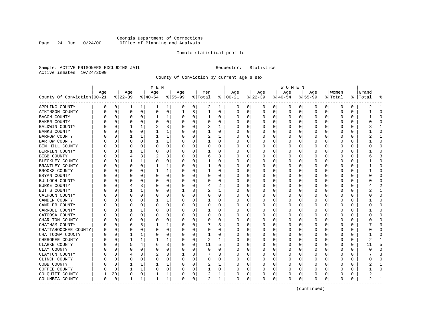# Georgia Department of Corrections Page 24 Run 10/24/00 Office of Planning and Analysis

#### Inmate statistical profile

Sample: ACTIVE PRISONERS EXCLUDING JAIL **Requestor:** Statistics Active inmates 10/24/2000

County Of Conviction by current age & sex

|                            |          |             |                 |             | M E N            |   |                  |          |                |              |                      |             |                 |          | W O M E N       |             |                    |          |                  |          |                    |              |
|----------------------------|----------|-------------|-----------------|-------------|------------------|---|------------------|----------|----------------|--------------|----------------------|-------------|-----------------|----------|-----------------|-------------|--------------------|----------|------------------|----------|--------------------|--------------|
| County Of Conviction 00-21 | Age      |             | Age<br>$ 22-39$ |             | Age<br>$ 40-54 $ |   | Age<br>$8 55-99$ |          | Men<br>% Total |              | Age<br>$8   00 - 21$ |             | Age<br>$ 22-39$ |          | Age<br>$ 40-54$ |             | Age<br>$8155 - 99$ |          | Women<br>% Total |          | Grand<br>%   Total | ႜ            |
| APPLING COUNTY             | 0        | 0           | ı               | 1           | ı                | 1 | 0                | 0        | 2              | 1            | 0                    | 0           | 0               | 0        | 0               | 0           | 0                  | 0        | 0                | 0        | 2                  | $\mathbf{1}$ |
| ATKINSON COUNTY            | $\Omega$ | 0           | $\Omega$        | $\mathbf 0$ | $\Omega$         | 0 | 1                | 8        | 1              | 0            | $\mathbf 0$          | 0           | 0               | 0        | 0               | 0           | 0                  | 0        | $\mathbf 0$      | 0        | -1                 | $\Omega$     |
| <b>BACON COUNTY</b>        | O        | 0           | 0               | 0           |                  | 1 | O                | 0        | 1              | 0            | O                    | 0           | 0               | 0        | 0               | 0           | 0                  | 0        | 0                | 0        |                    | $\Omega$     |
| <b>BAKER COUNTY</b>        |          | 0           | 0               | 0           | 0                | 0 | 0                | 0        | 0              | 0            | O                    | 0           | C               | $\Omega$ | $\Omega$        | 0           | 0                  | 0        | 0                | $\Omega$ |                    | $\Omega$     |
| BALDWIN COUNTY             |          | $\Omega$    |                 | 1           | 2                | 3 |                  | $\Omega$ | 3              | 1            | O                    | $\Omega$    | U               | O        | O               | 0           | O                  | O        | <sup>0</sup>     | O        |                    | -1           |
| <b>BANKS COUNTY</b>        |          | n           | O               | 0           |                  | 1 | O                | $\Omega$ | 1              | 0            | O                    | $\Omega$    | $\Omega$        | $\Omega$ | O               | 0           | 0                  | $\Omega$ | <sup>0</sup>     | O        |                    | ∩            |
| BARROW COUNTY              |          | 0           |                 | 1           |                  | 1 |                  | 0        | 2              | 1            | O                    | 0           | 0               | 0        | 0               | 0           | 0                  | 0        | 0                | 0        |                    | -1           |
| <b>BARTOW COUNTY</b>       |          | 0           | 0               | $\Omega$    |                  | 1 |                  | 0        |                | 0            | O                    | 0           | 0               | $\Omega$ | 0               | 0           | 0                  | $\Omega$ | 0                | $\Omega$ |                    | $\Omega$     |
| BEN HILL COUNTY            |          | 0           | O               | 0           | 0                | 0 | O                | 0        | 0              | 0            | $\cap$               | 0           | 0               | 0        | 0               | 0           | 0                  | $\Omega$ | 0                | 0        |                    | $\Omega$     |
| BERRIEN COUNTY             | U        | 0           |                 |             | 0                | 0 | O                | 0        |                | 0            | O                    | 0           | $\Omega$        | 0        | 0               | 0           | 0                  | 0        | 0                | 0        |                    | $\Omega$     |
| <b>BIBB COUNTY</b>         |          | $\mathbf 0$ | 4               | 3           | 2                | 3 |                  | 0        | 6              | 3            | O                    | 0           | U               | $\Omega$ | 0               | $\mathbf 0$ | O                  | $\Omega$ | $\Omega$         | $\Omega$ |                    |              |
| BLECKLEY COUNTY            |          | 0           | 1               | 1           | 0                | 0 | O                | $\Omega$ | 1              | 0            | O                    | $\Omega$    | $\Omega$        | $\Omega$ | 0               | 0           | 0                  | $\Omega$ | $\Omega$         | 0        |                    | $\Omega$     |
| BRANTLEY COUNTY            |          | 0           | 0               | $\Omega$    | 1                | 1 |                  | 0        | 1              | 0            | C                    | $\mathbf 0$ | C               | 0        | O               | $\mathbf 0$ | 0                  | $\Omega$ | 0                | N        |                    | $\Omega$     |
| BROOKS COUNTY              |          | 0           | 0               | O           | $\mathbf{1}$     | 1 |                  | 0        | 1              | 0            | O                    | 0           | 0               | $\Omega$ | O               | 0           | 0                  | $\Omega$ | 0                | 0        |                    | $\Omega$     |
| BRYAN COUNTY               | n        | 0           | 0               | 0           | $\Omega$         | 0 | $\Omega$         | 0        | 0              | 0            | O                    | 0           | 0               | 0        | 0               | 0           | 0                  | 0        | 0                | 0        |                    | $\Omega$     |
| BULLOCH COUNTY             | O        | 0           | 0               | 0           | 0                | 0 | 0                | 0        | 0              | 0            | O                    | 0           | 0               | $\Omega$ | 0               | 0           | 0                  | 0        | 0                | 0        |                    | $\Omega$     |
| <b>BURKE COUNTY</b>        |          | $\Omega$    | 4               | 3           | $\Omega$         | 0 |                  | $\Omega$ | 4              |              | C                    | $\Omega$    | U               | 0        | 0               | 0           | O                  | O        | $\cap$           | $\Omega$ |                    |              |
| BUTTS COUNTY               |          | n           |                 | 1           | 0                | 0 |                  | 8        | 2              | 1            | O                    | 0           | O               | 0        | 0               | 0           | 0                  | 0        | 0                | 0        |                    | -1           |
| CALHOUN COUNTY             |          | 0           | 0               | 0           | 0                | 0 | O                | 0        | 0              | 0            | O                    | 0           | $\Omega$        | 0        | $\Omega$        | 0           | 0                  | 0        | 0                | 0        |                    | $\Omega$     |
| CAMDEN COUNTY              |          | $\Omega$    | 0               | $\Omega$    |                  | 1 |                  | 0        | 1              | 0            | $\Omega$             | 0           | 0               | 0        | 0               | $\mathbf 0$ | $\Omega$           | 0        | $\Omega$         | 0        |                    | $\Omega$     |
| CANDLER COUNTY             | O        | 0           | 0               | 0           | 0                | 0 | O                | 0        | 0              | 0            | O                    | 0           | 0               | 0        | 0               | 0           | 0                  | $\Omega$ | 0                | 0        |                    | $\Omega$     |
| CARROLL COUNTY             | U        | 0           |                 |             | 0                | 0 | O                | 0        |                | 0            | O                    | 0           | 0               | 0        | 0               | 0           | 0                  | 0        | 0                | 0        |                    | ∩            |
| CATOOSA COUNTY             |          | 0           | O               | 0           | $\Omega$         | 0 |                  | 0        | 0              | 0            | O                    | 0           | C               | 0        | $\Omega$        | 0           | 0                  | O        | $\Omega$         | 0        |                    | $\cap$       |
| CHARLTON COUNTY            |          | 0           | O               | O           | $\Omega$         | 0 | O                | 0        | 0              | 0            | O                    | 0           | $\Omega$        | 0        | $\Omega$        | 0           | 0                  | 0        | 0                | 0        |                    | $\Omega$     |
| CHATHAM COUNTY             |          | 0           | 6               | 5           | 1                | 1 |                  | 0        |                | 3            | O                    | $\Omega$    | $\Omega$        | $\Omega$ | 0               | 0           | 0                  | $\Omega$ | 0                | 0        |                    | 3            |
| CHATTAHOOCHEE COUNTY       |          | $\Omega$    | O               | O           | 0                | 0 |                  | 0        | 0              | 0            | O                    | 0           | 0               | $\Omega$ |                 | 0           | 0                  | $\Omega$ | 0                | O        |                    | $\Omega$     |
| CHATTOOGA COUNTY           | በ        | 0           | 1               | 1           | 0                | 0 | ∩                | 0        | 1              | 0            | C                    | 0           | 0               | 0        | 0               | 0           | 0                  | 0        | 0                | 0        |                    | $\Omega$     |
| CHEROKEE COUNTY            | O        | 0           |                 |             |                  | 1 |                  | 0        | 2              | 1            | O                    | $\Omega$    | 0               | 0        | $\Omega$        | 0           | 0                  | $\Omega$ | 0                | 0        |                    | 1            |
| CLARKE COUNTY              |          | 0           | 5               | 4           | 6                | 8 | O                | 0        | 11             | 5            |                      | 0           | C               | 0        | 0               | 0           | 0                  | O        | O                | $\Omega$ | 11                 |              |
| CLAY COUNTY                |          | n           | O               | O           | $\Omega$         | 0 | O                | 0        | U              | U            | C                    | $\Omega$    | $\Omega$        | 0        | 0               | 0           | O                  | 0        | $\Omega$         | 0        |                    | $\Omega$     |
| CLAYTON COUNTY             |          | 0           | 4               | 3           | 2                | 3 |                  | 8        |                | 3            | O                    | 0           | $\Omega$        | $\Omega$ | $\Omega$        | 0           | 0                  | $\Omega$ | 0                | 0        |                    | 3            |
| CLINCH COUNTY              |          | 0           | $\Omega$        | $\Omega$    | 0                | 0 |                  | 0        | 0              | 0            |                      | 0           | 0               | 0        | 0               | $\mathbf 0$ | $\Omega$           | 0        | $\Omega$         | $\Omega$ |                    | $\Omega$     |
| COBB COUNTY                |          | 0           |                 | 1           |                  | 1 |                  | 0        | 2              | 1            | C                    | 0           | 0               | 0        | 0               | 0           | 0                  | $\Omega$ | <sup>0</sup>     | 0        |                    | $\mathbf{1}$ |
| COFFEE COUNTY              | U        | 0           |                 | 1           | 0                | 0 | ∩                | 0        |                | 0            | O                    | 0           | 0               | 0        | $\Omega$        | 0           | 0                  | 0        | 0                | 0        |                    | $\Omega$     |
| COLQUITT COUNTY            |          | 20          | 0               | 0           |                  | 1 | 0                | 0        | 2              | 1            | O                    | 0           | 0               | 0        | 0               | 0           | 0                  | 0        | 0                | 0        |                    |              |
| COLUMBIA COUNTY            | 0        | $\mathbf 0$ |                 | 1           | $\mathbf{1}$     | 1 | $\Omega$         | 0        | 2              | $\mathbf{1}$ | $\mathbf 0$          | 0           | $\Omega$        | 0        | $\Omega$        | $\mathbf 0$ | $\Omega$           | 0        | $\mathbf 0$      | 0        |                    | -1           |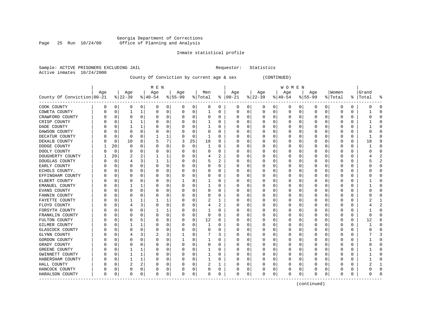# Georgia Department of Corrections Page 25 Run 10/24/00 Office of Planning and Analysis

### Inmate statistical profile

| Sample: ACTIVE PRISONERS EXCLUDING JAIL | Requestor: Statistics |  |
|-----------------------------------------|-----------------------|--|
| Active inmates 10/24/2000               |                       |  |

# County Of Conviction by current age & sex (CONTINUED)

|                            |     |          |          |          | M E N    |   |           |          |         |   |               |   |              |          | W O M E N |          |           |          |          |   |           |                |
|----------------------------|-----|----------|----------|----------|----------|---|-----------|----------|---------|---|---------------|---|--------------|----------|-----------|----------|-----------|----------|----------|---|-----------|----------------|
|                            | Age |          | Age      |          | Age      |   | Age       |          | Men     |   | Age           |   | Age          |          | Age       |          | Age       |          | Women    |   | Grand     |                |
| County Of Conviction 00-21 |     |          | $ 22-39$ |          | $ 40-54$ |   | $8 55-99$ |          | % Total |   | $8   00 - 21$ |   | $ 22-39$     |          | $ 40-54$  |          | $8 55-99$ |          | % Total  |   | %   Total | ႜ              |
| COOK COUNTY                | 0   | 0        | 0        | 0        | 0        | 0 | 0         | 0        | 0       | 0 | 0             | 0 | 0            | 0        | 0         | 0        | 0         | 0        | O        | 0 |           | 0              |
| COWETA COUNTY              | 0   | $\Omega$ |          | 1        | 0        | 0 | 0         | 0        | 1       | 0 | 0             | 0 | $\Omega$     | 0        | 0         | 0        | $\Omega$  | 0        | O        | 0 |           | $\Omega$       |
| CRAWFORD COUNTY            |     | C        | $\Omega$ | $\Omega$ | O        | 0 |           | $\Omega$ | O       | U | 0             | 0 | $\Omega$     | $\Omega$ | 0         | $\Omega$ | $\Omega$  | $\Omega$ | O        | 0 |           | $\cap$         |
| CRISP COUNTY               |     | C        |          |          |          | 0 |           | $\Omega$ |         | U | O             | O | O            | $\Omega$ | U         | $\Omega$ | $\Omega$  | $\Omega$ | O        | 0 |           | $\cap$         |
| DADE COUNTY                |     | C        |          |          | C        | 0 |           | $\Omega$ |         | U | 0             | 0 | O            | $\Omega$ | 0         | $\Omega$ | O         | $\Omega$ | O        | 0 |           | $\cap$         |
| DAWSON COUNTY              |     | C        |          | $\Omega$ |          | 0 |           | 0        | 0       | U | 0             | 0 | 0            | $\Omega$ | ი         | 0        | O         | $\Omega$ | O        | 0 |           | C              |
| DECATUR COUNTY             |     | C        | $\Omega$ | O        |          | 1 |           | 0        | 1       | O | C             | 0 | <sup>0</sup> | $\Omega$ | 0         | 0        | $\Omega$  | $\Omega$ | C        | 0 |           | $\bigcap$      |
| DEKALB COUNTY              |     | 0        | 10       | 8        | 5        | 7 | 3         | 25       | 18      | 9 | 0             | 0 | O            | $\Omega$ | 0         | 0        | O         | $\Omega$ | C        | 0 | 18        | <b>q</b>       |
| DODGE COUNTY               |     | 20       | $\Omega$ | 0        |          | 0 |           | 0        | 1       | 0 | <sup>0</sup>  | 0 | O            | 0        | 0         | 0        | 0         | $\Omega$ | C        | 0 |           | $\Omega$       |
| DOOLY COUNTY               |     | 0        | O        | O        |          | 0 |           | 0        | 0       | U | 0             | 0 | $\left($     | $\Omega$ | 0         | 0        | 0         | $\Omega$ | O        | 0 |           | $\mathbf 0$    |
| DOUGHERTY COUNTY           |     | 20       |          |          |          | 1 |           | 0        | 4       | 2 | 0             | 0 | 0            | 0        | 0         | 0        | O         | $\Omega$ | O        | 0 |           |                |
| DOUGLAS COUNTY             |     | C        |          | 3        |          | 1 |           | $\Omega$ | 5       | 2 | 0             | 0 | O            | $\Omega$ | 0         | 0        | O         | $\Omega$ | C        | 0 |           | $\overline{2}$ |
| EARLY COUNTY               |     | C        |          | $\Omega$ | O        | 0 |           | $\Omega$ | 0       | 0 | $\Omega$      | 0 | O            | $\Omega$ | 0         | 0        | O         | $\Omega$ | O        | 0 |           | $\Omega$       |
| ECHOLS COUNTY.             |     | C        |          | $\Omega$ | C        | 0 |           | $\Omega$ | 0       | U | 0             | 0 | 0            | 0        | 0         | 0        | O         | $\Omega$ | O        | 0 |           | $\cap$         |
| EFFINGHAM COUNTY           |     | C        |          | 0        |          | 0 |           | 0        | 0       | 0 | C             | 0 | 0            | $\Omega$ | 0         | 0        | O         | 0        | O        | 0 |           | $\bigcap$      |
| ELBERT COUNTY              |     | C        |          | O        |          | 0 |           | 8        | 1       | 0 | C             | 0 | 0            | $\Omega$ | Ω         | 0        | O         | $\Omega$ | C        | 0 |           | $\bigcap$      |
| EMANUEL COUNTY             |     | C        |          | 1        |          | 0 |           | 0        | 1       | 0 | 0             | 0 | 0            | $\Omega$ | 0         | 0        | 0         | 0        | C        | 0 |           | $\Omega$       |
| <b>EVANS COUNTY</b>        |     | C        | O        | 0        | O        | 0 |           | 0        | 0       | 0 | 0             | 0 | O            | 0        | 0         | 0        | 0         | $\Omega$ | C        | 0 |           | $\Omega$       |
| FANNIN COUNTY              |     | C        |          |          | C        | 0 |           | 0        | 0       | 0 | 0             | 0 | 0            | 0        | 0         | 0        | 0         | 0        | O        | 0 |           | $\cap$         |
| FAYETTE COUNTY             |     | C        |          |          |          | 1 |           | 0        | 2       | 1 | 0             | 0 | 0            | 0        | 0         | 0        | O         | O        | O        | 0 |           |                |
| FLOYD COUNTY               |     | C        |          | 3        | O        | 0 |           | $\Omega$ | 4       | 2 | C             | 0 | O            | 0        | 0         | 0        | O         | $\Omega$ | O        | 0 |           | 2              |
| FORSYTH COUNTY             |     | C        |          | $\Omega$ |          | 1 |           | $\Omega$ |         | 0 | 0             | 0 | 0            | $\Omega$ | 0         | 0        | O         | $\Omega$ | O        | 0 |           | $\cap$         |
| FRANKLIN COUNTY            |     | C        |          | $\Omega$ | 0        | 0 |           | $\Omega$ | 0       | 0 | 0             | 0 | 0            | $\Omega$ | 0         | 0        | 0         | $\Omega$ | O        | 0 | O         | n              |
| FULTON COUNTY              |     | C        | b        | 5        | 6        | 8 |           | 0        | 12      | 6 | C             | 0 | 0            | $\Omega$ | Ω         | 0        | O         | $\Omega$ | O        | 0 | 12        | 6              |
| <b>GILMER COUNTY</b>       |     | C        |          |          |          | 0 |           | $\Omega$ | 1       | 0 | C             | 0 |              | $\Omega$ | 0         | 0        | $\Omega$  | $\Omega$ | C        | 0 |           | $\bigcap$      |
| GLASCOCK COUNTY            |     | C        | $\Omega$ | $\Omega$ | C        | 0 |           | $\Omega$ | 0       | 0 | 0             | 0 | 0            | $\Omega$ | 0         | 0        | $\Omega$  | $\Omega$ | C        | 0 |           | $\cap$         |
| GLYNN COUNTY               |     | C        |          | 3        |          | 3 |           | 8        |         | 3 | 0             | 0 | 0            | $\Omega$ | 0         | 0        | $\Omega$  | $\Omega$ | O        | 0 |           | 3              |
| GORDON COUNTY              |     | C        |          | 0        | C        | 0 |           | 8        |         | O | 0             | 0 | O            | 0        | 0         | 0        | O         | $\Omega$ | O        | 0 |           | $\Omega$       |
| GRADY COUNTY               |     | C        |          |          |          | 0 |           | n        | 0       | O | Ω             | 0 | O            | O        | 0         | 0        | O         | $\Omega$ | C        | U |           | $\bigcap$      |
| GREENE COUNTY              |     | C        |          |          |          | 0 |           | $\Omega$ |         | U | ſ             | U | $\Omega$     | $\Omega$ | Ω         | n        | O         | $\Omega$ | C        | U |           | $\cap$         |
| GWINNETT COUNTY            |     | C        |          | 1        | C        | 0 |           | $\Omega$ | 1       | 0 | Ω             | 0 | O            | $\Omega$ | Ω         | n        | $\left($  | $\Omega$ | O        | U |           | $\cap$         |
| HABERSHAM COUNTY           |     | C        |          |          |          | 0 |           | 0        |         | U | 0             | 0 | O            | 0        | 0         | 0        | O         | $\Omega$ | O        | 0 |           | $\cap$         |
| HALL COUNTY                |     | C        | 2        | 2        |          | 0 |           | 0        | 2       | 1 | C             | 0 | 0            | 0        | 0         | 0        | $\left($  | $\Omega$ | O        | 0 |           |                |
| HANCOCK COUNTY             |     | C        | O        | 0        |          | 0 |           | 0        | 0       | 0 | C             | 0 |              | 0        | 0         | 0        |           | 0        | O        | 0 |           | $\cap$         |
| HARALSON COUNTY            | 0   | 0        | $\Omega$ | 0        | O        | 0 | U         | 0        | 0       | 0 | $\mathbf 0$   | 0 | $\Omega$     | 0        | 0         | 0        | $\Omega$  | 0        | $\Omega$ | 0 | U         | $\cap$         |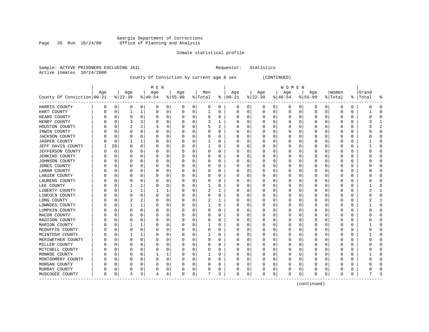# Georgia Department of Corrections Page 26 Run 10/24/00 Office of Planning and Analysis

#### Inmate statistical profile

|                           |  | Sample: ACTIVE PRISONERS EXCLUDING JAIL |  | Requestor: Statistics |  |
|---------------------------|--|-----------------------------------------|--|-----------------------|--|
| Active inmates 10/24/2000 |  |                                         |  |                       |  |

# County Of Conviction by current age & sex (CONTINUED)

|                            |     |              |                |              | M E N     |   |           |             |         |   |               |          |             |          | W O M E N |          |           |          |         |   |       |                |
|----------------------------|-----|--------------|----------------|--------------|-----------|---|-----------|-------------|---------|---|---------------|----------|-------------|----------|-----------|----------|-----------|----------|---------|---|-------|----------------|
|                            | Age |              | Age            |              | Age       |   | Age       |             | Men     |   | Age           |          | Age         |          | Aqe       |          | Age       |          | Women   |   | Grand |                |
| County Of Conviction 00-21 |     |              | $ 22-39$       |              | $ 40-54 $ |   | $8 55-99$ |             | % Total |   | $8   00 - 21$ |          | $ 22-39$    |          | $ 40-54 $ |          | $8 55-99$ |          | % Total | ိ | Total | ႜ              |
| HARRIS COUNTY              | 0   | 0            | 0              | 0            | 0         | 0 | 0         | 0           | 0       | 0 | 0             | 0        | 0           | 0        | 0         | 0        | 0         | 0        | O       | 0 | O     | $\Omega$       |
| HART COUNTY                | U   | $\mathbf 0$  | 1              | 1            | $\Omega$  | 0 | O         | 0           | 1       | 0 | $\Omega$      | 0        | $\mathbf 0$ | 0        | $\Omega$  | 0        | 0         | 0        | O       | 0 |       | $\mathbf 0$    |
| HEARD COUNTY               | O   | $\Omega$     | $\Omega$       | $\Omega$     | 0         | 0 |           | 0           | 0       | O | $\Omega$      | 0        | O           | 0        | 0         | 0        | $\Omega$  | $\Omega$ | O       | 0 |       | $\Omega$       |
| HENRY COUNTY               |     | $\Omega$     | 3              | 3            | n         | 0 |           | $\Omega$    | 3       | 1 | C.            | U        | O           | O        | Ω         | $\Omega$ | $\Omega$  | $\Omega$ | O       | U |       | $\mathbf{1}$   |
| HOUSTON COUNTY             | n   | $\Omega$     | $\overline{2}$ | 2            | 3         | 4 |           | $\Omega$    | 5       | 2 | O             | 0        | O           | 0        | 0         | $\Omega$ | $\Omega$  | $\Omega$ | O       | 0 |       | $\overline{2}$ |
| IRWIN COUNTY               |     | $\Omega$     | $\Omega$       | 0            | 0         | 0 |           | 0           | 0       | 0 | 0             | 0        | 0           | 0        | 0         | $\Omega$ | $\Omega$  | $\Omega$ | O       | 0 |       | $\mathbf 0$    |
| JACKSON COUNTY             |     | $\Omega$     | 0              | 0            | 0         | 0 |           | 0           | 0       | 0 | 0             | 0        | 0           | 0        | 0         | 0        | 0         | 0        | O       | 0 |       | $\Omega$       |
| <b>JASPER COUNTY</b>       |     | 0            |                |              | 0         | 0 |           | 0           |         | 0 | C             | 0        |             | 0        | Ω         | 0        | 0         | 0        | O       | 0 |       | $\Omega$       |
| JEFF DAVIS COUNTY          |     | 20           | $\Omega$       | 0            | 0         | 0 |           | 0           |         | O | O             | 0        | 0           | 0        | 0         | 0        | $\Omega$  | $\Omega$ | O       | 0 |       | $\Omega$       |
| JEFFERSON COUNTY           |     | $\Omega$     | O              | 0            | 0         | 0 |           | 0           | 0       | 0 | $\Omega$      | 0        | 0           | 0        | 0         | 0        | O         | 0        | C       | 0 |       | $\mathbf 0$    |
| <b>JENKINS COUNTY</b>      | Ω   | $\Omega$     | O              | 0            | 0         | 0 |           | 0           | 0       | 0 | 0             | 0        | O           | 0        | 0         | 0        | O         | $\Omega$ | O       | 0 |       | $\mathbf 0$    |
| JOHNSON COUNTY             |     | 0            | O              | O            | 0         | 0 |           | $\Omega$    | 0       | O | 0             | 0        | O           | O        | 0         | 0        | O         | $\Omega$ | O       | U |       | $\bigcap$      |
| <b>JONES COUNTY</b>        | Ω   | $\Omega$     | O              | <sup>0</sup> | $\Omega$  | 0 |           | $\Omega$    | 0       | O | $\cap$        | $\Omega$ | O           | O        | Ω         | $\Omega$ | $\Omega$  | $\Omega$ | C       | U |       | $\bigcap$      |
| LAMAR COUNTY               |     | $\Omega$     | O              | <sup>0</sup> | $\Omega$  | 0 |           | $\Omega$    | 0       | O | O             | O        | O           | O        | 0         | O        | O         | $\Omega$ | O       | U |       | $\Omega$       |
| LANIER COUNTY              |     | $\Omega$     | 0              | 0            | 0         | 0 |           | 0           | 0       | 0 | 0             | $\Omega$ | 0           | 0        | 0         | 0        | $\Omega$  | $\Omega$ | O       | 0 |       | $\Omega$       |
| LAURENS COUNTY             |     | $\Omega$     | 0              | 0            | 0         | 0 |           | 0           | 0       | 0 | C             | $\Omega$ | C           | 0        | 0         | 0        | 0         | $\Omega$ | O       | 0 |       | $\Omega$       |
| LEE COUNTY                 |     | $\Omega$     | 1              | 1            | 0         | 0 |           | 0           | 1       | 0 | O             | 0        | 0           | 0        | 0         | $\Omega$ | $\Omega$  | $\Omega$ | C       | 0 |       | $\bigcap$      |
| LIBERTY COUNTY             |     | $\Omega$     | 1              | 1            | 1         | 1 |           | 0           | 2       | 1 | $\Omega$      | 0        | 0           | 0        | 0         | $\Omega$ | $\Omega$  | 0        | C       | 0 |       | -1             |
| LINCOLN COUNTY             | U   | $\Omega$     | $\Omega$       | 0            | 0         | 0 |           | 0           | 0       | 0 | 0             | 0        | 0           | 0        | 0         | 0        | 0         | 0        | O       | 0 |       | $\mathbf 0$    |
| LONG COUNTY                |     | $\Omega$     | 2              | 2            | 0         | 0 |           | $\Omega$    | 2       | 1 | 0             | 0        | 0           | 0        | 0         | 0        | O         | 0        | O       | 0 |       | -1             |
| LOWNDES COUNTY             | Ω   | $\Omega$     |                |              | 0         | 0 |           | $\Omega$    |         | O | O             | 0        | O           | 0        | 0         | $\Omega$ | O         | $\Omega$ | O       | 0 |       | $\Omega$       |
| LUMPKIN COUNTY             | n   | $\Omega$     | O              | 0            | 0         | 0 |           | $\Omega$    | 0       | O | 0             | 0        | O           | 0        | 0         | $\Omega$ | O         | $\Omega$ | O       | U |       | $\Omega$       |
| MACON COUNTY               |     | $\Omega$     | $\left($       | <sup>0</sup> | 0         | 0 | $\left($  | 0           | 0       | 0 | 0             | $\Omega$ | $\left($    | 0        | 0         | 0        | O         | $\Omega$ | O       | 0 |       | $\Omega$       |
| MADISON COUNTY             |     | $\Omega$     | 0              | 0            | 0         | 0 |           | $\mathbf 0$ | 0       | 0 | C             | 0        | C           | 0        | Ω         | 0        | 0         | 0        | O       | 0 |       | $\Omega$       |
| MARION COUNTY              |     | $\Omega$     | 1              |              | 0         | 0 |           | 0           |         | O | O             | $\Omega$ | O           | $\Omega$ | Ω         | $\Omega$ | $\Omega$  | $\Omega$ | C       | O |       | $\bigcap$      |
| MCDUFFIE COUNTY            |     | $\Omega$     | $\Omega$       | $\Omega$     | 0         | 0 |           | 0           | 0       | 0 | $\Omega$      | $\Omega$ | 0           | 0        | 0         | $\Omega$ | $\Omega$  | $\Omega$ | C       | 0 |       | $\Omega$       |
| MCINTOSH COUNTY            | O   | $\Omega$     |                |              | 0         | 0 |           | 0           |         | 0 | $\Omega$      | 0        | 0           | 0        | 0         | 0        | $\Omega$  | $\Omega$ | O       | 0 |       | $\Omega$       |
| MERIWETHER COUNTY          | O   | $\Omega$     | $\Omega$       | 0            | 0         | 0 |           | 0           | 0       | 0 | $\Omega$      | 0        | 0           | 0        | 0         | 0        | $\Omega$  | $\Omega$ | O       | 0 |       | $\mathbf 0$    |
| MILLER COUNTY              |     | $\Omega$     | O              | O            | 0         | 0 |           | $\Omega$    | 0       | 0 | O             | 0        | 0           | 0        | 0         | $\Omega$ | $\Omega$  | $\Omega$ | O       | 0 |       | $\cap$         |
| MITCHELL COUNTY            |     | $\Omega$     | $\Omega$       | 0            | 0         | 0 |           | $\Omega$    | 0       | O | O             | 0        | O           | 0        | 0         | $\Omega$ | $\Omega$  | $\Omega$ | O       | U |       | $\Omega$       |
| MONROE COUNTY              |     | <sup>0</sup> | O              | 0            |           | 1 |           | 0           |         | 0 | 0             | 0        | O           | 0        | 0         | 0        | O         | $\Omega$ | O       | 0 |       | $\Omega$       |
| MONTGOMERY COUNTY          |     | $\Omega$     | O              | 0            | 0         | 0 |           | 0           | 0       | 0 | C             | 0        | 0           | 0        | 0         | 0        | O         | 0        | O       | 0 |       | $\bigcap$      |
| MORGAN COUNTY              |     | $\Omega$     | 0              | 0            | 0         | 0 |           | 0           | 0       | 0 |               | 0        |             | 0        |           | 0        | 0         | 0        | C       | 0 |       | $\bigcap$      |
| MURRAY COUNTY              | Ω   | 0            | $\Omega$       | 0            | 0         | 0 |           | 0           | 0       | 0 | 0             | 0        | 0           | 0        | 0         | 0        | $\Omega$  | 0        | C       | 0 |       | $\cap$         |
| MUSCOGEE COUNTY            | 0   | 0            | 3              | 3            | 4         | 6 | $\Omega$  | 0           | 7       | 3 | $\Omega$      | 0        | 0           | 0        | 0         | 0        | $\Omega$  | 0        | 0       | 0 |       | ₹              |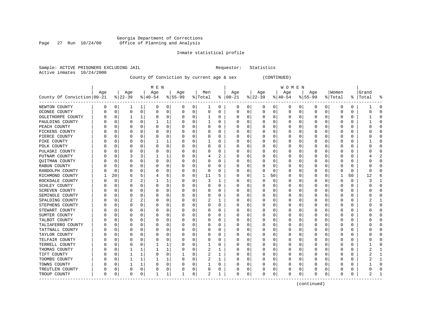# Georgia Department of Corrections Page 27 Run 10/24/00 Office of Planning and Analysis

#### Inmate statistical profile

Sample: ACTIVE PRISONERS EXCLUDING JAIL **Requestor:** Statistics Active inmates 10/24/2000

County Of Conviction by current age & sex (CONTINUED)

| County Of Conviction 00-21 | Age              |          | Age<br>$ 22-39$ |              | M E N<br>Age<br>$8 40-54$ |             | Age<br>$ 55-99$ |             | Men<br>% Total |          | Age<br>$8   00 - 21$ |             | Age<br>$ 22-39 $ |    | W O M E N<br>Age<br>$ 40-54$ |          | Age<br>$8155 - 99$ |             | Women<br>% Total |          | Grand<br>%   Total | å |
|----------------------------|------------------|----------|-----------------|--------------|---------------------------|-------------|-----------------|-------------|----------------|----------|----------------------|-------------|------------------|----|------------------------------|----------|--------------------|-------------|------------------|----------|--------------------|---|
| NEWTON COUNTY              | 0                | 0        | 1               | 1            | 0                         | 0           | 0               | 0           | 1              | 0        | 0                    | 0           | 0                | 0  | 0                            | 0        | 0                  | 0           | 0                | 0        |                    | 0 |
| OCONEE COUNTY              | 0                | 0        | $\mathbf 0$     | 0            | 0                         | 0           | 0               | 0           | $\Omega$       | 0        | $\Omega$             | 0           | 0                | 0  | 0                            | 0        | 0                  | 0           | 0                | 0        | Ω                  |   |
| OGLETHORPE COUNTY          | $\left( \right)$ | C        | -1              | 1            | O                         | 0           | 0               | 0           | 1              | 0        | O                    | $\Omega$    | U                | U  | 0                            | O        | O                  | $\Omega$    | O                | 0        |                    |   |
| PAULDING COUNTY            | $\left( \right)$ | $\Omega$ | O               | $\Omega$     | 1                         | 1           | 0               | $\Omega$    | 1              | 0        |                      | 0           | 0                | 0  | 0                            | 0        | O                  | 0           | 0                | 0        |                    |   |
| PEACH COUNTY               |                  | O        | O               | $\Omega$     | $\Omega$                  | $\mathbf 0$ | O               | $\Omega$    | $\Omega$       | 0        |                      | $\mathbf 0$ | Ω                | 0  | 0                            | $\Omega$ | O                  | $\mathbf 0$ | O                | 0        |                    |   |
| PICKENS COUNTY             |                  | C        |                 | 0            | 0                         | 0           | U               | 0           | $\Omega$       | 0        |                      | 0           | 0                | 0  | 0                            | 0        | U                  | 0           | 0                | 0        |                    |   |
| PIERCE COUNTY              | U                | 0        | $\Omega$        | 0            | 0                         | 0           | 0               | $\Omega$    | 0              | $\Omega$ | O                    | 0           | 0                | 0  | 0                            | 0        | O                  | 0           | 0                | 0        | C                  |   |
| PIKE COUNTY                | U                | 0        | O               | 0            |                           | 1           | 0               | 0           |                | 0        | O                    | 0           | 0                | 0  | 0                            | 0        | U                  | 0           | 0                | 0        |                    |   |
| POLK COUNTY                | C                | C        |                 | 0            | 0                         | 0           | 0               | 0           | O              | 0        | O                    | $\Omega$    | 0                | 0  | 0                            | 0        | O                  | $\Omega$    | 0                | 0        | Ω                  |   |
| PULASKI COUNTY             | N                | C        | O               | O            | $\Omega$                  | 0           | 0               | $\Omega$    | $\Omega$       | 0        | O                    | $\Omega$    | 0                | U  | 0                            | $\Omega$ | U                  | $\Omega$    | 0                | 0        |                    |   |
| PUTNAM COUNTY              | C                | C        | 3               | 3            |                           | 1           | 0               | 0           | 4              | 2        | $\left($             | $\Omega$    | 0                | 0  | 0                            | 0        | O                  | $\Omega$    | 0                | 0        |                    |   |
| QUITMAN COUNTY             |                  | 0        | 0               | 0            | 0                         | 0           | 0               | 0           | $\Omega$       | 0        |                      | 0           | 0                | 0  | 0                            | 0        | 0                  | 0           | 0                | 0        |                    |   |
| RABUN COUNTY               |                  | C        | O               | $\Omega$     | O                         | 0           | U               | 0           | $\Omega$       | 0        | $\Omega$             | $\Omega$    | U                | U  | 0                            | 0        | U                  | 0           | 0                | $\Omega$ |                    |   |
| RANDOLPH COUNTY            | C                | $\Omega$ | 0               | 0            | 0                         | 0           | 0               | 0           | $\Omega$       | 0        | $\Omega$             | 0           | 0                | 0  | 0                            | 0        | U                  | 0           | 0                | 0        | O                  |   |
| RICHMOND COUNTY            |                  | 20       | 6               | 5            | 4                         | 6           | 0               | 0           | 11             | 5        | O                    | 0           |                  | 50 | 0                            | 0        | O                  | 0           |                  | 50       | 12                 |   |
| ROCKDALE COUNTY            |                  | C        |                 | 2            |                           | 1           | 0               | 0           | 3              | 1        | 0                    | $\Omega$    | 0                | 0  | 0                            | 0        | 0                  | $\Omega$    | 0                | 0        | 3                  |   |
| SCHLEY COUNTY              | 0                | C        | n               | 0            | $\Omega$                  | 0           | U               | 0           | ∩              | 0        | O                    | $\Omega$    | U                | U  | $\Omega$                     | O        | O                  | $\Omega$    | O                | 0        | n                  |   |
| <b>SCREVEN COUNTY</b>      |                  | O        | O               | 0            | $\Omega$                  | 0           | 0               | 0           | O              | O        | O                    | 0           | 0                | 0  | 0                            | 0        | O                  | 0           | 0                | 0        |                    |   |
| SEMINOLE COUNTY            |                  | 0        | O               | 0            | 0                         | 0           | O               | $\Omega$    | $\Omega$       | 0        |                      | $\mathbf 0$ | 0                | 0  | 0                            | 0        | O                  | 0           | 0                | 0        |                    |   |
| SPALDING COUNTY            |                  | $\Omega$ | 2               | 2            | 0                         | 0           | U               | 0           | 2              | 1        | $\Omega$             | 0           | 0                | 0  | 0                            | 0        | U                  | 0           | 0                | 0        | 2                  |   |
| STEPHENS COUNTY            |                  | O        | $\Omega$        | 0            | 0                         | 0           | U               | 0           | $\Omega$       | $\Omega$ | O                    | 0           | U                | 0  | 0                            | 0        | U                  | 0           | 0                | 0        | C                  | ი |
| STEWART COUNTY             | N                | C        | 0               | $\Omega$     | 0                         | 0           | 0               | $\Omega$    | 0              | 0        | 0                    | 0           | 0                | 0  | 0                            | 0        | 0                  | 0           | 0                | 0        | C                  |   |
| SUMTER COUNTY              |                  | C        | 0               | 0            | O                         | 0           | 0               | 0           | $\Omega$       | 0        | O                    | $\Omega$    | 0                | U  | O                            | 0        | O                  | $\Omega$    | 0                | 0        |                    |   |
| TALBOT COUNTY              | O                | O        | O               | $\Omega$     | $\Omega$                  | $\Omega$    | 0               | $\Omega$    | $\Omega$       | $\Omega$ | 0                    | $\Omega$    | 0                | 0  | $\Omega$                     | 0        | 0                  | $\Omega$    | 0                | 0        | C                  |   |
| TALIAFERRO COUNTY          |                  | O        | O               | $\Omega$     | O                         | 0           | 0               | 0           | O              | $\Omega$ | O                    | 0           | 0                | 0  | 0                            | 0        | O                  | 0           | 0                | 0        |                    |   |
| TATTNALL COUNTY            |                  | C        | 0               | 0            | 0                         | 0           | 0               | $\mathbf 0$ | $\Omega$       | 0        | 0                    | 0           | 0                | 0  | $\mathbf 0$                  | 0        | 0                  | 0           | 0                | 0        |                    |   |
| TAYLOR COUNTY              | C                | C        | $\Omega$        | 0            | O                         | 0           | U               | 0           | $\Omega$       | 0        | $\Omega$             | 0           | 0                | 0  | 0                            | 0        | U                  | 0           | 0                | 0        |                    |   |
| TELFAIR COUNTY             | C                | C        | $\Omega$        | 0            | 0                         | 0           | 0               | $\Omega$    | 0              | 0        | O                    | 0           | 0                | 0  | 0                            | 0        | O                  | 0           | 0                | 0        | C                  |   |
| TERRELL COUNTY             | N                | C        | O               | 0            | 1                         | 1           | 0               | 0           |                | 0        | O                    | 0           | 0                | U  | 0                            | 0        | O                  | 0           | 0                | 0        |                    |   |
| THOMAS COUNTY              |                  | C        |                 | $\mathbf{1}$ |                           | 1           | 0               | 0           |                | 1        |                      | $\Omega$    | 0                | U  | O                            | O        | O                  | $\Omega$    | 0                | 0        |                    |   |
| TIFT COUNTY                | N                | U        | -1              | 1            | 0                         | 0           |                 | 8           | $\overline{2}$ | 1        | O                    | $\Omega$    | U                | 0  | 0                            | 0        | U                  | 0           | 0                | 0        |                    |   |
| TOOMBS COUNTY              | 0                | 0        | 1               | 1            | 1                         | 1           | 0               | 0           | 2              | 1        | 0                    | 0           | 0                | 0  | $\Omega$                     | $\Omega$ | 0                  | $\Omega$    | 0                | 0        |                    |   |
| TOWNS COUNTY               | C                | C        |                 | 1            | 0                         | 0           | 0               | 0           |                | 0        |                      | 0           | 0                | 0  | 0                            | 0        | 0                  | 0           | 0                | 0        |                    |   |
| TREUTLEN COUNTY            | U                | C        | $\Omega$        | 0            | O                         | 0           | U               | 0           | $\Omega$       | 0        |                      | 0           | Ω                | 0  | 0                            | 0        | U                  | $\mathbf 0$ | O                | U        | C                  |   |
| TROUP COUNTY               | 0                | 0        | $\Omega$        | 0            | 1                         | 1           | 1               | 8           | 2              | 1        | $\Omega$             | 0           | 0                | 0  | 0                            | 0        | U                  | 0           | 0                | 0        | 2                  |   |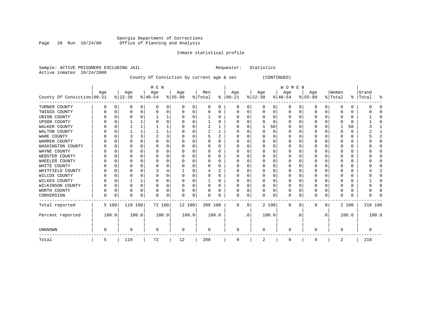#### Georgia Department of Corrections Page 28 Run 10/24/00 Office of Planning and Analysis

# Inmate statistical profile

|                           | Sample: ACTIVE PRISONERS EXCLUDING JAIL | Requestor: Statistics |  |
|---------------------------|-----------------------------------------|-----------------------|--|
| Active inmates 10/24/2000 |                                         |                       |  |

County Of Conviction by current age & sex (CONTINUED)

|                            |     |          |          |          | M E N     |   |          |          |         |          |              |           |              |          | <b>WOMEN</b> |          |             |              |          |       |           |       |
|----------------------------|-----|----------|----------|----------|-----------|---|----------|----------|---------|----------|--------------|-----------|--------------|----------|--------------|----------|-------------|--------------|----------|-------|-----------|-------|
|                            | Age |          | Age      |          | Age       |   | Age      |          | Men     |          | Age          |           | Age          |          | Age          |          | Age         |              | Women    |       | Grand     |       |
| County Of Conviction 00-21 |     |          | $ 22-39$ |          | $ 40-54 $ |   | $ 55-99$ |          | % Total | ႜႂ       | $ 00-21$     |           | $ 22-39 $    |          | $ 40-54 $    |          | $ 55-99$    |              | % Total  |       | %   Total | ್ಠಿ   |
| TURNER COUNTY              | O   | 0        | 0        | 0        |           | 0 |          | 0        | 0       | 0        | 0            | 0         | 0            | 0        | 0            | 0        | 0           | 0            | 0        | 0     |           |       |
| TWIGGS COUNTY              |     | n        |          | 0        |           | 0 |          | 0        | 0       | 0        |              | 0         | 0            | 0        | 0            | 0        | 0           | 0            | O        | 0     |           |       |
| UNION COUNTY               |     |          |          |          |           |   |          | 0        |         | O        | O            | 0         | <sup>0</sup> | O        | 0            | n        | O           | <sup>n</sup> | ∩        | 0     |           |       |
| <b>UPSON COUNTY</b>        |     |          |          |          |           | 0 |          | $\Omega$ |         | O        | 0            | 0         | U            | $\Omega$ | 0            | $\Omega$ | O           | U            |          | 0     |           |       |
| WALKER COUNTY              |     | U        |          |          |           |   |          | $\Omega$ | 2       |          | 0            | 0         | 1            | 50       | 0            | 0        | 0           | O            |          | 50    |           |       |
| WALTON COUNTY              |     | $\Omega$ |          |          |           |   |          | $\Omega$ | 2       |          | O            | 0         | <sup>0</sup> | $\Omega$ | O            | $\Omega$ | O           | U            | $\Omega$ | 0     |           |       |
| WARE COUNTY                |     | U        |          |          |           | 3 |          | $\Omega$ | 5       | 2        | <sup>0</sup> | 0         | O            | O        | O            | $\Omega$ | O           | O            | $\cap$   | 0     |           |       |
| WARREN COUNTY              |     |          |          |          |           | 0 |          | $\Omega$ |         | 0        |              | 0         |              | $\Omega$ | 0            | $\Omega$ | O           |              | 0        | 0     |           |       |
| WASHINGTON COUNTY          |     | U        | O        |          |           | U |          | $\Omega$ | U       | U        | O            | 0         | <sup>0</sup> | $\cap$   | O            | $\cap$   | U           | ∩            | ∩        | 0     |           |       |
| WAYNE COUNTY               |     |          |          |          |           | 0 |          | $\Omega$ |         | 0        | O            | $\Omega$  | U            | $\Omega$ | O            | C        | $\Omega$    | U            |          | 0     |           |       |
| WEBSTER COUNTY             |     | O        |          |          |           | 0 |          | $\Omega$ | 0       | $\Omega$ | 0            | $\Omega$  | $\Omega$     | $\Omega$ | 0            | 0        | O           | U            | 0        | 0     |           |       |
| WHEELER COUNTY             |     | n        |          |          |           | 0 |          | $\Omega$ | 0       | 0        | 0            | U         |              | $\Omega$ | 0            | $\Omega$ | O           | U            | C.       | 0     |           | n     |
| WHITE COUNTY               |     | O        |          |          |           | 0 |          | $\Omega$ |         | O        |              | O         | U            | $\Omega$ | O            | $\Omega$ | O           | U            |          | 0     |           |       |
| WHITFIELD COUNTY           |     |          |          |          |           |   |          | 8        |         | 2        | 0            | U         |              | $\Omega$ | O            | n        | U           |              | C.       | 0     |           |       |
| WILCOX COUNTY              |     | U        |          |          |           | 0 |          | $\Omega$ | 0       | O        | 0            | U         |              | O        | 0            | n        | O           |              | n        | 0     |           |       |
| WILKES COUNTY              |     |          |          |          |           | 0 |          | $\Omega$ |         | O        | <sup>0</sup> | 0         | $\Omega$     | O        | $\Omega$     | $\Omega$ | O           |              | $\cap$   | 0     |           |       |
| WILKINSON COUNTY           |     | $\Omega$ | $\Omega$ | $\Omega$ |           | 0 |          | $\Omega$ | 0       | $\Omega$ | 0            | 0         | 0            | $\Omega$ | 0            | $\Omega$ | O           | O            | $\Omega$ | 0     |           |       |
| WORTH COUNTY               |     | $\Omega$ |          |          |           | 0 |          | 0        | 0       | O        | 0            | 0         |              | 0        | 0            | $\Omega$ | 0           | O            | $\Omega$ | 0     |           |       |
| CONVERSION                 | 0   | 0        | $\Omega$ | 0        | U         | 0 | $\Omega$ | 0        | 0       | O        | $\Omega$     | 0         | O            | 0        | 0            | 0        | O           | 0            | 0        | 0     |           |       |
| Total reported             |     | 5 100    | 119 100  |          | 72 100    |   | 12 100   |          | 208 100 |          | $\mathbf{0}$ | 0         |              | 2 100    | $\mathbf{0}$ | 0        | $\mathbf 0$ | 0            |          | 2 100 | 210 100   |       |
| Percent reported           |     | 100.0    |          | 100.0    | 100.0     |   | 100.0    |          | 100.0   |          |              | $\cdot$ 0 |              | 100.0    |              | . 0      |             | $\cdot$ 0    |          | 100.0 |           | 100.0 |
| UNKNOWN                    | O   |          | ∩        |          | $\Omega$  |   | $\Omega$ |          | 0       |          | $\Omega$     |           | $\Omega$     |          | $\Omega$     |          | U           |              | $\Omega$ |       |           |       |
| Total                      | 5   |          | 119      |          | 72        |   | 12       |          | 208     |          | 0            |           | 2            |          | 0            |          | 0           |              | 2        |       | 210       |       |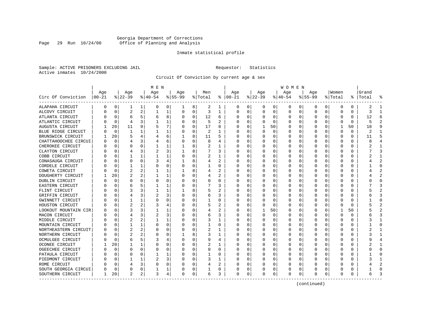# Georgia Department of Corrections Page 29 Run 10/24/00 Office of Planning and Analysis

#### Inmate statistical profile

Sample: ACTIVE PRISONERS EXCLUDING JAIL **Requestor:** Statistics Active inmates 10/24/2000

Circuit Of Conviction by current age & sex

|                      |          |          |                |                | M E N     |          |          |             |         |              |               |          |           |          | W O M E N |          |          |              |              |    |           |                |
|----------------------|----------|----------|----------------|----------------|-----------|----------|----------|-------------|---------|--------------|---------------|----------|-----------|----------|-----------|----------|----------|--------------|--------------|----|-----------|----------------|
|                      | Age      |          | Age            |                | Age       |          | Age      |             | Men     |              | Age           |          | Age       |          | Age       |          | Age      |              | Women        |    | Grand     |                |
| Circ Of Conviction   | $ 00-21$ |          | $ 22-39 $      |                | $ 40-54 $ |          | $ 55-99$ |             | % Total |              | $8   00 - 21$ |          | $ 22-39 $ |          | $ 40-54 $ |          | $ 55-99$ |              | % Total      |    | %   Total | 옹              |
| ALAPAHA CIRCUIT      | 0        | 0        | 1              | 1              | 0         | 0        | 1        | 8           | 2       | 1            | 0             | 0        | 0         | 0        | 0         | 0        | 0        | 0            | $\Omega$     | 0  | 2         | -1             |
| ALCOVY CIRCUIT       |          | $\Omega$ | $\overline{2}$ | 2              | 1         | 1        | 0        | $\Omega$    | 3       | 1            | <sup>0</sup>  | $\Omega$ | $\Omega$  | $\Omega$ | $\Omega$  | 0        | 0        | 0            | $\Omega$     | 0  | 3         | -1             |
| ATLANTA CIRCUIT      |          | $\Omega$ | 6              | 5              | 6         | 8        | O        | $\Omega$    | 12      | 6            | <sup>0</sup>  | $\Omega$ | $\Omega$  | $\Omega$ | O         | 0        | U        | <sup>0</sup> | $\Omega$     | 0  | 12        | 6              |
| ATLANTIC CIRCUIT     |          | $\Omega$ | 4              | ς              |           | 1        |          | $\Omega$    | 5       | 2            |               | $\Omega$ | O         | 0        | $\left($  | $\Omega$ | O        | $\Omega$     | O            | 0  | 5         |                |
| AUGUSTA CIRCUIT      |          | 20       | 11             | 9              |           | 7        |          | $\mathbf 0$ | 17      | 8            |               | 0        | 1         | 50       | $\Omega$  | 0        | O        | 0            |              | 50 | 18        |                |
| BLUE RIDGE CIRCUIT   |          | $\Omega$ | 1              | 1              |           | 1        |          | $\mathbf 0$ | 2       | 1            |               | $\Omega$ | 0         | 0        |           | 0        | O        | U            | 0            | 0  | 2         | $\mathbf{1}$   |
| BRUNSWICK CIRCUIT    |          | 20       | 5              |                |           | 6        | 1        | 8           | 11      | 5            | ∩             | 0        | U         | 0        | O         | 0        | U        | 0            | <sup>0</sup> | 0  | 11        | Б              |
| CHATTAHOOCHEE CIRCUI |          | $\Omega$ | 4              | 3              |           | 6        | O        | 0           | 8       | 4            | n             | 0        | 0         | 0        | 0         | 0        | 0        | 0            | 0            | 0  |           |                |
| CHEROKEE CIRCUIT     |          | n        | U              | U              |           | 1        |          | 8           | 2       | 1            | <sup>0</sup>  | $\Omega$ | 0         | $\Omega$ | 0         | 0        | 0        | 0            | 0            | 0  |           |                |
| CLAYTON CIRCUIT      |          | n        |                |                | 2         | 3        |          | 8           |         | 3            |               | 0        |           | 0        | 0         | 0        | 0        |              | 0            | 0  |           |                |
| COBB CIRCUIT         |          | $\cap$   |                |                |           | 1        | O        | $\Omega$    |         |              |               | U        | 0         | 0        | O         | $\Omega$ | U        | U            | $\Omega$     | 0  |           | -1             |
| CONASAUGA CIRCUIT    |          | $\Omega$ | U              | U              |           | 4        |          | 8           |         | 2            |               | $\Omega$ | $\Omega$  | 0        | 0         | $\Omega$ | O        | U            | <sup>0</sup> | 0  |           |                |
| CORDELE CIRCUIT      |          | $\Omega$ |                | 1              | n         | 0        |          | $\Omega$    |         | O            |               | $\Omega$ | $\Omega$  | $\Omega$ | O         | $\Omega$ | O        | <sup>0</sup> | O            | 0  |           | $\bigcap$      |
| COWETA CIRCUIT       |          | $\Omega$ | 2              | 2              |           | 1        |          | 8           |         | 2            |               | $\Omega$ | C         | $\Omega$ |           | 0        | O        | 0            | O            | U  |           |                |
| DOUGHERTY CIRCUIT    |          | 20       | 2              | 2              |           | 1        |          | $\Omega$    | 4       |              |               | $\Omega$ | C         | $\Omega$ |           | 0        | O        | <sup>0</sup> | <sup>0</sup> | 0  |           | $\overline{2}$ |
| DUBLIN CIRCUIT       |          | $\Omega$ | U              | U              | n         | 0        | U        | 0           | U       | O            |               | $\Omega$ | 0         | 0        | n         | 0        | U        | 0            | O            | 0  |           | $\cap$         |
| EASTERN CIRCUIT      |          | 0        | 6              |                |           | 1        | O        | 0           |         | 3            | ∩             | 0        | 0         | 0        | O         | 0        | O        | 0            | O            | 0  |           |                |
| FLINT CIRCUIT        |          | 0        | 3              | 3              |           | 1        |          | 8           | 5       | 2            |               | $\Omega$ | 0         | 0        | O         | 0        | O        | 0            | 0            | 0  |           |                |
| GRIFFIN CIRCUIT      |          | n        |                |                | 2         | 3        |          | 0           | 6       | 3            |               | 0        |           | 0        |           | 0        | O        |              | 0            | 0  |           |                |
| GWINNETT CIRCUIT     |          | $\Omega$ |                |                |           | $\Omega$ |          | $\Omega$    |         | 0            |               | $\Omega$ | O         | 0        |           | 0        | n        |              | O            | 0  |           | $\cap$         |
| HOUSTON CIRCUIT      |          | $\Omega$ | 2              | 2              |           | 4        |          | O           | 5       | 2            |               | $\Omega$ | ∩         | $\Omega$ | O         | 0        |          | U            | <sup>0</sup> | 0  |           |                |
| LOOKOUT MOUNTAIN CIR |          | $\Omega$ |                |                |           | 1        |          | $\Omega$    | 4       | 2            |               | $\Omega$ | -1        | 50       | O         | n        | O        | <sup>0</sup> |              | 50 |           |                |
| MACON CIRCUIT        |          | O        | 4              | 3              | 2         | 3        |          | $\Omega$    | 6       | 3            |               | $\Omega$ | $\Omega$  | 0        | O         | 0        | U        | <sup>0</sup> | <sup>0</sup> | U  |           | 3              |
| MIDDLE CIRCUIT       |          | $\Omega$ | 2              | 2              |           | 1        |          | 0           | 3       | $\mathbf{1}$ |               | 0        | C         | $\Omega$ |           | 0        | O        | O            | 0            | 0  |           | $\mathbf{1}$   |
| MOUNTAIN CIRCUIT     |          | $\Omega$ |                | 1              | $\Omega$  | 0        |          | 0           |         | O            |               | $\Omega$ | U         | $\Omega$ | U         | 0        | U        | U            | <sup>0</sup> | 0  |           | $\cap$         |
| NORTHEASTERN CIRCUIT |          | $\Omega$ | 2              | 2              | 0         | 0        | O        | 0           | 2       | 1            | ∩             | 0        | 0         | 0        | 0         | 0        | O        | 0            | O            | 0  |           | -1             |
| NORTHERN CIRCUIT     |          | $\Omega$ | 2              |                | 0         | $\Omega$ |          | 8           | 3       | 1            | ∩             | $\Omega$ | O         | 0        | 0         | 0        | U        | 0            | 0            | 0  |           |                |
| OCMULGEE CIRCUIT     |          | $\Omega$ | 6              | 5.             | 3         | 4        |          | $\Omega$    | 9       | 4            |               | 0        | C         | 0        | 0         | 0        | 0        | 0            | 0            | 0  |           |                |
| OCONEE CIRCUIT       |          | 20       |                | 1              |           | $\Omega$ |          | $\Omega$    |         |              |               | U        | C         | 0        | 0         | C.       | U        |              | ſ            | 0  |           |                |
| OGEECHEE CIRCUIT     |          | $\cap$   |                | U              | $\Omega$  | $\Omega$ |          | O           | U       | $\Omega$     |               | $\Omega$ | U         | 0        | O         | $\Omega$ | U        | U            | <sup>0</sup> | U  |           | $\cap$         |
| PATAULA CIRCUIT      |          | $\Omega$ |                | U              |           | 1        |          | $\Omega$    |         | 0            |               | $\Omega$ | $\Omega$  | 0        | O         | $\Omega$ | n        | <sup>0</sup> | O            | 0  |           | n              |
| PIEDMONT CIRCUIT     |          | $\Omega$ |                | 1              | 2         | 3        |          | $\Omega$    | ٦       | 1            |               | $\Omega$ | U         | $\Omega$ | O         | 0        | O        | <sup>0</sup> | O            | U  |           |                |
| ROME CIRCUIT         |          | $\Omega$ |                | 3              | 0         | 0        |          | 0           |         | 2            |               | 0        |           | 0        |           | 0        |          | <sup>0</sup> | O            | 0  |           |                |
| SOUTH GEORGIA CIRCUI |          | 0        | 0              | 0              |           | 1        |          | 0           |         | 0            |               | 0        |           | 0        | 0         | 0        | U        | 0            | ſ            | 0  |           | $\cap$         |
| SOUTHERN CIRCUIT     | 1        | 20       | $\overline{2}$ | 2 <sub>1</sub> | 3         | 4        | $\Omega$ | 0           | 6       | 3            | $\Omega$      | 0        | 0         | 0        | $\Omega$  | 0        | U        | 0            | $\Omega$     | 0  |           |                |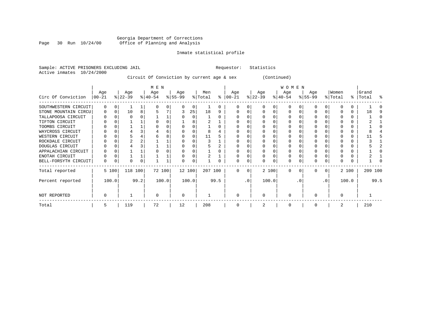#### Georgia Department of Corrections Page 30 Run 10/24/00 Office of Planning and Analysis

# Inmate statistical profile

| Sample: ACTIVE PRISONERS EXCLUDING JAIL | Requestor: Statistics |  |
|-----------------------------------------|-----------------------|--|
| Active inmates 10/24/2000               |                       |  |

# Circuit Of Conviction by current age & sex (Continued)

|                      |                  |          |                  |      | M E N            |       |                  |        |                |      |                      |          |                  |          | <b>WOMEN</b>     |          |                  |                 |                  |       |                    |      |
|----------------------|------------------|----------|------------------|------|------------------|-------|------------------|--------|----------------|------|----------------------|----------|------------------|----------|------------------|----------|------------------|-----------------|------------------|-------|--------------------|------|
| Circ Of Conviction   | Age<br>$00 - 21$ |          | Age<br>$ 22-39 $ |      | Age<br>$ 40-54 $ |       | Age<br>$ 55-99 $ |        | Men<br>% Total |      | Age<br>$8   00 - 21$ |          | Age<br>$ 22-39 $ |          | Age<br>$ 40-54 $ |          | Age<br>$8 55-99$ |                 | Women<br>% Total |       | Grand<br>%   Total | ႜ    |
| SOUTHWESTERN CIRCUIT | $\mathbf 0$      | $\Omega$ |                  |      | <sup>0</sup>     | 0     | <sup>0</sup>     | 0      |                | 0    |                      | 0        |                  | 0        | $\Omega$         |          | O                |                 |                  |       |                    |      |
| STONE MOUNTAIN CIRCU | 0                | $\Omega$ | 10               | 8    |                  |       | 3                | 25     | 18             | 9    | $\Omega$             | U        |                  | $\Omega$ | $\Omega$         |          | O                |                 |                  | 0     | 18                 |      |
| TALLAPOOSA CIRCUIT   | 0                |          |                  |      |                  |       |                  |        |                |      |                      |          |                  |          | O                |          |                  |                 |                  |       |                    |      |
| TIFTON CIRCUIT       |                  |          |                  |      |                  |       |                  |        |                |      |                      |          |                  |          | O                |          |                  |                 |                  |       |                    |      |
| TOOMBS CIRCUIT       |                  |          |                  |      |                  |       |                  |        |                |      |                      |          |                  |          | O                |          |                  |                 |                  |       |                    |      |
| WAYCROSS CIRCUIT     |                  |          |                  |      |                  | 6     |                  |        |                |      |                      |          |                  |          |                  |          |                  |                 |                  |       |                    |      |
| WESTERN CIRCUIT      |                  |          |                  |      |                  | 8     |                  |        | 11             |      |                      |          |                  |          |                  |          |                  |                 |                  |       |                    |      |
| ROCKDALE CIRCUIT     |                  |          |                  |      |                  |       |                  |        |                |      |                      |          |                  |          |                  |          |                  |                 |                  |       |                    |      |
| DOUGLAS CIRCUIT      |                  |          |                  |      |                  |       |                  |        |                |      |                      |          |                  |          | 0                |          |                  |                 |                  |       |                    |      |
| APPALACHIAN CIRCUIT  |                  |          |                  |      |                  |       |                  |        |                |      |                      |          |                  |          |                  |          |                  |                 |                  |       |                    |      |
| ENOTAH CIRCUIT       |                  |          |                  |      |                  |       |                  |        |                |      |                      |          |                  |          | 0                |          |                  |                 |                  |       |                    |      |
| BELL-FORSYTH CIRCUIT | 0                |          | 0                | 0    |                  |       |                  | 0      |                |      | O                    | 0        |                  |          | 0                |          | O                |                 |                  |       |                    |      |
| Total reported       |                  | 5 100    | 118 100          |      | 72 100           |       |                  | 12 100 | 207 100        |      | $\Omega$             | $\Omega$ |                  | 2 100    | $\Omega$         | $\Omega$ | $\Omega$         | $\Omega$        |                  | 2 100 | 209 100            |      |
| Percent reported     |                  | 100.0    |                  | 99.2 |                  | 100.0 |                  | 100.0  |                | 99.5 |                      | .0'      |                  | 100.0    |                  | . 0      |                  | .0 <sup>′</sup> |                  | 100.0 |                    | 99.5 |
| NOT REPORTED         | $\Omega$         |          |                  |      | $\Omega$         |       | $\Omega$         |        |                |      | $\Omega$             |          | $\Omega$         |          | $\Omega$         |          |                  |                 |                  |       |                    |      |
| Total                | 5                |          | 119              |      | 72               |       | 12               |        | 208            |      | $\Omega$             |          |                  |          | $\Omega$         |          | $\Omega$         |                 |                  |       | 210                |      |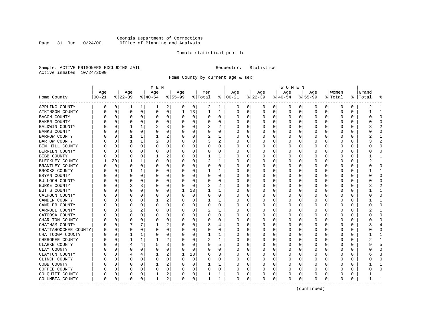# Georgia Department of Corrections Page 31 Run 10/24/00 Office of Planning and Analysis

#### Inmate statistical profile

Sample: ACTIVE PRISONERS EXCLUDING JAIL **Requestor:** Statistics Active inmates 10/24/2000

Home County by current age & sex

|                       | Age       |             | Age      |              |                  |                |                  |             |     |          |                      |              |                 |   |                 |             |                    |          |                  |          |                    |                |
|-----------------------|-----------|-------------|----------|--------------|------------------|----------------|------------------|-------------|-----|----------|----------------------|--------------|-----------------|---|-----------------|-------------|--------------------|----------|------------------|----------|--------------------|----------------|
| Home County           | $00 - 21$ |             | $ 22-39$ |              | Age<br>$8 40-54$ |                | Age<br>$8 55-99$ | % Total     | Men |          | Age<br>$8   00 - 21$ |              | Age<br>$ 22-39$ |   | Age<br>$ 40-54$ |             | Age<br>$8155 - 99$ |          | Women<br>% Total |          | Grand<br>%   Total | ႜ              |
| APPLING COUNTY        | 0         | 0           | 1        | 1            | ı                | 2              | 0                | 0           | 2   | 1        | O                    | 0            | 0               | 0 | 0               | 0           | 0                  | 0        | 0                | 0        | 2                  | 1              |
| ATKINSON COUNTY       | U         | 0           | 0        | 0            | 0                | 0              | 1                | 13          | 1   | 1        | 0                    | 0            | 0               | 0 | $\Omega$        | 0           | 0                  | 0        | $\mathbf 0$      | 0        |                    | $\mathbf{1}$   |
| <b>BACON COUNTY</b>   |           | 0           | 0        | 0            | 0                | 0              | O                | 0           | 0   | 0        | 0                    | 0            | 0               | 0 | O               | 0           | 0                  | 0        | 0                | 0        |                    | $\Omega$       |
| BAKER COUNTY          |           | 0           | 0        | 0            | $\Omega$         | 0              |                  | 0           | 0   | 0        |                      | 0            | 0               | 0 |                 | 0           | 0                  | 0        | 0                | 0        |                    | $\Omega$       |
| <b>BALDWIN COUNTY</b> |           | $\Omega$    | 1        | $\mathbf{1}$ | 2                | 3              |                  | $\Omega$    | 3   | 2        |                      | U            | $\Omega$        | U | C               | 0           | U                  | O        | C                | O        |                    |                |
| <b>BANKS COUNTY</b>   |           | $\Omega$    | 0        | $\Omega$     | $\Omega$         | 0              |                  | $\Omega$    | 0   | 0        |                      | 0            | O               | 0 | O               | 0           | 0                  | $\Omega$ | $\Omega$         | O        |                    | $\Omega$       |
| <b>BARROW COUNTY</b>  |           | 0           | 1        | 1            | 1                | 2              |                  | 0           | 2   | 1        |                      | 0            | 0               | 0 |                 | 0           | 0                  | 0        | 0                | 0        |                    | $\mathbf{1}$   |
| BARTOW COUNTY         |           | $\mathbf 0$ | 1        | $\mathbf{1}$ | 2                | 3              |                  | 0           | 3   | 2        |                      | $\Omega$     | 0               | 0 |                 | 0           | 0                  | $\Omega$ | 0                | $\Omega$ |                    | $\overline{2}$ |
| BEN HILL COUNTY       |           | 0           | 0        | 0            | $\Omega$         | 0              | O                | 0           | 0   | 0        | <sup>0</sup>         | 0            | 0               | 0 | 0               | 0           | 0                  | $\Omega$ | 0                | 0        |                    | $\Omega$       |
| BERRIEN COUNTY        |           | 0           | 0        | 0            | 0                | 0              | O                | 0           | 0   | 0        | <sup>0</sup>         | 0            | $\Omega$        | 0 | 0               | 0           | 0                  | 0        | 0                | 0        |                    | $\Omega$       |
| BIBB COUNTY           |           | $\mathbf 0$ | $\Omega$ | U            |                  | 2              |                  | 0           |     |          |                      | O            | $\Omega$        | 0 | C               | $\mathbf 0$ | 0                  | $\Omega$ | $\Omega$         | $\Omega$ |                    | $\mathbf{1}$   |
| BLECKLEY COUNTY       |           | 20          | 1        | 1            | $\Omega$         | 0              | O                | $\Omega$    | 2   | 1        | O                    | $\Omega$     | $\Omega$        | 0 | O               | 0           | 0                  | $\Omega$ | $\Omega$         | 0        |                    | $\mathbf{1}$   |
| BRANTLEY COUNTY       |           | $\mathbf 0$ | $\Omega$ | $\Omega$     | $\Omega$         | 0              |                  | $\mathbf 0$ | 0   | $\Omega$ |                      | $\Omega$     | 0               | 0 |                 | $\mathbf 0$ | 0                  | $\Omega$ | 0                | O        |                    | $\Omega$       |
| BROOKS COUNTY         |           | 0           | 1        | 1            | $\Omega$         | 0              | n                | 0           |     | 1        |                      | 0            | 0               | 0 |                 | 0           | 0                  | O        | 0                | 0        |                    | $\mathbf{1}$   |
| BRYAN COUNTY          |           | 0           | 0        | 0            | $\Omega$         | 0              | U                | 0           | 0   | 0        | <sup>0</sup>         | 0            | $\Omega$        | 0 | C               | 0           | 0                  | 0        | 0                | 0        |                    | $\Omega$       |
| BULLOCH COUNTY        |           | 0           | 0        | 0            | 0                | $\Omega$       | O                | 0           | 0   | 0        |                      | 0            | 0               | 0 | C               | 0           | 0                  | 0        | 0                | 0        |                    | $\Omega$       |
| <b>BURKE COUNTY</b>   |           | $\Omega$    | 3        | 3            | C                | O              | O                | 0           | 3   |          |                      | U            | <sup>0</sup>    | O | C               | 0           | U                  | O        | $\cap$           | O        |                    |                |
| BUTTS COUNTY          |           | $\Omega$    | O        | U            | 0                | 0              | 1                | 13          | 1   | 1        |                      | <sup>0</sup> | O               | 0 | O               | 0           | 0                  | $\Omega$ | 0                | O        |                    | -1             |
| CALHOUN COUNTY        |           | 0           | 0        | 0            | 0                | 0              | O                | 0           | 0   | 0        |                      | $\Omega$     | 0               | 0 |                 | 0           | 0                  | 0        | 0                | 0        |                    | $\Omega$       |
| CAMDEN COUNTY         |           | $\mathbf 0$ | 0        | 0            |                  | 2              |                  | 0           | 1   | 1        |                      | 0            | 0               | 0 |                 | $\mathbf 0$ | $\Omega$           | 0        | $\Omega$         | $\Omega$ |                    | $\mathbf{1}$   |
| CANDLER COUNTY        |           | 0           | 0        | $\Omega$     | $\Omega$         | 0              | 0                | 0           | 0   | 0        | <sup>0</sup>         | 0            | $\Omega$        | 0 | 0               | 0           | 0                  | $\Omega$ | $\Omega$         | 0        |                    | $\Omega$       |
| CARROLL COUNTY        |           | 0           | 2        | 2            | 0                | 0              | 0                | 0           | 2   | 1        | O                    | 0            | 0               | 0 | 0               | 0           | 0                  | $\Omega$ | 0                | 0        |                    | -1             |
| CATOOSA COUNTY        |           | 0           | 0        | 0            | 0                | 0              |                  | 0           | 0   | 0        | <sup>0</sup>         | 0            | 0               | 0 | C               | 0           | 0                  | O        | $\Omega$         | 0        |                    | $\Omega$       |
| CHARLTON COUNTY       |           | 0           | 0        | U            | 0                | 0              | O                | 0           | 0   | 0        | <sup>0</sup>         | 0            | $\Omega$        | 0 | O               | 0           | 0                  | 0        | 0                | 0        |                    | $\Omega$       |
| CHATHAM COUNTY        |           | $\mathbf 0$ |          | 7            | 1                | 2              | 0                | $\Omega$    | 8   | 4        |                      | $\Omega$     | 0               | 0 |                 | 0           | 0                  | $\Omega$ | 0                | 0        |                    | $\overline{4}$ |
| CHATTAHOOCHEE COUNTY  |           | 0           | $\Omega$ | O            | $\Omega$         | $\Omega$       |                  | 0           | 0   | 0        |                      | $\Omega$     | 0               | 0 |                 | 0           | 0                  | $\Omega$ | 0                | O        |                    | $\Omega$       |
| CHATTOOGA COUNTY      |           | 0           | 1        | 1            | $\Omega$         | 0              | O                | 0           | 1   | 1        | ∩                    | 0            | $\Omega$        | 0 | C               | 0           | 0                  | 0        | 0                | 0        |                    | -1             |
| CHEROKEE COUNTY       |           | 0           |          | 1            |                  | 2              | O                | 0           | 2   | 1        |                      | 0            | 0               | 0 | 0               | 0           | 0                  | $\Omega$ | 0                | 0        |                    | $\mathbf{1}$   |
| CLARKE COUNTY         |           | $\Omega$    | 4        | 4            |                  | 8              | O                | 0           | 9   | 5        | <sup>0</sup>         | U            | 0               | 0 |                 | 0           | 0                  | O        | O                | O        |                    |                |
| CLAY COUNTY           |           | $\Omega$    | O        | U            | $\Omega$         | 0              | O                | 0           | O   | O        | n                    | <sup>0</sup> | $\Omega$        | 0 | O               | 0           | O                  | U        | $\Omega$         | O        |                    | $\Omega$       |
| CLAYTON COUNTY        |           | 0           | 4        | 4            | 1                | 2              | 1                | 13          | 6   | 3        |                      | 0            | $\Omega$        | 0 | C               | 0           | 0                  | $\Omega$ | 0                | 0        |                    | 3              |
| CLINCH COUNTY         |           | $\mathbf 0$ | $\Omega$ | 0            | $\Omega$         | 0              | O                | 0           | 0   | $\Omega$ |                      | 0            | 0               | 0 |                 | $\mathbf 0$ | $\Omega$           | 0        | $\Omega$         | $\Omega$ |                    | $\Omega$       |
| COBB COUNTY           |           | 0           | O        | U            |                  | 2              | O                | 0           |     | 1        |                      | 0            | 0               | 0 | 0               | 0           | 0                  | $\Omega$ | <sup>0</sup>     | 0        |                    | $\mathbf{1}$   |
| COFFEE COUNTY         |           | 0           | 0        | 0            | $\Omega$         | 0              | 0                | 0           | 0   | 0        | n                    | 0            | 0               | 0 | $\Omega$        | 0           | 0                  | 0        | 0                | 0        |                    | $\Omega$       |
| COLQUITT COUNTY       |           | 0           | 0        | 0            |                  | 2              |                  | 0           |     | 1        | 0                    | 0            | 0               | 0 | 0               | 0           | 0                  | 0        | 0                | 0        |                    | 1              |
| COLUMBIA COUNTY       | $\Omega$  | $\mathbf 0$ | $\Omega$ | 0            | 1                | 2 <sub>1</sub> | $\Omega$         | 0           | 1   | 1        | $\Omega$             | 0            | $\Omega$        | 0 | $\Omega$        | 0           | $\Omega$           | 0        | $\mathbf 0$      | 0        |                    | $\mathbf{1}$   |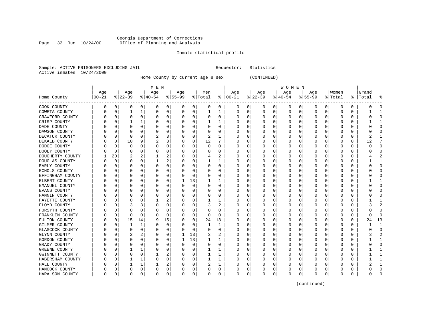#### Georgia Department of Corrections Page 32 Run 10/24/00 Office of Planning and Analysis

# Inmate statistical profile

|  |                           | Sample: ACTIVE PRISONERS EXCLUDING JAIL |  | Requestor: Statistics |  |
|--|---------------------------|-----------------------------------------|--|-----------------------|--|
|  | Active inmates 10/24/2000 |                                         |  |                       |  |

Home County by current age & sex (CONTINUED)

|                         |          |              |           |          | M E N        |          |          |          |         |          |               |          |              |   | <b>WOMEN</b> |          |             |          |          |          |           |                |
|-------------------------|----------|--------------|-----------|----------|--------------|----------|----------|----------|---------|----------|---------------|----------|--------------|---|--------------|----------|-------------|----------|----------|----------|-----------|----------------|
|                         | Age      |              | Age       |          | Age          |          | Age      |          | Men     |          | Age           |          | Age          |   | Age          |          | Age         |          | Women    |          | Grand     |                |
| Home County<br>-------- | 00-21    |              | $ 22-39 $ |          | $8 40-54$    |          | $ 55-99$ |          | % Total |          | $8   00 - 21$ |          | $ 22-39$     |   | $ 40-54 $    |          | $8155 - 99$ |          | % Total  |          | %   Total | န္             |
| COOK COUNTY             | 0        | 0            | 0         | 0        | 0            | 0        | 0        | 0        | 0       | 0        | 0             | 0        | 0            | 0 | 0            | 0        | 0           | 0        | 0        | 0        |           | $\Omega$       |
| COWETA COUNTY           |          | 0            | 1         | 1        | 0            | 0        | 0        | 0        |         |          | $\Omega$      | 0        | $\Omega$     | 0 | $\Omega$     | 0        | 0           | 0        | 0        | 0        |           | -1             |
| CRAWFORD COUNTY         |          | $\mathbf 0$  | $\Omega$  | $\Omega$ | 0            | 0        | O        | $\Omega$ | U       | 0        | <sup>0</sup>  | O        | $\Omega$     | 0 | O            | 0        | $\Omega$    | $\Omega$ | $\cap$   | $\Omega$ |           | $\cap$         |
| CRISP COUNTY            |          | $\Omega$     | 1         | 1        | $\Omega$     | 0        |          | $\Omega$ |         | 1        |               | 0        | Ω            | O |              | 0        | U           | O        | $\Omega$ | O        |           |                |
| DADE COUNTY             |          | $\Omega$     | O         | U        | $\Omega$     | 0        |          | $\Omega$ | 0       | $\Omega$ |               | $\Omega$ | 0            | 0 |              | 0        | U           | 0        | O        | O        |           |                |
| DAWSON COUNTY           |          | 0            | 0         | U        | C            | $\Omega$ |          | 0        | 0       | 0        |               | $\Omega$ | 0            | 0 |              | 0        | 0           | O        | 0        | N        |           |                |
| DECATUR COUNTY          |          | 0            | 0         | U        | 2            | 3        |          | 0        | 2       |          |               | $\Omega$ |              | 0 |              | 0        | 0           | O        | O        | $\Omega$ |           | -1             |
| DEKALB COUNTY           |          | 0            | 10        | 9        | 2            | 3        | O        | 0        | 12      | 7        |               | $\Omega$ | 0            | 0 |              | 0        | 0           | O        | 0        | 0        | 12        | 7              |
| DODGE COUNTY            |          | 0            | 0         | U        | $\Omega$     | 0        | O        | 0        | 0       | 0        | ∩             | 0        | Ω            | 0 | C            | 0        | 0           | $\Omega$ | 0        | 0        |           | ∩              |
| DOOLY COUNTY            |          | 0            | 0         | U        | 0            | $\Omega$ | n        | 0        | 0       | $\Omega$ |               | 0        | 0            | 0 | O            | 0        | 0           | O        | 0        | 0        |           | $\Omega$       |
| DOUGHERTY COUNTY        |          | 20           | 2         |          |              | 2        |          | 0        | 4       | 2        |               | 0        | C            | 0 |              | 0        | 0           | O        | O        | 0        |           |                |
| DOUGLAS COUNTY          |          | $\Omega$     | O         | U        |              | 2        |          | $\Omega$ |         |          |               | U        | 0            | 0 | C            | 0        | U           | U        | $\cap$   | U        |           | -1             |
| EARLY COUNTY            |          | <sup>0</sup> | O         | U        | 0            | 0        |          | 0        | 0       | 0        |               | $\Omega$ | 0            | 0 |              | 0        | 0           | U        | 0        | O        |           | $\Omega$       |
| ECHOLS COUNTY.          |          | 0            | O         | U        | 0            | 0        |          | 0        | 0       | 0        |               | $\Omega$ | 0            | 0 |              | 0        | U           | $\Omega$ | 0        | O        |           |                |
| EFFINGHAM COUNTY        |          | 0            | 0         | 0        | C            | 0        |          | 0        | 0       | 0        |               | 0        | 0            | 0 |              | 0        | 0           | 0        | 0        | 0        |           | $\Omega$       |
| ELBERT COUNTY           |          | 0            | 0         | 0        | C            | 0        | 1        | 13       |         | 1        |               | $\Omega$ | 0            | 0 |              | 0        | 0           | O        | O        | 0        |           | -1             |
| EMANUEL COUNTY          |          | 0            | 0         | U        | $\Omega$     | 0        | O        | 0        | 0       | 0        |               | 0        | 0            | 0 |              | 0        | 0           | $\Omega$ | 0        | 0        |           | $\Omega$       |
| EVANS COUNTY            |          | 0            | 0         | U        | 0            | 0        | U        | 0        | 0       | 0        | O             | 0        | 0            | 0 | C            | 0        | 0           | $\Omega$ | 0        | 0        |           | ∩              |
| FANNIN COUNTY           |          | 0            | 0         | U        | 0            | 0        |          | 0        | 0       | 0        |               | 0        | 0            | 0 |              | 0        | 0           | O        | 0        | 0        |           |                |
| FAYETTE COUNTY          |          | 0            | 0         | 0        |              | 2        |          | 0        |         |          |               | 0        | 0            | 0 |              | 0        | 0           | O        | -0       | 0        |           | -1             |
| FLOYD COUNTY            |          | 0            |           | 3        | 0            | 0        |          | 0        | 3       | 2        |               | U        | 0            | 0 |              | 0        | 0           | O        | 0        | O        |           | $\mathfrak{D}$ |
| FORSYTH COUNTY          |          | $\Omega$     | O         | U        | $\Omega$     | $\Omega$ |          | $\Omega$ | 0       | $\Omega$ |               | 0        | 0            | 0 |              | $\Omega$ | 0           | O        | $\Omega$ | 0        |           | ∩              |
| FRANKLIN COUNTY         |          | 0            | $\Omega$  | $\Omega$ | $\Omega$     | 0        |          | $\Omega$ | 0       | $\Omega$ |               | 0        | 0            | 0 |              | 0        | 0           | $\Omega$ | $\Omega$ | 0        |           |                |
| FULTON COUNTY           |          | 0            | 15        | 14       | g            | 15       |          | 0        | 24      | 13       |               | $\Omega$ |              | 0 |              | 0        | 0           | 0        | 0        | 0        | 24        | 13             |
| GILMER COUNTY           |          | 0            | 1         | 1        | $\Omega$     | $\Omega$ |          | 0        |         | 1        |               | 0        |              | 0 |              | 0        | 0           | 0        | O        | 0        |           | $\mathbf{1}$   |
| GLASCOCK COUNTY         |          | 0            | $\Omega$  | $\Omega$ | $\Omega$     | 0        | O        | 0        | 0       | $\Omega$ | <sup>0</sup>  | 0        | 0            | 0 | C            | 0        | 0           | $\Omega$ | 0        | $\Omega$ |           | $\Omega$       |
| GLYNN COUNTY            |          | 0            |           |          | $\Omega$     | $\Omega$ |          | 13       | 3       | 2        |               | 0        | 0            | 0 | O            | 0        | 0           | 0        | 0        | 0        |           | 2              |
| GORDON COUNTY           |          | 0            | O         | U        | 0            | $\Omega$ |          | 13       |         | ı        |               | U        | 0            | 0 | O            | 0        | 0           | 0        | 0        | 0        |           | -1             |
| GRADY COUNTY            |          | 0            | O         | U        | C            | 0        |          | 0        | 0       | 0        |               | U        | 0            | 0 |              | 0        | 0           | O        | O        | N        |           | $\Omega$       |
| GREENE COUNTY           |          | $\Omega$     | 1         | 1        | $\mathsf{C}$ | $\Omega$ |          | $\Omega$ |         |          |               | U        | <sup>0</sup> | U |              | 0        | U           | O        | $\cap$   | O        |           | -1             |
| GWINNETT COUNTY         |          | $\Omega$     | O         | $\Omega$ |              | 2        |          | $\Omega$ |         | 1        |               | $\Omega$ | O            | 0 |              | 0        | O           | $\Omega$ | $\Omega$ | O        |           |                |
| HABERSHAM COUNTY        |          | 0            |           | 1        | $\Omega$     | 0        |          | $\Omega$ |         | 1        |               | $\Omega$ | Ω            | 0 |              | 0        | U           | $\Omega$ | $\Omega$ | N        |           |                |
| HALL COUNTY             |          | 0            |           | 1        |              | 2        |          | 0        | 2       | 1        |               | 0        |              | 0 |              | 0        | 0           | O        | O        | 0        |           |                |
| HANCOCK COUNTY          |          | 0            | $\Omega$  | 0        | 0            | 0        |          | 0        | 0       | 0        |               | 0        |              | 0 |              | 0        | 0           | 0        | O        | 0        |           | $\Omega$       |
| HARALSON COUNTY         | $\Omega$ | 0            | 0         | 0        | $\mathbf 0$  | 0        | $\Omega$ | 0        | 0       | 0        | $\Omega$      | 0        | $\Omega$     | 0 | $\Omega$     | 0        | 0           | 0        | 0        | 0        |           |                |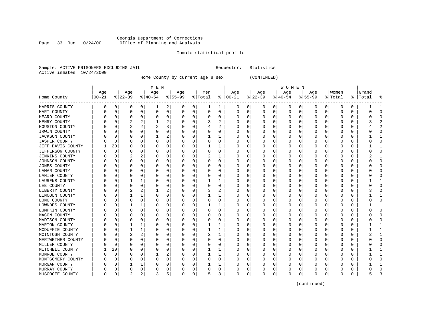#### Georgia Department of Corrections Page 33 Run 10/24/00 Office of Planning and Analysis

### Inmate statistical profile

|  | Sample: ACTIVE PRISONERS EXCLUDING JAIL | Requestor: Statistics |  |
|--|-----------------------------------------|-----------------------|--|
|  | Active inmates 10/24/2000               |                       |  |

Home County by current age & sex (CONTINUED)

| Home County           | Age<br>$ 00-21$ |             | Age<br>$ 22-39$ |          | M E N<br>Age<br>$8 40-54$ |   | Age<br>$8 55-99$ |             | Men<br>% Total |          | Age<br>$8   00 - 21$ |             | Age<br>$ 22-39 $ |   | W O M E N<br>Age<br>$ 40-54$ | $ 55-99$ | Age |          | Women<br>% Total | ႜ        | Grand<br> Total | နွ |
|-----------------------|-----------------|-------------|-----------------|----------|---------------------------|---|------------------|-------------|----------------|----------|----------------------|-------------|------------------|---|------------------------------|----------|-----|----------|------------------|----------|-----------------|----|
| HARRIS COUNTY         | 0               | 0           | 0               | 0        | 1                         | 2 | 0                | 0           | 1              | 1        | 0                    | 0           | 0                | 0 | 0                            | 0        | 0   | 0        | 0                | 0        |                 |    |
| HART COUNTY           | U               | $\mathbf 0$ | $\Omega$        | 0        | O                         | 0 | 0                | 0           | $\Omega$       | 0        | 0                    | 0           | 0                | 0 | 0                            | 0        | 0   | 0        | 0                | 0        | C               |    |
| HEARD COUNTY          |                 | $\mathbf 0$ | O               | $\Omega$ | 0                         | 0 | 0                | 0           | O              | 0        | O                    | $\Omega$    | O                | 0 | $\Omega$                     | 0        | O   | $\Omega$ | 0                | 0        |                 |    |
| HENRY COUNTY          |                 | $\mathbf 0$ | 2               | 2        |                           | 2 | 0                | 0           | 3              | 2        | 0                    | $\mathbf 0$ | C                | 0 | $\Omega$                     | 0        | O   | 0        | 0                | 0        |                 |    |
| HOUSTON COUNTY        |                 | $\mathbf 0$ | $\overline{c}$  | 2        | 2                         | 3 |                  | 0           | 4              | 2        | O                    | $\mathbf 0$ | Ω                | O | $\Omega$                     | $\Omega$ | O   | 0        | C                | $\Omega$ |                 |    |
| IRWIN COUNTY          |                 | 0           | 0               | 0        | 0                         | 0 | $\Omega$         | 0           | O              | 0        | O                    | 0           | 0                | 0 | $\Omega$                     | 0        | O   | 0        | 0                | 0        |                 | Λ  |
| <b>JACKSON COUNTY</b> |                 | 0           | O               | 0        |                           | 2 | O                | 0           | 1              |          | O                    | 0           | $\Omega$         | 0 | $\Omega$                     | 0        | O   | 0        | $\Omega$         | 0        |                 |    |
| <b>JASPER COUNTY</b>  |                 | 0           | 0               | 0        | 0                         | 0 | 0                | 0           | 0              | 0        | 0                    | 0           | C                | 0 | $\Omega$                     | 0        | 0   | 0        | 0                | 0        | Ω               |    |
| JEFF DAVIS COUNTY     |                 | 20          | O               | 0        | C                         | 0 | 0                | 0           |                |          | 0                    | 0           | C                | O | $\Omega$                     | 0        | O   | 0        | 0                | O        |                 |    |
| JEFFERSON COUNTY      |                 | $\mathbf 0$ | O               | 0        | O                         | 0 | $\Omega$         | 0           | O              | 0        | O                    | $\Omega$    | 0                | O | $\Omega$                     | 0        | O   | $\Omega$ | 0                | 0        | Ω               |    |
| <b>JENKINS COUNTY</b> |                 | 0           | 2               | 2        | 0                         | 0 | $\Omega$         | 0           | 2              | 1        | 0                    | 0           | C                | 0 | $\Omega$                     | 0        | 0   | 0        | 0                | 0        | 2               |    |
| JOHNSON COUNTY        |                 | $\mathbf 0$ | $\Omega$        | $\Omega$ | 0                         | 0 | 0                | 0           | $\Omega$       | $\Omega$ | O                    | $\mathbf 0$ | C                | 0 | $\Omega$                     | $\Omega$ | O   | 0        | C                | $\Omega$ |                 |    |
| JONES COUNTY          |                 | 0           | 0               | 0        | 0                         | 0 | $\Omega$         | 0           | 0              | 0        | 0                    | 0           | 0                | 0 | $\Omega$                     | 0        | 0   | 0        | 0                | 0        |                 |    |
| LAMAR COUNTY          |                 | 0           | O               | 0        | 0                         | 0 | 0                | 0           | O              | 0        | O                    | 0           | O                | O | $\Omega$                     | 0        | O   | 0        | 0                | 0        | O               |    |
| LANIER COUNTY         |                 | 0           | 0               | 0        | C                         | 0 | $\Omega$         | 0           | 0              | 0        | 0                    | 0           | C                | 0 | $\Omega$                     | 0        | 0   | 0        | C                | 0        |                 |    |
| LAURENS COUNTY        |                 | 0           |                 |          | C                         | 0 | O                | 0           |                |          | O                    | 0           | C                | O | $\Omega$                     | 0        | O   | O        | 0                | 0        |                 |    |
| LEE COUNTY            |                 | $\Omega$    | O               | $\Omega$ | O                         | 0 | O                | $\mathbf 0$ | O              | 0        | O                    | $\Omega$    | O                | 0 | $\Omega$                     | 0        | O   | 0        | 0                | 0        |                 |    |
| LIBERTY COUNTY        |                 | 0           | 2               | 2        |                           | 2 | 0                | 0           | 3              | 2        | 0                    | 0           | 0                | 0 | $\Omega$                     | 0        | 0   | 0        | 0                | 0        |                 |    |
| LINCOLN COUNTY        |                 | 0           |                 |          | 0                         | 0 |                  | 0           |                |          | O                    | 0           | C                | 0 | 0                            | $\Omega$ | O   | 0        | 0                | $\Omega$ |                 |    |
| LONG COUNTY           |                 | 0           | 0               | 0        | 0                         | 0 | $\Omega$         | 0           | 0              | 0        | O                    | 0           | 0                | 0 | $\Omega$                     | 0        | 0   | 0        | 0                | 0        |                 |    |
| LOWNDES COUNTY        |                 | 0           |                 |          | $\left($                  | 0 | O                | 0           | 1              |          | O                    | 0           | $\Omega$         | 0 | n                            | 0        | O   | 0        | 0                | 0        |                 |    |
| LUMPKIN COUNTY        |                 | 0           | 0               | 0        | 0                         | 0 | 0                | 0           | 0              | 0        | 0                    | 0           | C                | 0 | 0                            | 0        | 0   | 0        | 0                | 0        |                 |    |
| MACON COUNTY          |                 | C           | O               | 0        | O                         | 0 | O                | 0           | O              | 0        | O                    | 0           | C                | O | $\Omega$                     | 0        | O   | 0        | 0                | O        |                 |    |
| MADISON COUNTY        |                 | 0           | O               | 0        | O                         | 0 | O                | 0           | O              | 0        | O                    | $\Omega$    | O                | 0 | $\Omega$                     | 0        | O   | 0        | 0                | 0        |                 |    |
| MARION COUNTY         |                 | 0           | 1               |          | 0                         | 0 | $\Omega$         | 0           | 1              | 1        | 0                    | 0           | C                | 0 | 0                            | 0        | O   | 0        | 0                | 0        |                 |    |
| MCDUFFIE COUNTY       |                 | $\mathbf 0$ | 1               | 1        | 0                         | 0 |                  | 0           | 1              | 1        | O                    | 0           | C                | 0 | <sup>0</sup>                 | $\Omega$ | O   | 0        | 0                | 0        |                 |    |
| MCINTOSH COUNTY       |                 | 0           | 2               | 2        | 0                         | 0 | $\Omega$         | 0           | 2              | 1        | O                    | 0           | 0                | 0 | $\Omega$                     | 0        | O   | 0        | 0                | 0        |                 |    |
| MERIWETHER COUNTY     |                 | 0           | 0               | 0        | 0                         | 0 | 0                | 0           | O              | 0        | O                    | 0           | C                | 0 | n                            | 0        | O   | 0        | 0                | 0        | C               |    |
| MILLER COUNTY         |                 | $\mathbf 0$ | 0               | 0        | C                         | 0 | 0                | 0           | 0              | 0        | 0                    | 0           | C                | 0 | $\Omega$                     | 0        | 0   | 0        | 0                | 0        |                 |    |
| MITCHELL COUNTY       |                 | 20          | O               | 0        | C                         | 0 | O                | 0           | 1              | 1        | O                    | 0           | C                | O | $\Omega$                     | $\Omega$ | O   | O        | 0                | O        |                 |    |
| MONROE COUNTY         |                 | $\mathbf 0$ | O               | $\Omega$ |                           | 2 | O                | $\mathbf 0$ | 1              | 1        | O                    | $\Omega$    | O                | 0 | $\Omega$                     | 0        | O   | O        | O                | 0        |                 |    |
| MONTGOMERY COUNTY     |                 | 0           | 0               | 0        | 0                         | 0 | $\Omega$         | 0           | 0              | 0        | 0                    | 0           | C                | 0 | $\Omega$                     | 0        | 0   | 0        | 0                | 0        |                 |    |
| MORGAN COUNTY         |                 | 0           |                 |          | C                         | 0 |                  | 0           |                |          |                      | 0           | C                | 0 | 0                            | 0        |     | 0        | C                | 0        |                 |    |
| MURRAY COUNTY         |                 | $\mathbf 0$ | $\Omega$        | $\Omega$ |                           | 0 | 0                | 0           | $\Omega$       | $\Omega$ | 0                    | 0           | C                | 0 | 0                            | 0        | 0   | 0        | C                | 0        |                 |    |
| MUSCOGEE COUNTY       | $\Omega$        | 0           | 2               | 2        | 3                         | 5 | $\Omega$         | 0           | 5              | 3        | O                    | 0           | 0                | 0 | $\Omega$                     | 0        | O   | 0        | 0                | 0        | 5               |    |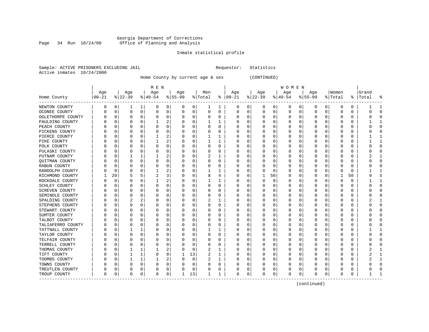#### Georgia Department of Corrections Page 34 Run 10/24/00 Office of Planning and Analysis

# Inmate statistical profile

|  | Sample: ACTIVE PRISONERS EXCLUDING JAIL |  | Requestor: Statistics |  |
|--|-----------------------------------------|--|-----------------------|--|
|  | Active inmates 10/24/2000               |  |                       |  |

Home County by current age & sex (CONTINUED)

|                          |          |          |           |          | M E N     |   |          |          |         |          |              |   |          |          | <b>WOMEN</b> |          |           |          |          |    |           |              |
|--------------------------|----------|----------|-----------|----------|-----------|---|----------|----------|---------|----------|--------------|---|----------|----------|--------------|----------|-----------|----------|----------|----|-----------|--------------|
|                          | Age      |          | Age       |          | Age       |   | Age      |          | Men     |          | Age          |   | Age      |          | Age          |          | Age       |          | Women    |    | Grand     |              |
| Home County<br>--------- | $ 00-21$ |          | $8 22-39$ |          | $ 40-54 $ |   | $ 55-99$ |          | % Total | ႜ        | $ 00-21$     |   | $ 22-39$ |          | $ 40-54$     |          | $8 55-99$ |          | % Total  |    | %   Total | 옹            |
| NEWTON COUNTY            | 0        | 0        | 1         | 1        | 0         | 0 | 0        | 0        | 1       | 1        | 0            | 0 | 0        | 0        | 0            | 0        | 0         | 0        | O        | 0  |           | -1           |
| OCONEE COUNTY            |          | $\Omega$ | $\Omega$  | 0        | 0         | 0 | O        | 0        | 0       | 0        | 0            | 0 | $\Omega$ | 0        | 0            | 0        | $\Omega$  | 0        | O        | 0  | U         | $\Omega$     |
| OGLETHORPE COUNTY        |          | $\Omega$ | $\Omega$  | $\Omega$ | O         | 0 |          | $\Omega$ | 0       | 0        | 0            | 0 | $\Omega$ | $\Omega$ | 0            | $\Omega$ | $\Omega$  | $\Omega$ | O        | 0  |           | $\cap$       |
| PAULDING COUNTY          |          | $\Omega$ |           | $\Omega$ |           | 2 |          | $\Omega$ |         | 1        | 0            | 0 | 0        | $\Omega$ | 0            | 0        | 0         | $\Omega$ | O        | 0  |           | 1            |
| PEACH COUNTY             |          | O        |           | $\Omega$ | O         | 0 |          | $\Omega$ | U       | $\Omega$ | Ω            | 0 | 0        | $\Omega$ | ი            | 0        | O         | $\Omega$ | O        | O  |           | $\bigcap$    |
| PICKENS COUNTY           |          | C        |           | $\Omega$ | C         | 0 |          | $\Omega$ | O       | $\Omega$ | C            | 0 |          | $\Omega$ | ი            | 0        | $\Omega$  | $\Omega$ | C        | 0  |           | $\bigcap$    |
| PIERCE COUNTY            |          | C        | $\Omega$  | $\Omega$ |           | 2 |          | $\Omega$ | 1       | 1        | <sup>0</sup> | 0 | O        | $\Omega$ | U            | 0        | $\Omega$  | $\Omega$ | C        | 0  |           | $\mathbf{1}$ |
| PIKE COUNTY              |          | C        | O         | O        |           | 2 |          | 0        |         | 1        | 0            | 0 | O        | 0        | 0            | 0        | 0         | 0        | C        | 0  |           | $\mathbf{1}$ |
| POLK COUNTY              |          | C        |           | 0        | O         | 0 |          | 0        | 0       | 0        | 0            | 0 | O        | $\Omega$ | 0            | 0        | 0         | $\Omega$ | O        | 0  |           | $\mathbf 0$  |
| PULASKI COUNTY           |          | C        |           |          | C         | 0 |          | 0        | 0       | 0        | 0            | 0 | 0        | 0        | 0            | 0        | O         | O        | O        | 0  |           | $\bigcap$    |
| PUTNAM COUNTY            |          | C        |           |          |           | 2 |          | $\Omega$ |         | 1        | 0            | 0 | O        | $\Omega$ | 0            | 0        | O         | $\Omega$ | C        | 0  |           | -1           |
| QUITMAN COUNTY           |          | C        |           | 0        | n         | 0 |          | $\Omega$ | O       | 0        | Ω            | 0 | $\left($ | O        | 0            | n        | O         | $\Omega$ | $\Gamma$ | 0  |           | $\cap$       |
| RABUN COUNTY             |          | C        |           | $\Omega$ | O         | 0 |          | $\Omega$ | 0       | 0        | 0            | 0 | O        | 0        | 0            | 0        | O         | $\Omega$ | O        | 0  |           | $\cap$       |
| RANDOLPH COUNTY          |          | C        |           | O        |           | 2 |          | 0        |         | 1        | C            | 0 |          | $\Omega$ | Ω            | 0        |           | 0        | O        | 0  |           |              |
| RICHMOND COUNTY          |          | 20       | 5         | 5        | 2         | 3 |          | 0        | 8       | 4        | C            | 0 |          | 50       | 0            | 0        | $\Omega$  | $\Omega$ | 1        | 50 |           | 5            |
| ROCKDALE COUNTY          |          | C        |           | O        |           | 2 |          | $\Omega$ |         | 1        | C            | 0 | $\Omega$ | $\Omega$ | 0            | $\Omega$ | $\Omega$  | $\Omega$ | O        | 0  |           | -1           |
| SCHLEY COUNTY            |          | C        |           | O        |           | 0 |          | $\Omega$ | 0       | 0        | 0            | 0 | 0        | $\Omega$ | 0            | 0        | 0         | $\Omega$ | C        | 0  |           | $\Omega$     |
| <b>SCREVEN COUNTY</b>    |          | C        |           | O        | C         | 0 |          | $\Omega$ | 0       | 0        | 0            | 0 | 0        | $\Omega$ | 0            | 0        | $\Omega$  | $\Omega$ | O        | 0  |           | $\Omega$     |
| SEMINOLE COUNTY          |          | C        |           |          |           | 0 |          | $\Omega$ | 0       | 0        | 0            | 0 | 0        | $\Omega$ | 0            | 0        | O         | $\Omega$ | C        | 0  |           | $\cap$       |
| SPALDING COUNTY          |          | C        |           | 2        |           | 0 |          | $\Omega$ | 2       | 1        | C            | 0 | $\Omega$ | $\Omega$ | 0            | $\Omega$ | O         | $\Omega$ | O        | 0  |           | -1           |
| STEPHENS COUNTY          |          | C        | O         | $\Omega$ | O         | 0 |          | $\Omega$ | U       | 0        | Ω            | 0 | O        | $\Omega$ | Ω            | $\Omega$ | O         | $\Omega$ | O        | U  |           | $\Omega$     |
| STEWART COUNTY           |          | C        |           | $\Omega$ | $\left($  | 0 |          | $\Omega$ | 0       | 0        | 0            | 0 | $\left($ | 0        | 0            | 0        | $\left($  | $\Omega$ | O        | 0  |           | $\cap$       |
| SUMTER COUNTY            |          | 0        |           | O        | C         | 0 |          | 0        | 0       | 0        | 0            | 0 | 0        | 0        | Ω            | 0        | 0         | $\Omega$ | O        | 0  |           | $\Omega$     |
| TALBOT COUNTY            |          | C        |           | O        |           | 0 |          | $\Omega$ | 0       | 0        | C            | 0 |          | $\Omega$ | Ω            | 0        | $\Omega$  | $\Omega$ | C        | 0  |           | $\bigcap$    |
| TALIAFERRO COUNTY        |          | C        | $\Omega$  | $\Omega$ |           | 0 |          | 0        | U       | 0        | <sup>0</sup> | 0 | O        | $\Omega$ | 0            | 0        | $\Omega$  | $\Omega$ | C        | 0  |           | $\Omega$     |
| TATTNALL COUNTY          |          | C        |           |          | $\left($  | 0 |          | 0        | 1       | ı        | O            | 0 | O        | 0        | 0            | 0        | 0         | $\Omega$ | O        | 0  |           | 1            |
| TAYLOR COUNTY            |          | C        |           | 0        | C         | 0 |          | 0        | 0       | 0        | 0            | 0 | 0        | $\Omega$ | 0            | 0        | 0         | 0        | O        | 0  |           | $\mathbf 0$  |
| TELFAIR COUNTY           |          | C        |           | 0        | C         | 0 |          | $\Omega$ | 0       | 0        | 0            | 0 | 0        | 0        | 0            | 0        | 0         | 0        | O        | 0  |           | $\cap$       |
| TERRELL COUNTY           |          | C        |           | $\Omega$ | C         | 0 |          | $\Omega$ | 0       | 0        | 0            | 0 | $\Omega$ | $\Omega$ | 0            | 0        | $\Omega$  | $\Omega$ | C        | 0  |           | $\cap$       |
| THOMAS COUNTY            |          | C        |           |          |           | 2 |          | $\Omega$ | 2       | 1        | 0            | 0 | O        | $\Omega$ | 0            | 0        | $\Omega$  | $\Omega$ | O        | 0  |           |              |
| TIFT COUNTY              |          | 0        |           | 1        | O         | 0 |          | 13       | 2       | 1        | 0            | 0 | O        | $\Omega$ | 0            | 0        | 0         | $\Omega$ | O        | 0  |           | -1           |
| TOOMBS COUNTY            |          | C        |           |          |           | 2 |          | 0        | 2       | 1        | 0            | 0 |          | $\Omega$ | Ω            | 0        | 0         | $\Omega$ | C        | 0  |           |              |
| TOWNS COUNTY             |          | C        |           | $\Omega$ |           | 0 |          | 0        | 0       | 0        |              | 0 |          | $\Omega$ | ი            | 0        |           | $\Omega$ | $\Box$   | 0  |           | $\bigcap$    |
| TREUTLEN COUNTY          | 0        | C        |           | 0        |           | 0 |          | 0        | U       | 0        | C            | 0 |          | $\Omega$ | 0            | 0        | $\Omega$  | 0        | C        | 0  |           | $\bigcap$    |
| TROUP COUNTY             | 0        | 0        | $\Omega$  | 0        | O         | 0 |          | 13       | 1       | 1        | $\mathbf 0$  | 0 | O        | 0        | 0            | 0        | $\Omega$  | 0        | O        | 0  |           |              |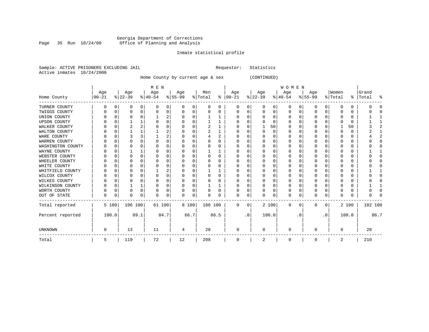#### Georgia Department of Corrections Page 35 Run 10/24/00 Office of Planning and Analysis

# Inmate statistical profile

|  | Sample: ACTIVE PRISONERS EXCLUDING JAIL |  | Requestor: Statistics |  |
|--|-----------------------------------------|--|-----------------------|--|
|  | Active inmates 10/24/2000               |  |                       |  |

Home County by current age & sex (CONTINUED)

|                     |          |       |          |              | M E N     |      |                   |          |                |      |               |           |           |          | <b>WOMEN</b> |           |           |           |          |       |         |      |
|---------------------|----------|-------|----------|--------------|-----------|------|-------------------|----------|----------------|------|---------------|-----------|-----------|----------|--------------|-----------|-----------|-----------|----------|-------|---------|------|
|                     | Age      |       | Age      |              | Age       |      | Age               |          | Men            |      | Age           |           | Age       |          | Age          |           | Age       |           | Women    |       | Grand   |      |
| Home County         | $ 00-21$ |       | $ 22-39$ |              | $ 40-54 $ |      | $\frac{8}{55-99}$ |          | % Total        |      | $8   00 - 21$ |           | $ 22-39 $ |          | $ 40-54 $    |           | $8 55-99$ |           | % Total  | န္    | Total   |      |
| TURNER COUNTY       |          | 0     | 0        | 0            | 0         | 0    | O                 | 0        | 0              | 0    | 0             | 0         | O         | 0        | 0            | 0         | 0         | 0         | $\Omega$ | 0     |         |      |
| TWIGGS COUNTY       |          |       |          | 0            | $\Omega$  | 0    | O                 | 0        | 0              |      | 0             | 0         |           | O        | 0            |           | 0         | $\Omega$  |          | 0     |         |      |
| UNION COUNTY        |          |       | U        | U            |           | 2    |                   | 0        |                |      | 0             | 0         |           |          | U            |           | 0         | U         |          | 0     |         |      |
| <b>UPSON COUNTY</b> |          |       |          |              | C         | 0    |                   | O        |                |      | <sup>0</sup>  | U         |           |          |              |           | $\Omega$  |           |          | 0     |         |      |
| WALKER COUNTY       |          |       |          |              |           | 0    |                   | 0        | $\overline{2}$ |      | <sup>0</sup>  | 0         |           | 50       |              |           | $\Omega$  | O         |          | 50    |         |      |
| WALTON COUNTY       |          | U     |          |              |           | 2    |                   | O        | 2              |      | O             | U         |           | $\Omega$ | U            |           | $\Omega$  | 0         |          | 0     |         |      |
| WARE COUNTY         |          |       |          |              |           | 2    |                   | 0        |                | 2    | O             | 0         |           |          |              |           | 0         |           |          | 0     |         |      |
| WARREN COUNTY       |          |       |          |              |           | 0    |                   | O        |                |      |               | U         |           |          |              |           | $\Omega$  |           |          | 0     |         |      |
| WASHINGTON COUNTY   |          |       |          |              | ∩         | N    |                   | O        | U              | 0    | O             | U         |           |          |              |           | 0         |           |          | 0     |         |      |
| WAYNE COUNTY        |          |       |          |              |           | 0    |                   | 0        |                |      | n             | U         |           |          |              |           | $\Omega$  |           |          | 0     |         |      |
| WEBSTER COUNTY      |          |       |          | O            | C         | 0    |                   | $\Omega$ | 0              | 0    |               | U         |           |          |              |           | $\Omega$  |           |          | 0     |         |      |
| WHEELER COUNTY      |          |       |          | U            | C         | O    |                   | O        | U              | U    | O             | U         |           |          |              |           | 0         | U         |          | 0     |         |      |
| WHITE COUNTY        |          |       |          |              |           | 0    |                   | O        |                |      | n             | U         |           |          |              |           | $\Omega$  |           |          | 0     |         |      |
| WHITFIELD COUNTY    |          |       |          |              |           | 2    |                   | O        |                |      |               | U         |           |          |              |           | $\Omega$  |           |          | 0     |         |      |
| WILCOX COUNTY       |          |       |          | U            | $\Omega$  | O    |                   | O        | O              | 0    | $\left($      | U         |           |          |              |           | 0         | U         |          | 0     |         |      |
| WILKES COUNTY       |          |       |          | U            | $\Omega$  | 0    | U                 | O        | O              | O    | $\Omega$      | U         |           |          | U            |           | $\Omega$  | O         |          | 0     |         |      |
| WILKINSON COUNTY    |          | 0     |          | $\mathbf{1}$ | $\Omega$  | 0    |                   | 0        |                |      | 0             | 0         |           | O        | U            |           | 0         | O         |          | 0     |         |      |
| WORTH COUNTY        |          | 0     | U        | 0            | $\Omega$  | 0    | O                 | 0        | 0              | O    | 0             | 0         |           | n        | O            |           | 0         | 0         | O        | 0     |         |      |
| OUT OF STATE        | U        | 0     | U        | 0            | $\Omega$  | 0    | <sup>0</sup>      | 0        | N              | 0    | $\Omega$      | 0         |           | $\Omega$ | 0            |           | $\Omega$  | 0         | ∩        | 0     |         |      |
| Total reported      |          | 5 100 | 106 100  |              | 61 100    |      | 8 100             |          | 180 100        |      | 0             | 0         |           | 2 100    | 0            | 0         | 0         | 0         |          | 2 100 | 182 100 |      |
| Percent reported    |          | 100.0 |          | 89.1         |           | 84.7 |                   | 66.7     |                | 86.5 |               | $\cdot$ 0 |           | 100.0    |              | $\cdot$ 0 |           | $\cdot$ 0 |          | 100.0 |         | 86.7 |
| UNKNOWN             |          |       | 13       |              | 11        |      | 4                 |          | 28             |      | $\Omega$      |           |           |          | $\Omega$     |           | $\Omega$  |           | U        |       | 28      |      |
| Total               | 5        |       | 119      |              | 72        |      | 12                |          | 208            |      | 0             |           | 2         |          | 0            |           | 0         |           | 2        |       | 210     |      |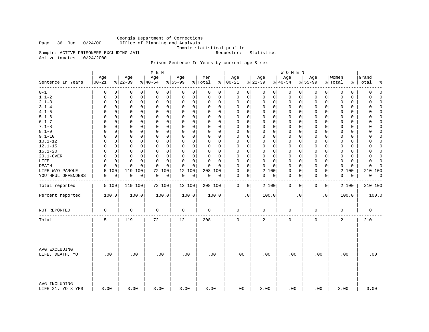Georgia Department of Corrections Office of Planning and Analysis

Inmate statistical profile<br>Requestor: Statistics

Sample: ACTIVE PRISONERS EXCLUDING JAIL Active inmates 10/24/2000

# Prison Sentence In Years by current age & sex

|                                    |                   |                 | M E N           |                          |                |                   |                 | <b>WOMEN</b>     |                             |                  |                          |
|------------------------------------|-------------------|-----------------|-----------------|--------------------------|----------------|-------------------|-----------------|------------------|-----------------------------|------------------|--------------------------|
| Sentence In Years                  | Age<br>$ 00 - 21$ | Age<br>$ 22-39$ | Age<br>$ 40-54$ | Age<br>$\frac{8}{55-99}$ | Men<br>% Total | Age<br>$% 100-21$ | Age<br>$ 22-39$ | Age<br>$ 40-54$  | Age<br>$8 55-99$            | Women<br>% Total | Grand<br>%   Total<br>နွ |
| --------                           | 0                 | 0               | 0               | 0                        | 0              | 0                 | 0               | 0                | 0                           | 0                | $\mathbf 0$              |
| $0 - 1$                            | 0                 | 0               | 0               | 0                        | 0              | 0                 | 0               | 0                | 0                           | 0                | 0                        |
| $1.1 - 2$                          | 0                 | $\mathbf 0$     | $\mathbf 0$     | 0                        | 0              | $\mathsf 0$       | $\mathbf 0$     | 0                | 0                           | $\mathbf 0$      | $\Omega$                 |
|                                    | 0                 | 0               | 0               | $\mathbf 0$              | 0              | 0                 | $\mathbf 0$     | 0                | 0                           | 0                | 0                        |
| $2.1 - 3$                          | $\mathbf 0$       | $\mathbf 0$     | $\mathsf 0$     | 0                        | $\mathbf 0$    | 0                 | $\mathbf 0$     | 0                | $\mathbf 0$                 | 0                | $\Omega$                 |
|                                    | 0                 | 0               | $\mathbf 0$     | 0                        | 0              | 0                 | 0               | 0                | 0                           | 0                | $\Omega$                 |
| $3.1 - 4$                          | $\Omega$          | $\Omega$        | $\Omega$        | $\mathbf 0$              | $\Omega$       | 0                 | $\mathbf 0$     | 0                | $\mathbf 0$                 | 0                | $\Omega$                 |
|                                    | $\Omega$          | 0               | $\Omega$        | 0                        | 0              | 0                 | $\mathbf 0$     | 0                | 0                           | $\Omega$         | O                        |
| $4.1 - 5$                          | 0                 | 0               | $\mathbf 0$     | 0                        | $\Omega$       | $\mathsf 0$       | $\mathbf 0$     | 0                | $\mathsf{O}$                | $\mathbf 0$      | $\Omega$                 |
|                                    | $\Omega$          | 0               | 0               | 0                        | 0              | 0                 | $\mathbf 0$     | 0                | 0                           | 0                | 0                        |
| $5.1 - 6$                          | $\Omega$          | 0               | 0               | 0                        | $\Omega$       | $\Omega$          | $\mathbf 0$     | 0                | $\mathbf 0$                 | 0                | $\Omega$                 |
|                                    | $\Omega$          | $\Omega$        | $\Omega$        | 0                        | $\Omega$       | 0                 | 0               | 0                | 0                           | 0                | 0                        |
| $6.1 - 7$                          | $\Omega$          | 0               | $\mathbf 0$     | $\mathbf 0$              | $\Omega$       | $\mathbf 0$       | $\mathbf 0$     | $\mathbf 0$      | $\mathbf 0$                 | $\mathbf 0$      | $\Omega$                 |
|                                    | $\Omega$          | 0               | $\Omega$        | 0                        | 0              | 0                 | $\mathbf 0$     | 0                | $\mathbf 0$                 | $\Omega$         | $\Omega$                 |
| $7.1 - 8$                          | $\Omega$          | $\mathbf 0$     | $\mathbf 0$     | 0                        | $\Omega$       | $\mathbf 0$       | $\mathbf 0$     | 0                | $\mathbf 0$                 | 0                | $\Omega$                 |
|                                    | 0                 | 0               | 0               | 0                        | $\Omega$       | 0                 | $\mathbf 0$     | 0                | 0                           | $\Omega$         | 0                        |
| $8.1 - 9$                          | $\Omega$          | 0               | $\mathbf 0$     | 0                        | $\Omega$       | $\mathbf 0$       | $\mathbf 0$     | 0                | $\mathbf 0$                 | $\mathbf 0$      | $\mathbf 0$              |
|                                    | 0                 | 0               | $\mathbf 0$     | 0                        | 0              | 0                 | 0               | 0                | 0                           | 0                | $\Omega$                 |
| $9.1 - 10$                         | $\Omega$          | $\Omega$        | $\Omega$        | 0                        | $\Omega$       | $\Omega$          | $\mathbf 0$     | 0                | 0                           | $\Omega$         | $\Omega$                 |
|                                    | $\Omega$          | 0               | $\Omega$        | $\mathbf 0$              | $\Omega$       | 0                 | $\mathbf 0$     | 0                | $\Omega$                    | $\Omega$         | O                        |
| $10.1 - 12$                        | 0                 | 0               | $\mathbf 0$     | 0                        | 0              | $\mathsf 0$       | $\mathbf 0$     | 0                | $\mathsf{O}$                | $\mathbf 0$      | $\Omega$                 |
|                                    | 0                 | 0               | 0               | 0                        | 0              | 0                 | 0               | 0                | 0                           | 0                | 0                        |
| $12.1 - 15$                        | 0                 | 0               | 0               | 0                        | 0              | $\Omega$          | $\mathbf 0$     | $\mathbf 0$      | $\mathbf 0$                 | $\Omega$         | $\Omega$                 |
|                                    | $\Omega$          | $\mathbf 0$     | 0               | $\mathbf 0$              | $\Omega$       | 0                 | 0               | 0                | 0                           | 0                | 0                        |
| $15.1 - 20$                        | $\Omega$          | 0               | $\mathbf 0$     | $\mathbf 0$              | $\Omega$       | $\mathbf 0$       | $\mathbf 0$     | $\mathbf 0$      | $\mathbf 0$                 | $\mathbf 0$      | $\Omega$                 |
|                                    | $\Omega$          | 0               | $\Omega$        | 0                        | 0              | $\mathbf 0$       | $\mathbf 0$     | 0                | $\mathbf 0$                 | $\mathbf 0$      | $\Omega$                 |
| 20.1-OVER                          | $\Omega$          | $\mathbf 0$     | $\mathbf 0$     | 0                        | 0              | $\mathbf 0$       | $\mathbf 0$     | 0                | $\mathbf 0$                 | 0                | 0                        |
|                                    | 0                 | 0               | 0               | 0                        | $\Omega$       | 0                 | $\mathbf 0$     | 0                | $\mathbf 0$                 | 0                | $\Omega$                 |
| LIFE                               | $\mathbf 0$       | $\mathbf 0$     | $\mathbf 0$     | $\Omega$                 | $\mathbf 0$    | $\mathbf 0$       | $\mathbf 0$     | 0                | $\mathbf 0$                 | $\mathbf 0$      | 0                        |
|                                    | $\Omega$          | $\mathbf 0$     | $\mathbf 0$     | 0                        | $\Omega$       | 0                 | $\mathbf 0$     | 0                | 0                           | $\mathbf 0$      | $\Omega$                 |
| <b>DEATH</b>                       | $\Omega$          | 0               | $\Omega$        | 0                        | $\Omega$       | $\mathbf 0$       | $\Omega$        | 0                | $\mathbf 0$                 | $\Omega$         | $\Omega$                 |
|                                    | $\Omega$          | $\Omega$        | $\Omega$        | $\Omega$                 | $\Omega$       | $\Omega$          | 0               | 0                | 0                           | 0                | $\Omega$                 |
| LIFE W/O PAROLE                    | 5<br>100          | 119 100         | 100<br>72       | 12<br>100                | 208<br>100     | $\mathsf 0$<br>0  | 2<br>100        | 0<br>0           | $\mathsf{O}$<br>$\mathsf 0$ | 2<br>100         | 210 100                  |
| YOUTHFUL OFFENDERS                 | 0                 | 0               | 0               | 0                        | 0              | 0                 | 0               | 0                | $\mathbf 0$                 | 0                | 0                        |
|                                    | 0                 | 0               | 0               | 0                        | 0              | 0                 | 0               | 0                | 0                           | 0                | 0                        |
|                                    |                   |                 |                 |                          |                |                   |                 |                  |                             |                  |                          |
| Total reported                     | 5 100             | 119 100         | 72 100          | 12 100                   | 208 100        | 0<br>0            | 2 100           | $\mathbf 0$<br>0 | 0<br>0                      | 2 100            | 210 100                  |
| Percent reported                   | 100.0             | 100.0           | 100.0           | 100.0                    | 100.0          | $\cdot$ 0         | 100.0           | $\cdot$ 0        | $\cdot$ 0                   | 100.0            | 100.0                    |
| NOT REPORTED                       | $\mathbf 0$       | $\mathbf 0$     | $\mathbf 0$     | $\mathsf 0$              | $\mathbf 0$    | 0                 | $\mathbf 0$     | 0                | $\mathbf 0$                 | 0                | $\mathbf 0$              |
| Total                              | 5                 | 119             | 72              | 12                       | 208            | $\mathbf 0$       | 2               | 0                | $\mathbf 0$                 | 2                | 210                      |
| AVG EXCLUDING<br>LIFE, DEATH, YO   | .00               | .00             | .00             | .00                      | .00            | .00               | .00             | .00              | .00                         | .00              | .00                      |
| AVG INCLUDING<br>LIFE=21, YO=3 YRS | 3.00              | 3.00            | 3.00            | 3.00                     | 3.00           | .00               | 3.00            | .00              | .00                         | 3.00             | 3.00                     |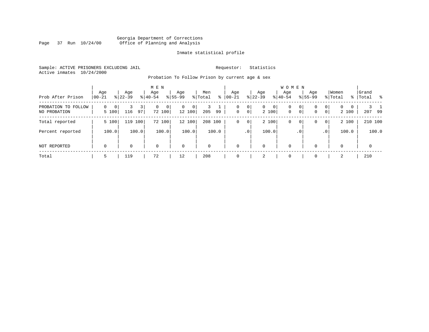# Georgia Department of Corrections Page 37 Run 10/24/00 Office of Planning and Analysis

### Inmate statistical profile

Sample: ACTIVE PRISONERS EXCLUDING JAIL **Requestor:** Statistics Active inmates 10/24/2000

Probation To Follow Prison by current age & sex

| Prob After Prison                   | Age<br>$ 00-21 $             | Age<br>$ 22-39 $ | M E N<br>Age<br>$8 40-54$ | Age<br>$8 55-99$   | Men<br>% Total<br>ွေ | Age<br>$ 00 - 21 $                        | Aqe<br>$ 22-39 $                          | W O M E N<br>Aqe<br>$ 40-54 $ | Age<br>$8155 - 99$                     | Women<br>% Total<br>%                                     | Grand<br> Total % |
|-------------------------------------|------------------------------|------------------|---------------------------|--------------------|----------------------|-------------------------------------------|-------------------------------------------|-------------------------------|----------------------------------------|-----------------------------------------------------------|-------------------|
| PROBATION TO FOLLOW<br>NO PROBATION | 0<br>$\overline{0}$<br>5 100 | 3<br>116<br>97   | 0 <sup>1</sup><br>72 100  | 0<br> 0 <br>12 100 | 205<br>99            | 0 <br>0<br>$\mathbf{0}$<br>0 <sup>1</sup> | $\overline{0}$<br>0 <sup>1</sup><br>2 100 | 0<br>$\mathbf 0$              | $\circ$<br>0<br>$\circ$<br>$\mathbf 0$ | 0 <sup>1</sup><br>$\overline{0}$<br>0<br>$\circ$<br>2 100 | 207 99            |
| Total reported                      | 5 100                        | 119 100          | 100<br>72                 | 12 100             | 208 100              | 0 <sup>1</sup><br>0                       | 2 100                                     | 0                             | 0<br>0                                 | 2 100<br>$\circ$                                          | 210 100           |
| Percent reported                    | 100.0                        | 100.0            | 100.0                     | 100.0              | 100.0                | .0 <sup>1</sup>                           | 100.0                                     | . 0                           |                                        | 100.0<br>.0 <sup>1</sup>                                  | 100.0             |
| NOT REPORTED                        | $\mathbf 0$                  | $\Omega$         | $\mathbf 0$               | $\mathbf 0$        | $\Omega$             | $\Omega$                                  | $\mathbf 0$                               | $\mathbf 0$                   | 0                                      | $\mathbf 0$                                               | $\mathbf 0$       |
| Total                               | 5                            | 119              | 72                        | 12                 | 208                  |                                           | 2                                         | $\Omega$                      | 0                                      | $\overline{a}$                                            | 210               |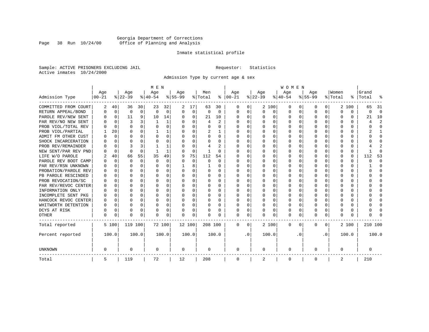# Georgia Department of Corrections Page 38 Run 10/24/00 Office of Planning and Analysis

#### Inmate statistical profile

Sample: ACTIVE PRISONERS EXCLUDING JAIL **Requestor:** Statistics Active inmates 10/24/2000

Admission Type by current age & sex

|                      |           |             |          |          | M E N    |          |           |          |              |          |              |              |          |              | <b>WOMEN</b> |          |           |              |         |          |         |              |
|----------------------|-----------|-------------|----------|----------|----------|----------|-----------|----------|--------------|----------|--------------|--------------|----------|--------------|--------------|----------|-----------|--------------|---------|----------|---------|--------------|
|                      | Age       |             | Age      |          | Age      |          | Aqe       |          | Men          |          | Age          |              | Age      |              | Age          |          | Aqe       |              | Women   |          | Grand   |              |
| Admission Type       | $00 - 21$ |             | $ 22-39$ |          | $ 40-54$ |          | $8 55-99$ |          | % Total      | နွ       | $ 00 - 21$   |              | $ 22-39$ |              | $ 40-54$     |          | $8 55-99$ |              | % Total | ွေ       | Total   |              |
| COMMITTED FROM COURT | 2         | 40          | 36       | 30       | 23       | 32       | 2         | 17       | 63           | 30       | 0            | 0            |          | 2 100        | 0            | U        | 0         | 0            | 2       | 100      | 65      | -31          |
| RETURN APPEAL/BOND   | 0         | $\mathbf 0$ | 0        | 0        | $\Omega$ | 0        | O         | 0        | 0            | $\Omega$ | 0            | 0            | $\Omega$ | 0            | 0            | $\Omega$ | $\Omega$  | $\Omega$     | O       | 0        | U       | $\Omega$     |
| PAROLE REV/NEW SENT  |           | $\Omega$    | 11       | 9        | 10       | 14       | U         | $\Omega$ | 21           | 10       | <sup>0</sup> | $\Omega$     | ∩        | O            | $\Omega$     | $\Omega$ | ∩         | $\Omega$     | U       | 0        | 21      | 10           |
| PAR REV/NO NEW SENT  |           | $\Omega$    |          |          |          | 1        |           | $\Omega$ | 4            | 2        | <sup>0</sup> | $\Omega$     | ∩        | $\Omega$     | U            | $\cap$   | ∩         | <sup>n</sup> |         | O        |         |              |
| PROB VIOL/TOTAL REV  |           | $\Omega$    | $\Omega$ | U        | $\Omega$ | $\Omega$ | O         | $\Omega$ | U            | U        | O            | $\Omega$     | U        | $\Omega$     | U            | n        | $\Omega$  | U            | U       | O        |         | <sup>0</sup> |
| PROB VIOL/PARTIAL    |           | 20          | U        | U        |          | 1        |           | $\Omega$ | 2            |          | O            | 0            | U        | O            | U            | n        | $\Omega$  |              |         | U        |         |              |
| ADMIT FM OTHER CUST  |           | $\Omega$    | U        | 0        | $\Omega$ | $\Omega$ | O         | $\Omega$ | U            | 0        | <sup>0</sup> | 0            | U        | <sup>0</sup> | U            | n        | $\Omega$  | O            |         | U        |         | <sup>0</sup> |
| SHOCK INCARCERATION  |           | $\Omega$    | U        | U        | $\Omega$ | 0        | U         | 0        | U            | $\Omega$ | <sup>0</sup> | 0            | U        | O            | U            | $\Omega$ | ∩         | U            | n       | 0        |         | ∩            |
| PROB REV/REMAINDER   |           | $\Omega$    | ζ        | 3        |          | 1        | U         | $\Omega$ | 4            | 2        | <sup>0</sup> | $\Omega$     | ∩        | O            | U            | $\Omega$ | ∩         | $\cap$       |         | 0        |         | 2            |
| NEW SENT/PAR REV PND |           | $\Omega$    | $\Omega$ | $\Omega$ |          | 1        |           | $\Omega$ | $\mathbf{1}$ | $\Omega$ | 0            | $\Omega$     | U        | $\Omega$     | U            | $\Omega$ | $\Omega$  | 0            |         | $\Omega$ |         | ſ            |
| LIFE W/O PAROLE      |           | 40          | 66       | 55       | 35       | 49       | 9         | 75       | 112          | 54       |              | $\Omega$     |          | $\Omega$     | Ω            | 0        | $\Omega$  | $\cap$       |         | $\Omega$ | 112     | 53           |
| PAROLE REV BOOT CAMP |           | $\Omega$    | 0        | $\Omega$ | $\Omega$ | $\Omega$ |           | $\Omega$ | 0            | $\Omega$ | 0            | $\Omega$     |          | $\Omega$     | Ω            | $\Omega$ |           |              |         | $\Omega$ | ი       | $\Omega$     |
| PAR REV/RSN UNKNOWN  |           | $\Omega$    | U        | $\Omega$ | $\Omega$ | $\Omega$ |           | 8        |              | U        | 0            | $\Omega$     | O        | $\Omega$     | Ω            | $\Omega$ | O         |              | O       | 0        |         | <sup>0</sup> |
| PROBATION/PAROLE REV |           | $\Omega$    | U        | 0        | $\Omega$ | $\Omega$ | U         | $\Omega$ | 0            | 0        | O            | $\Omega$     | ∩        | $\Omega$     | U            | $\Omega$ | ∩         | U            | n       | 0        |         | n            |
| PB PAROLE RESCINDED  |           | $\Omega$    | U        | 0        | $\Omega$ | $\Omega$ | U         | $\Omega$ | 0            | 0        | O            | $\Omega$     | U        | $\Omega$     | U            | n        | ∩         | U            | n       | U        |         | n            |
| PROB REVOCATION/SC   |           | $\Omega$    | U        | U.       | ∩        | U        | U         | U        | 0            | U        | <sup>0</sup> | <sup>n</sup> | U        | U            | U            | $\cap$   | ∩         | U            |         | 0        |         |              |
| PAR REV/REVOC CENTER |           | 0           | U        | U        | $\Omega$ | O        | U         | O        | U            | U        | O            | 0            |          | U            | U            | n        | ∩         | <sup>n</sup> |         | 0        |         |              |
| INFORMATION ONLY     |           | $\mathbf 0$ | U        | U        | $\Omega$ | $\Omega$ |           | $\Omega$ | 0            | U        |              | O            |          | O            | Ω            | n        | $\Omega$  | U            |         | 0        |         | ∩            |
| INCOMPLETE SENT PKG  |           | 0           |          | 0        | $\Omega$ | $\Omega$ | U         | $\Omega$ | 0            | U        | <sup>0</sup> | O            |          | O            | 0            | $\Omega$ | $\Omega$  |              |         | 0        |         | ∩            |
| HANCOCK REVOC CENTER | O         | 0           | U        | 0        | $\Omega$ | $\Omega$ | U         | $\Omega$ | 0            | U        | 0            | $\Omega$     | U        | $\Omega$     | 0            | O        | $\Omega$  | 0            | O       | 0        |         | ∩            |
| WHITWORTH DETENTION  | U         | $\Omega$    | U        | $\Omega$ | $\Omega$ | $\Omega$ | U         | $\Omega$ | 0            | 0        | <sup>0</sup> | $\Omega$     | $\Omega$ | $\Omega$     | 0            | $\Omega$ | ∩         | $\Omega$     | U       | 0        |         | ∩            |
| DCYS AT RISK         | U         | $\Omega$    | U        | $\Omega$ | $\Omega$ | 0        | U         | 0        | U            | U        | <sup>0</sup> | $\Omega$     | U        | 0            | U            | $\Omega$ | $\Omega$  | $\Omega$     |         | 0        |         | ſ            |
| <b>OTHER</b>         | U         | 0           | U        | 0        | $\Omega$ | 0        | O         | 0        | N            | U        | $\Omega$     | 0            | U        | 0            | 0            | $\Omega$ | $\Omega$  | 0            | O       | U        |         |              |
| Total reported       |           | 5 100       | 119 100  |          |          | 72 100   | 12 100    |          | 208 100      |          | 0            | 0            |          | 2 100        | 0            | $\Omega$ | $\Omega$  | $\Omega$     |         | 2 100    | 210 100 |              |
| Percent reported     |           | 100.0       |          | 100.0    |          | 100.0    |           | 100.0    |              | 100.0    |              | $\cdot$ 0    |          | 100.0        |              | . 0      |           | $\cdot$ 0    |         | 100.0    |         | 100.0        |
| UNKNOWN              | 0         |             | 0        |          | 0        |          | 0         |          | 0            |          | 0            |              | 0        |              | 0            |          | $\Omega$  |              | O       |          | 0       |              |
| Total                | 5         |             | 119      |          | 72       |          | 12        |          | 208          |          | 0            |              | 2        |              | 0            |          | $\Omega$  |              | 2       |          | 210     |              |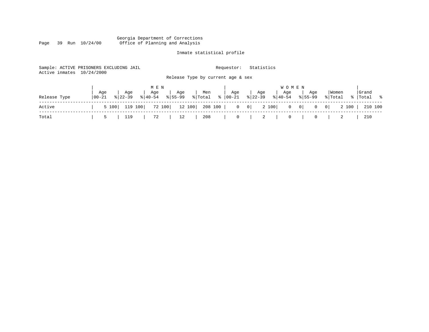#### Georgia Department of Corrections Page 39 Run 10/24/00 Office of Planning and Analysis

# Inmate statistical profile

| Active inmates | Sample: ACTIVE PRISONERS EXCLUDING JAIL<br>10/24/2000 | Requestor:                                                  | Statistics                                        |                          |
|----------------|-------------------------------------------------------|-------------------------------------------------------------|---------------------------------------------------|--------------------------|
|                |                                                       | Release Type by current age & sex                           |                                                   |                          |
|                | Aqe<br>Age                                            | M E N<br>Age<br>Age<br>Age<br>Men                           | <b>WOMEN</b><br>Age<br>Age<br>Age                 | Grand<br>Women           |
| Release Type   | $8 40-54$<br>  00-21<br>$8122 - 39$                   | $\frac{1}{2}$ Total $\frac{1}{2}$<br>  00-21<br>$8155 - 99$ | $ 22-39 $<br>$8155 - 99$<br>$\frac{1}{6}$   40-54 | % Total<br>%   Total %   |
| Active         | 119 100<br>5 100                                      | 72 100<br>12 100 208 100  <br>$\overline{0}$                | 2 100<br> 0 <br>$0 \qquad 0 \mid$<br>$\mathbf{0}$ | 2 100  <br>210 100<br> 0 |
| Total          | 119<br>5                                              | 208<br>72<br>$\mathbf 0$<br>12                              | $\overline{2}$<br>0<br>0                          | 210                      |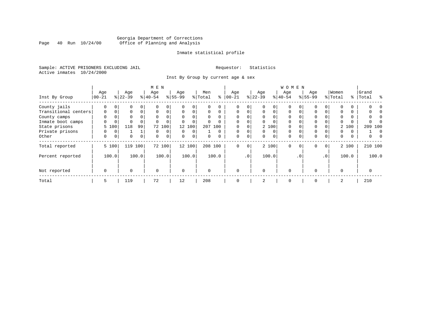# Georgia Department of Corrections<br>Page 40 Run 10/24/00 Office of Planning and Analysis Page 40 Run 10/24/00 Office of Planning and Analysis

### Inmate statistical profile

Sample: ACTIVE PRISONERS EXCLUDING JAIL **Requestor:** Statistics Active inmates 10/24/2000

Inst By Group by current age & sex

|                      |             |                |           |       | M E N       |          |             |             |          |          |             |             |             |          | <b>WOMEN</b> |           |             |                 |          |   |                |  |
|----------------------|-------------|----------------|-----------|-------|-------------|----------|-------------|-------------|----------|----------|-------------|-------------|-------------|----------|--------------|-----------|-------------|-----------------|----------|---|----------------|--|
|                      | Age         |                | Age       |       | Age         |          | Age         |             | Men      |          | Age         |             | Age         |          | Age          |           | Age         |                 | Women    |   | Grand          |  |
| Inst By Group        | $ 00-21$    |                | $8 22-39$ |       | $8 40-54$   |          | $8 55-99$   |             | % Total  | ႜ        | $00 - 21$   |             | $ 22-39 $   |          | $ 40-54 $    |           | $8155 - 99$ |                 | % Total  |   | ႜ<br>%   Total |  |
| County jails         | 0           |                | 0         |       |             |          |             | 0           |          |          | 0           |             |             |          | 0            |           | 0           |                 |          |   |                |  |
| Transitional centers | 0           | 0              | 0         |       | $\mathbf 0$ |          | $\Omega$    | 0           | $\Omega$ | $\Omega$ | 0           |             | $\mathbf 0$ | $\Omega$ | $\Omega$     | $\Omega$  | $\Omega$    |                 | $\Omega$ |   |                |  |
| County camps         | 0           |                | 0         |       | $\Omega$    |          | $\Omega$    | 0           | 0        | $\Omega$ | $\Omega$    |             | $\Omega$    |          | $\Omega$     |           | $\Omega$    |                 | $\Omega$ |   |                |  |
| Inmate boot camps    |             |                |           |       |             |          |             | $\mathbf 0$ |          | 0        | $\Omega$    |             | 0           |          | $\Omega$     |           | $\Omega$    |                 |          |   |                |  |
| State prisons        |             | 5 100          | 118       | 99    |             | 72 100   |             | 12 100      | 207      | 100      |             |             |             | 2 100    | $\Omega$     |           | $\Omega$    |                 | 2 100    |   | 209 100        |  |
| Private prisons      |             |                |           |       | $\Omega$    | $\Omega$ | $\Omega$    | $\Omega$    |          | $\Omega$ | $\Omega$    |             | $\Omega$    | $\Omega$ | $\Omega$     | $\Omega$  | $\Omega$    |                 | $\Omega$ | U | n              |  |
| Other                | 0           | 0 <sup>1</sup> | 0         | 0     | $\mathbf 0$ | 0        | 0           | 0           | 0        | 0        | 0           | 0           | 0           | 0        | $\mathbf 0$  | $\Omega$  | $\Omega$    | $\Omega$        | 0        | 0 | 0              |  |
| Total reported       |             | 5 100          | 119 100   |       |             | 72 100   |             | 12 100      |          | 208 100  | $\mathbf 0$ | $\mathbf 0$ |             | 2 100    | $\mathbf 0$  | $\Omega$  | $\Omega$    | $\overline{0}$  | 2 100    |   | 210 100        |  |
| Percent reported     |             | 100.0          |           | 100.0 |             | 100.0    |             | 100.0       |          | 100.0    |             | $\cdot$ 0   |             | 100.0    |              | $\cdot$ 0 |             | .0 <sup>1</sup> | 100.0    |   | 100.0          |  |
| Not reported         | $\mathbf 0$ |                | 0         |       | $\mathbf 0$ |          | $\mathbf 0$ |             | $\Omega$ |          | $\Omega$    |             | $\Omega$    |          | 0            |           | $\Omega$    |                 | $\Omega$ |   | $\Omega$       |  |
| Total                | 5           |                | 119       |       | 72          |          | 12          |             | 208      |          | 0           |             | 2           |          | $\mathbf 0$  |           | 0           |                 | 2        |   | 210            |  |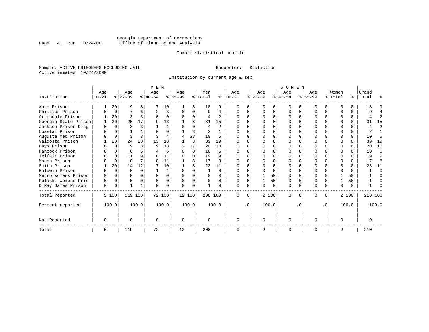# Georgia Department of Corrections<br>Page 41 Run 10/24/00 Office of Planning and Analysis Page 41 Run 10/24/00 Office of Planning and Analysis

#### Inmate statistical profile

Sample: ACTIVE PRISONERS EXCLUDING JAIL **Requestor:** Statistics Active inmates 10/24/2000

Institution by current age & sex

|                      |           |             |           |          | M E N          |          |          |          |          |                |           |           |           |          | <b>WOMEN</b> |          |             |           |              |          |           |          |
|----------------------|-----------|-------------|-----------|----------|----------------|----------|----------|----------|----------|----------------|-----------|-----------|-----------|----------|--------------|----------|-------------|-----------|--------------|----------|-----------|----------|
|                      | Age       |             | Age       |          | Age            |          | Age      |          | Men      |                | Age       |           | Age       |          | Age          |          | Aqe         |           | Women        |          | Grand     |          |
| Institution          | $00 - 21$ |             | $ 22-39 $ |          | $ 40-54 $      |          | $ 55-99$ |          | % Total  | ి              | $ 00-21 $ |           | $ 22-39 $ |          | $ 40-54 $    |          | $8155 - 99$ |           | % Total      |          | %   Total | ႜ        |
| Ware Prison          |           | 20          | 9         | 8        |                | 10       |          | 8        | 18       | 9              |           | 0         | $\Omega$  | 0        | $\Omega$     | $\Omega$ | O           | $\Omega$  | <sup>0</sup> | U        | 18        |          |
| Phillips Prison      |           | 0           |           | 6        | $\overline{2}$ | 3        | $\Omega$ | 0        | 9        | 4              | $\Omega$  | 0         | $\Omega$  | 0        | $\Omega$     | $\Omega$ | $\Omega$    | 0         | <sup>0</sup> | 0        | q         |          |
| Arrendale Prison     |           | 20          | ζ         |          | $\Omega$       | $\Omega$ | $\Omega$ | $\Omega$ | 4        | $\overline{2}$ |           | $\cap$    | $\Omega$  | $\Omega$ | $\Omega$     | $\Omega$ | O           | $\Omega$  | ∩            | $\Omega$ |           | 2        |
| Georgia State Prison |           | 20          | 20        | 17       | q              | 13       |          | 8        | 31       | 15             |           |           |           |          |              |          |             | O         |              | $\Omega$ | 31        | 15       |
| Jackson Prison-Diag  | $\Omega$  | $\Omega$    | ζ         |          |                |          |          | $\Omega$ | 4        | $\overline{2}$ |           |           |           | $\Omega$ |              | $\Omega$ |             |           |              | 0        |           | 2        |
| Coastal Prison       |           |             |           |          |                | 0        |          | 8        | 2        |                |           |           | $\Omega$  | 0        |              |          | $\cap$      |           | $\Omega$     | 0        | 2         |          |
| Augusta Med Prison   |           | $\mathbf 0$ |           | ς        |                | 4        | 4        | 33       | 10       | 5              |           | $\cap$    | O         | $\Omega$ |              | $\Omega$ |             |           | <sup>0</sup> | $\Omega$ | 10        | 5        |
| Valdosta Prison      |           | 20          | 24        | 20       | 13             | 18       |          | 8        | 39       | 19             |           |           |           | 0        |              |          | U           |           | <sup>0</sup> | U        | 39        | 19       |
| Hays Prison          |           | $\Omega$    | 9         | R        | q              | 13       | 2        | 17       | 20       | 10             |           |           |           | 0        |              | $\Omega$ | O           |           | <sup>0</sup> | 0        | 20        | 10       |
| Hancock Prison       |           | $\Omega$    | 6         |          | 4              | 6        | U        | $\Omega$ | 10       | 5              |           |           | $\Omega$  | 0        | $\Omega$     | $\Omega$ | $\cap$      |           | $\Omega$     | $\Omega$ | 10        | 5        |
| Telfair Prison       |           | 0           | 11        | q        | 8              | 11       |          | $\Omega$ | 19       | 9              |           | $\cap$    | $\Omega$  | $\Omega$ |              | $\Omega$ |             |           | $\Omega$     | $\Omega$ | 19        | 9        |
| Macon Prison         |           | $\Omega$    | 8         |          | $\mathsf{R}$   | 11       |          | 8        | 17       | 8              |           |           | $\Omega$  | 0        |              | $\Omega$ | O           |           | $\Omega$     | $\Omega$ | 17        | 8        |
| Smith Prison         |           | 20          | 14        | 12       |                | 10       |          | 8        | 23       | 11             |           |           |           | 0        |              | $\Omega$ |             |           | $\Omega$     | $\Omega$ | 23        | 11       |
| Baldwin Prison       | U         | $\Omega$    | $\Omega$  | $\Omega$ |                |          | $\Omega$ | $\Omega$ |          | $\Omega$       | $\Omega$  | 0         | $\Omega$  | $\Omega$ | $\Omega$     | $\Omega$ | $\Omega$    |           | $\Omega$     | $\Omega$ |           | $\Omega$ |
| Metro Womens Prison  | $\Omega$  | $\Omega$    | O         | O        | $\Omega$       | 0        | $\Omega$ | $\Omega$ | 0        | $\Omega$       | $\Omega$  | $\Omega$  |           | 50       | $\Omega$     | $\Omega$ | $\Omega$    |           |              | 50       |           | $\cap$   |
| Pulaski Womens Pris  | $\Omega$  | $\Omega$    | $\Omega$  | $\Omega$ | $\Omega$       | $\Omega$ | $\Omega$ | $\Omega$ | $\Omega$ | $\Omega$       | $\Omega$  | $\Omega$  |           | 50       | $\Omega$     | $\Omega$ | $\Omega$    | $\Omega$  |              | 50       |           |          |
| D Ray James Prison   | 0         | 0           |           | 1        | $\Omega$       | 0        | $\Omega$ | 0        |          | O              | $\Omega$  | 0         | $\Omega$  | 0        | $\Omega$     | 0        | 0           | $\Omega$  | 0            | 0        |           |          |
| Total reported       |           | 5 100       | 119 100   |          |                | 72 100   | 12 100   |          | 208 100  |                | $\Omega$  | 0         |           | 2 100    | $\Omega$     | O        | 0           | $\Omega$  |              | 2 100    | 210 100   |          |
| Percent reported     |           | 100.0       |           | 100.0    |                | 100.0    |          | 100.0    |          | 100.0          |           | $\cdot$ 0 |           | 100.0    |              | . 0      |             | $\cdot$ 0 |              | 100.0    |           | 100.0    |
| Not Reported         | 0         |             | $\Omega$  |          | $\Omega$       |          | $\Omega$ |          | $\Omega$ |                | $\Omega$  |           | $\Omega$  |          | $\Omega$     |          | $\Omega$    |           | $\Omega$     |          |           |          |
| Total                | 5         |             | 119       |          | 72             |          | 12       |          | 208      |                |           |           | 2         |          | $\mathbf 0$  |          | $\Omega$    |           | 2            |          | 210       |          |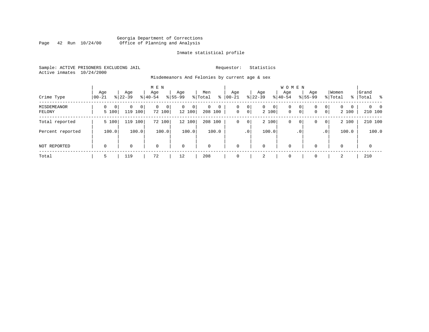# Georgia Department of Corrections Page 42 Run 10/24/00 Office of Planning and Analysis

### Inmate statistical profile

Sample: ACTIVE PRISONERS EXCLUDING JAIL **Requestor:** Statistics Active inmates 10/24/2000

Misdemeanors And Felonies by current age & sex

| Crime Type            | Age<br>$00 - 21$                  | Age<br>$8 22-39$                  | M E N<br>Age<br>$8 40-54$ | Age<br>$8155 - 99$          | Men<br>ွေ<br>% Total               | Age<br>$00 - 21$ | Age<br>$ 22 - 39 $                                | <b>WOMEN</b><br>Aqe<br>$8 40-54$ | Age<br>$8155 - 99$ | Women<br>% Total                                                | Grand<br>%   Total                    |
|-----------------------|-----------------------------------|-----------------------------------|---------------------------|-----------------------------|------------------------------------|------------------|---------------------------------------------------|----------------------------------|--------------------|-----------------------------------------------------------------|---------------------------------------|
| MISDEMEANOR<br>FELONY | $\Omega$<br>$\mathbf{0}$<br>5 100 | 0<br>0 <sup>1</sup><br>119<br>100 | 0<br>$\Omega$<br>72 100   | $\mathbf{0}$<br>0<br>12 100 | $\Omega$<br>$\mathbf 0$<br>208 100 | 0<br>$\mathbf 0$ | 0<br>0<br>$\mathbf{0}$<br>$\overline{0}$<br>2 100 | 0<br>$\mathbf{0}$                | 0<br>0<br> 0 <br>0 | $\mathbf{0}$<br>$\Omega$<br>$\Omega$<br>$\overline{0}$<br>2 100 | $\Omega$<br>$\overline{0}$<br>210 100 |
| Total reported        | 5 100                             | 119<br>100                        | 72 100                    | 12 100                      | 208 100                            | 0                | 2 100<br>0                                        | 0                                | 0<br>0             | 2 100<br>$\overline{0}$                                         | 210 100                               |
| Percent reported      | 100.0                             | 100.0                             | 100.0                     | 100.0                       | 100.0                              |                  | 100.0<br>.0 <sup>1</sup>                          |                                  | . 0                | 100.0<br>.0 <sup>1</sup>                                        | 100.0                                 |
| <b>NOT REPORTED</b>   | $\mathbf 0$                       | 0                                 | $\mathbf 0$               | $\mathbf 0$                 | $\mathbf 0$                        | $\mathbf 0$      | 0                                                 | $\mathbf 0$                      | $\Omega$           | $\Omega$                                                        | $\mathbf 0$                           |
| Total                 | ь                                 | 119                               | 72                        | 12                          | 208                                | $\Omega$         | 2                                                 | $\mathbf 0$                      | $\Omega$           | 2                                                               | 210                                   |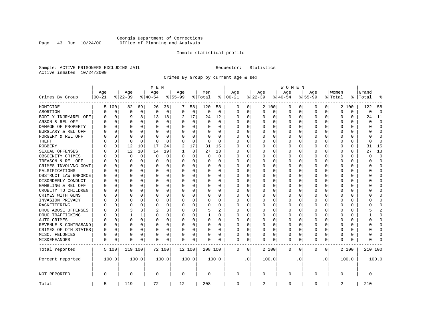# Georgia Department of Corrections<br>Page 43 Run 10/24/00 Office of Planning and Analysis Page 43 Run 10/24/00 Office of Planning and Analysis

#### Inmate statistical profile

Sample: ACTIVE PRISONERS EXCLUDING JAIL **Requestor:** Statistics Active inmates 10/24/2000

Crimes By Group by current age & sex

|                      | M E N              |          |                    |          |                 |          |                  |             |                |             |                 | W O M E N |                    |          |                  |           |                  |              |                  |          |                |                |
|----------------------|--------------------|----------|--------------------|----------|-----------------|----------|------------------|-------------|----------------|-------------|-----------------|-----------|--------------------|----------|------------------|-----------|------------------|--------------|------------------|----------|----------------|----------------|
| Crimes By Group      | Age<br>$ 00 - 21 $ |          | Age<br>$8$   22-39 |          | Age<br>$ 40-54$ |          | Age<br>$8 55-99$ |             | Men<br>% Total | ႜ           | Age<br>$ 00-21$ |           | Age<br>$8$   22-39 |          | Age<br>$8 40-54$ |           | Age<br>$8 55-99$ |              | Women<br>% Total | ႜ        | Grand<br>Total |                |
| HOMICIDE             | 5                  | 100      | 82                 | 69       | 26              | 36       | 7                | 58          | 120            | 58          | 0               | 0         |                    | 2 100    | 0                | 0         | 0                | $\circ$      |                  | 2 100    | 122            | 58             |
| ABORTION             | N                  | 0        | $\mathbf 0$        | 0        | 0               | 0        | $\Omega$         | 0           | $\mathsf 0$    | $\mathbf 0$ | $\Omega$        | 0         | $\Omega$           | 0        | 0                | 0         | $\mathbf 0$      | 0            | 0                | 0        | 0              | $\overline{0}$ |
| BODILY INJRY&REL OFF | U                  | 0        | 9                  | 8        | 13              | 18       | 2                | 17          | 24             | 12          | 0               | 0         | 0                  | 0        | 0                | 0         | $\Omega$         | 0            | 0                | 0        | 24             | 11             |
| ARSON & REL OFF      |                    | 0        | $\Omega$           | $\Omega$ | $\Omega$        | 0        | U                | $\mathbf 0$ | $\Omega$       | $\Omega$    | C               | $\Omega$  |                    | $\Omega$ | 0                | O         |                  | $\Omega$     | $\Omega$         | $\Omega$ | U              | $\Omega$       |
| DAMAGE OF PROPERTY   |                    | O        | O                  | 0        | O               | $\Omega$ | U                | $\Omega$    | 0              | U           | 0               | $\Omega$  | <sup>0</sup>       | $\Omega$ | 0                | O         | U                | 0            | U                | 0        | U              | $\Omega$       |
| BURGLARY & REL OFF   |                    | 0        | O                  | $\Omega$ | 0               | $\Omega$ |                  | 0           | 0              | U           | O               | $\Omega$  |                    | $\Omega$ | 0                | 0         | O                | 0            | 0                | $\Omega$ | O              | <sup>0</sup>   |
| FORGERY & REL OFF    |                    | 0        | $\Omega$           | $\Omega$ | $\Omega$        | $\Omega$ |                  | $\mathbf 0$ | $\Omega$       | O           |                 | $\Omega$  |                    | $\Omega$ | 0                | 0         | $\Omega$         | $\Omega$     | $\Omega$         | $\Omega$ | U              | $\Omega$       |
| THEFT                |                    | 0        | $\cap$             | $\Omega$ | O               | 0        | U                | 0           | $\Omega$       | $\Omega$    | C               | 0         |                    | $\Omega$ | O                | O         | ∩                | 0            | U                | 0        | U              | $\Omega$       |
| ROBBERY              |                    | 0        | 12                 | 10       | 17              | 24       | 2                | 17          | 31             | 15          | C               | 0         |                    | $\Omega$ | 0                | O         | U                | 0            | U                | 0        | 31             | 15             |
| SEXUAL OFFENSES      |                    | 0        | 12                 | 10       | 14              | 19       |                  | 8           | 27             | 13          | C               | 0         |                    | $\Omega$ | O                | O         | U                | <sup>0</sup> | U                | 0        | 27             | 13             |
| OBSCENITY CRIMES     |                    | O        | $\Omega$           | 0        | $\Omega$        | 0        | O                | 0           | 0              | $\Omega$    | 0               | 0         | ∩                  | $\Omega$ | 0                | O         | ∩                | 0            | U                | 0        | U              | $\Omega$       |
| TREASON & REL OFF    |                    | 0        | 0                  | $\Omega$ | O               | 0        | U                | 0           | 0              | $\Omega$    | C               | 0         |                    | 0        | 0                | 0         |                  | 0            | 0                | 0        | U              | <sup>0</sup>   |
| CRIMES INVOLVNG GOVT |                    | $\Omega$ | $\Omega$           | $\Omega$ | $\Omega$        | 0        | O                | 0           | 0              | O           | C               | 0         |                    | $\Omega$ | 0                | O         |                  | $\Omega$     | $\Omega$         | 0        | በ              | $\Omega$       |
| FALSIFICATIONS       |                    | O        | $\Omega$           | $\Omega$ | 0               | 0        | O                | 0           | 0              | $\Omega$    | C               | 0         |                    | $\Omega$ | 0                | O         | $\Omega$         | $\Omega$     | 0                | 0        | U              | $\Omega$       |
| OBSTRUCT LAW ENFORCE |                    | 0        |                    | $\Omega$ | $\Omega$        | 0        | U                | $\mathbf 0$ | 0              | 0           | C               | 0         |                    | $\Omega$ | 0                | U         |                  | $\Omega$     | 0                | 0        |                | <sup>0</sup>   |
| DISORDERLY CONDUCT   |                    | O        | O                  | $\Omega$ | $\Omega$        | $\Omega$ | O                | $\Omega$    | 0              | U           | C               | $\Omega$  |                    | $\Omega$ | 0                | O         | O                | $\Omega$     | $\Omega$         | 0        |                | ∩              |
| GAMBLING & REL OFF   |                    | O        | O                  | $\Omega$ | O               | $\Omega$ | O                | $\Omega$    | 0              | $\Omega$    | O               | $\Omega$  | <sup>0</sup>       | $\Omega$ | O                | O         | O                | $\Omega$     | U                | $\Omega$ |                | ∩              |
| CRUELTY TO CHILDREN  |                    | O        | O                  | $\Omega$ | O               | 0        |                  | $\mathbf 0$ | 0              | U           | C               | 0         |                    | $\Omega$ | U                | O         | O                | $\Omega$     | U                | O        |                | Ω              |
| CRIMES WITH GUNS     |                    | O        | O                  | 0        | U               | 0        |                  | 0           | U              | O           | C               | $\Omega$  |                    | $\Omega$ | O                | O         | O                | 0            | U                | $\Omega$ |                | $\Omega$       |
| INVASION PRIVACY     |                    | O        | n                  | 0        | U               | 0        | U                | 0           | 0              | U           | O               | 0         | O                  | $\Omega$ | 0                | O         | n                | 0            | ∩                | 0        |                | ∩              |
| RACKETEERING         |                    | O        | n                  | O        | O               | 0        | U                | 0           | U              | U           | C               | 0         |                    | $\Omega$ | 0                | O         |                  | 0            | O                | 0        |                | ∩              |
| DRUG ABUSE OFFENSES  |                    | $\Omega$ | 3                  | 3        | 2               | 3        | $\Omega$         | $\mathbf 0$ | 5              | 2           | C               | $\Omega$  |                    | $\Omega$ | $\Omega$         | $\Omega$  | O                | $\Omega$     | $\Omega$         | 0        |                |                |
| DRUG TRAFFICKING     |                    | O        |                    | 1        | $\Omega$        | 0        | $\Omega$         | 0           | $\mathbf{1}$   | 0           | C               | 0         | <sup>0</sup>       | $\Omega$ | 0                | O         | O                | $\Omega$     | 0                | 0        |                | $\Omega$       |
| AUTO CRIMES          |                    | 0        | $\Omega$           | 0        | $\Omega$        | 0        | 0                | 0           | 0              | 0           | C               | 0         |                    | 0        | 0                | 0         | 0                | 0            | 0                | 0        | ი              | O              |
| REVENUE & CONTRABAND | N                  | 0        | $\Omega$           | 0        | $\Omega$        | 0        | $\Omega$         | 0           | 0              | 0           | O               | 0         |                    | 0        | 0                | 0         | $\Omega$         | 0            | $\Omega$         | 0        | በ              | $\Omega$       |
| CRIMES OF OTH STATES | N                  | 0        | O                  | $\Omega$ | 0               | 0        | $\Omega$         | 0           | 0              | $\Omega$    | 0               | 0         | 0                  | $\Omega$ | 0                | O         | $\Omega$         | $\Omega$     | U                | 0        | U              | 0              |
| MISC. FELONIES       | 0                  | 0        | $\Omega$           | $\Omega$ | 0               | 0        | 0                | $\mathbf 0$ | 0              | 0           | 0               | 0         |                    | $\Omega$ | $\Omega$         | 0         | $\Omega$         | $\Omega$     | $\Omega$         | 0        |                | ſ              |
| MISDEMEANORS         | 0                  | 0        | $\Omega$           | 0        | O               | 0        | O                | $\mathbf 0$ | 0              | U           | $\Omega$        | 0         | O                  | 0        | 0                | 0         | $\Omega$         | 0            | U                | 0        | ი              |                |
| Total reported       |                    | 5 100    | 119 100            |          |                 | 72 100   |                  | 12 100      | 208 100        |             | 0               | 0         |                    | 2 100    | $\mathbf 0$      | 0         | $\mathbf 0$      | 0            |                  | 2 100    | 210 100        |                |
| Percent reported     |                    | 100.0    |                    | 100.0    |                 | 100.0    |                  | 100.0       |                | 100.0       |                 | $\cdot$ 0 |                    | 100.0    |                  | $\cdot$ 0 |                  | $\cdot$ 0    |                  | 100.0    |                | 100.0          |
| NOT REPORTED         | 0                  |          | $\mathbf 0$        |          | 0               |          | $\mathbf 0$      |             | 0              |             | 0               |           | 0                  |          | 0                |           | $\mathbf 0$      |              | $\Omega$         |          | 0              |                |
| Total                | 5                  |          | 119                |          | 72              |          | 12               |             | 208            |             | $\mathbf 0$     |           | 2                  |          | 0                |           | $\mathbf{0}$     |              | 2                |          | 210            |                |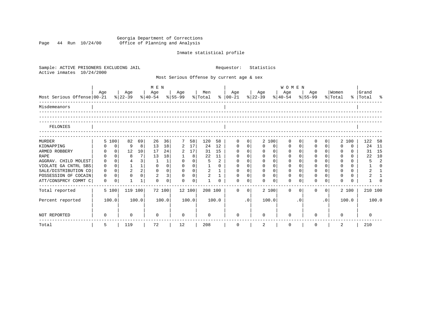Georgia Department of Corrections Page 44 Run 10/24/00 Office of Planning and Analysis

# Inmate statistical profile

| Sample: ACTIVE PRISONERS EXCLUDING JAIL<br>Active inmates<br>10/24/2000 |             |                |                |          |                                     |                |             | Statistics<br>Requestor: |          |              |                                           |              |                 |                |                  |           |                |                |                  |          |                      |              |
|-------------------------------------------------------------------------|-------------|----------------|----------------|----------|-------------------------------------|----------------|-------------|--------------------------|----------|--------------|-------------------------------------------|--------------|-----------------|----------------|------------------|-----------|----------------|----------------|------------------|----------|----------------------|--------------|
|                                                                         |             |                |                |          |                                     |                |             |                          |          |              | Most Serious Offense by current age & sex |              |                 |                |                  |           |                |                |                  |          |                      |              |
|                                                                         | M E N       |                |                |          |                                     |                |             |                          |          |              |                                           |              | <b>WOMEN</b>    |                |                  |           |                |                |                  |          |                      |              |
| Most Serious Offense 00-21                                              | Age         |                | Age<br>% 22-39 |          | Age<br>$ 40-54 \t  55-99 \t  Total$ |                | Age         |                          | Men      |              | Age<br>$8   00-21$                        |              | Age<br>$ 22-39$ |                | Age<br>$8 40-54$ |           | Age<br>% 55-99 |                | Women<br>% Total |          | Grand<br>%   Total % |              |
| Misdemeanors                                                            |             |                |                |          |                                     |                |             |                          |          |              |                                           |              |                 |                |                  |           |                |                |                  |          |                      |              |
| FELONIES                                                                |             |                |                |          |                                     |                |             |                          |          |              |                                           |              |                 |                |                  |           |                |                |                  |          |                      |              |
|                                                                         |             |                |                |          |                                     |                |             |                          |          |              |                                           |              |                 |                |                  |           |                |                |                  |          |                      |              |
| <b>MURDER</b>                                                           |             | 5 100          | 82             | 69       | 26                                  | 36             | 7           | 58                       | 120      | 58           | $\mathbf{0}$                              | $\mathbf 0$  |                 | 2 100          | $\Omega$         | $\Omega$  | <sup>0</sup>   | 0              |                  | 2 100    | 122                  | 58           |
| KIDNAPPING                                                              |             | $\overline{0}$ | 9              | 8        | 13                                  | 18             | 2           | 17                       | 24       | 12           | $\mathbf{0}$                              | $\mathbf{0}$ | $\Omega$        | $\circ$        | 0                | 0         | 0              | $\Omega$       | $\Omega$         | $\Omega$ | 24                   | 11           |
| ARMED ROBBERY                                                           | 0           | 0 <sup>1</sup> | 12             | 10       | 17                                  | 24             | 2           | 17                       | 31       | 15           | $\Omega$                                  | $\Omega$     | $\Omega$        | $\Omega$       | 0                | $\Omega$  | $\mathbf 0$    | $\Omega$       | $\Omega$         | $\Omega$ | 31                   | 15           |
| <b>RAPE</b>                                                             | $\Omega$    | $\Omega$       | 8              | 7        | 13                                  | 18             |             | 8                        | 22       | 11           | $\Omega$                                  | $\Omega$     | $\Omega$        | $\Omega$       | $\Omega$         | $\Omega$  | $\mathbf 0$    | $\Omega$       | $\Omega$         | 0        | 22                   | 10           |
| AGGRAV. CHILD MOLEST                                                    | $\Omega$    | $\Omega$       |                | 3        | 1                                   | 1              | $\Omega$    | $\overline{0}$           | 5        | 2            | $\Omega$                                  | $\Omega$     | $\Omega$        | $\Omega$       | $\Omega$         | $\Omega$  | $\Omega$       |                |                  | $\Omega$ | 5                    | 2            |
| VIOLATE GA CNTRL SBS                                                    | $\mathbf 0$ | $\circ$        | $\mathbf{1}$   | 1        | $\mathbf 0$                         | $\mathbf 0$    | $\mathbf 0$ | 0 <sup>1</sup>           |          | $\Omega$     | $\mathbf 0$                               | $\Omega$     | $\Omega$        | $\Omega$       | $\mathbf 0$      | $\Omega$  | $\mathbf 0$    | $\Omega$       | $\Omega$         | $\Omega$ |                      | $\Omega$     |
| SALE/DISTRIBUTION CO                                                    | $\mathbf 0$ | $\Omega$       | $\overline{2}$ | 2        | $\mathbf 0$                         | $\mathbf 0$    | $\mathbf 0$ | 0 <sup>1</sup>           | 2        | $\mathbf{1}$ | 0                                         | $\mathbf 0$  | $\mathbf 0$     | 0 <sup>1</sup> | 0                | $\Omega$  | $\mathbf 0$    | $\Omega$       | $\mathbf 0$      | $\Omega$ | 2                    | $\mathbf{1}$ |
| POSSESSION OF COCAIN                                                    | $\Omega$    | $\Omega$       | $\Omega$       | $\Omega$ | 2                                   | 3 <sup>1</sup> | $\Omega$    | $\Omega$                 | 2        | $\mathbf{1}$ | $\Omega$                                  | $\Omega$     | $\Omega$        | $\Omega$       | $\Omega$         | $\Omega$  | $\Omega$       | $\Omega$       | $\Omega$         | $\Omega$ | 2                    |              |
| ATT/CONSPRCY COMMT C                                                    | $\Omega$    | $\Omega$       |                | 1        | $\Omega$                            | $\Omega$       | $\Omega$    | $\Omega$                 |          | $\Omega$     | $\Omega$                                  | $\Omega$     | $\Omega$        | $\Omega$       | $\Omega$         | $\Omega$  | $\Omega$       | 0              |                  | 0        |                      | ∩            |
| Total reported                                                          |             | 5 100          | 119 100        |          |                                     | 72 100         | 12 100      |                          | 208 100  |              | $\Omega$                                  | $\mathbf{0}$ |                 | 2 100          | $\Omega$         | $\Omega$  | $\Omega$       | $\overline{0}$ |                  | 2 100    | 210 100              |              |
| Percent reported                                                        |             | 100.0          |                | 100.0    |                                     | 100.0          |             | 100.0                    |          | 100.0        |                                           | $\cdot$ 0    |                 | 100.0          |                  | $\cdot$ 0 |                | $\cdot$ 0      |                  | 100.0    | 100.0                |              |
| NOT REPORTED                                                            |             |                | 0              |          | $\Omega$                            |                | 0           |                          | $\Omega$ |              | $\Omega$                                  |              | $\Omega$        |                | $\Omega$         |           | <sup>0</sup>   |                | <sup>0</sup>     |          | 0                    |              |
| Total                                                                   | 5           |                | 119            |          | 72                                  |                | 12          |                          | 208      |              | $\mathbf 0$                               |              | 2               |                | $\mathbf 0$      |           | $\Omega$       |                | 2                |          | 210                  |              |